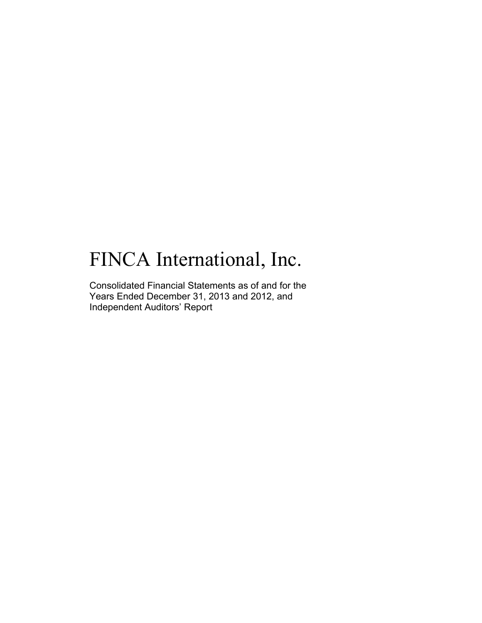# FINCA International, Inc.

Consolidated Financial Statements as of and for the Years Ended December 31, 2013 and 2012, and Independent Auditors' Report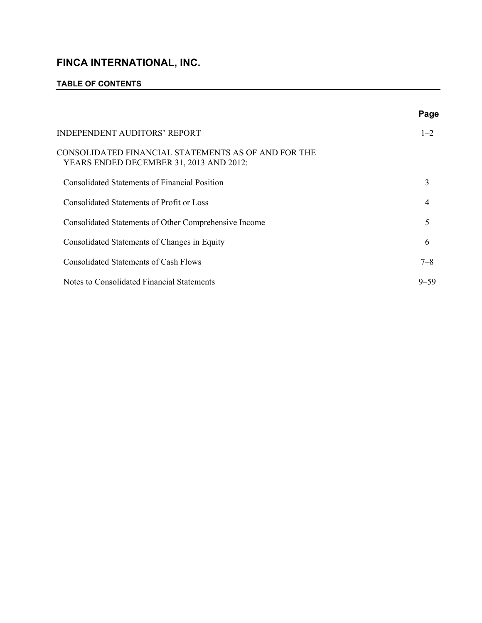# **TABLE OF CONTENTS**

|                                                                                                | Page     |
|------------------------------------------------------------------------------------------------|----------|
| INDEPENDENT AUDITORS' REPORT                                                                   | $1 - 2$  |
| CONSOLIDATED FINANCIAL STATEMENTS AS OF AND FOR THE<br>YEARS ENDED DECEMBER 31, 2013 AND 2012: |          |
| <b>Consolidated Statements of Financial Position</b>                                           | 3        |
| Consolidated Statements of Profit or Loss                                                      | 4        |
| Consolidated Statements of Other Comprehensive Income                                          | 5        |
| Consolidated Statements of Changes in Equity                                                   | 6        |
| <b>Consolidated Statements of Cash Flows</b>                                                   | $7 - 8$  |
| Notes to Consolidated Financial Statements                                                     | $9 - 59$ |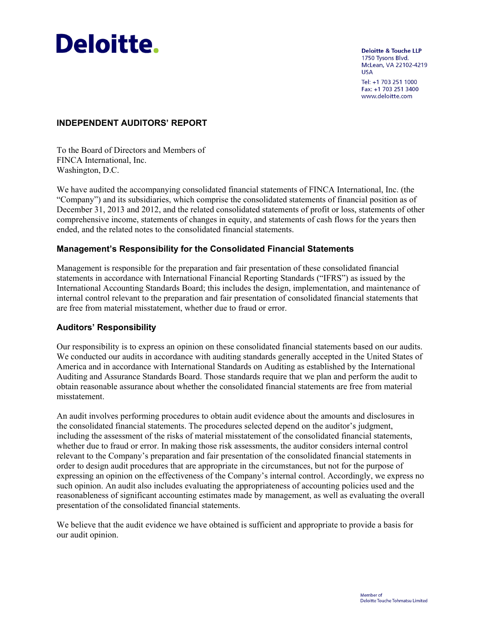

**Deloitte & Touche LLP** 1750 Tysons Blvd. McLean, VA 22102-4219 **USA** Tel: +1 703 251 1000

Fax: +1 703 251 3400 www.deloitte.com

# **INDEPENDENT AUDITORS' REPORT**

To the Board of Directors and Members of FINCA International, Inc. Washington, D.C.

We have audited the accompanying consolidated financial statements of FINCA International, Inc. (the "Company") and its subsidiaries, which comprise the consolidated statements of financial position as of December 31, 2013 and 2012, and the related consolidated statements of profit or loss, statements of other comprehensive income, statements of changes in equity, and statements of cash flows for the years then ended, and the related notes to the consolidated financial statements.

#### **Management's Responsibility for the Consolidated Financial Statements**

Management is responsible for the preparation and fair presentation of these consolidated financial statements in accordance with International Financial Reporting Standards ("IFRS") as issued by the International Accounting Standards Board; this includes the design, implementation, and maintenance of internal control relevant to the preparation and fair presentation of consolidated financial statements that are free from material misstatement, whether due to fraud or error.

#### **Auditors' Responsibility**

Our responsibility is to express an opinion on these consolidated financial statements based on our audits. We conducted our audits in accordance with auditing standards generally accepted in the United States of America and in accordance with International Standards on Auditing as established by the International Auditing and Assurance Standards Board. Those standards require that we plan and perform the audit to obtain reasonable assurance about whether the consolidated financial statements are free from material misstatement.

An audit involves performing procedures to obtain audit evidence about the amounts and disclosures in the consolidated financial statements. The procedures selected depend on the auditor's judgment, including the assessment of the risks of material misstatement of the consolidated financial statements, whether due to fraud or error. In making those risk assessments, the auditor considers internal control relevant to the Company's preparation and fair presentation of the consolidated financial statements in order to design audit procedures that are appropriate in the circumstances, but not for the purpose of expressing an opinion on the effectiveness of the Company's internal control. Accordingly, we express no such opinion. An audit also includes evaluating the appropriateness of accounting policies used and the reasonableness of significant accounting estimates made by management, as well as evaluating the overall presentation of the consolidated financial statements.

We believe that the audit evidence we have obtained is sufficient and appropriate to provide a basis for our audit opinion.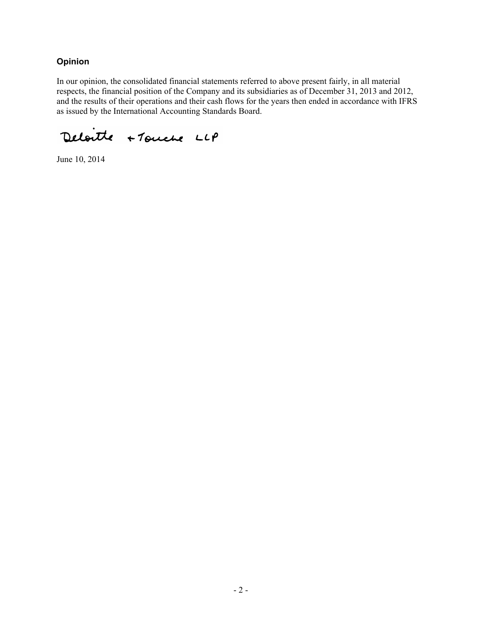# **Opinion**

In our opinion, the consolidated financial statements referred to above present fairly, in all material respects, the financial position of the Company and its subsidiaries as of December 31, 2013 and 2012, and the results of their operations and their cash flows for the years then ended in accordance with IFRS as issued by the International Accounting Standards Board.

Deloitte + Touche LLP

June 10, 2014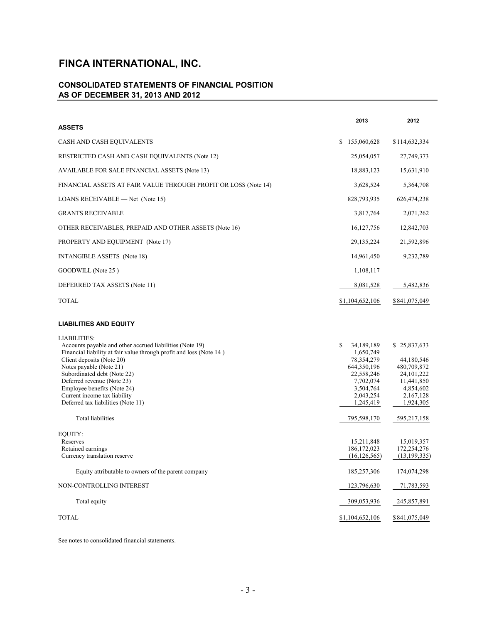# **CONSOLIDATED STATEMENTS OF FINANCIAL POSITION AS OF DECEMBER 31, 2013 AND 2012**

|                                                                                                                                                                                                                                                                                                                                                                                  | 2013                                                                                                                            | 2012                                                                                                           |
|----------------------------------------------------------------------------------------------------------------------------------------------------------------------------------------------------------------------------------------------------------------------------------------------------------------------------------------------------------------------------------|---------------------------------------------------------------------------------------------------------------------------------|----------------------------------------------------------------------------------------------------------------|
| <b>ASSETS</b>                                                                                                                                                                                                                                                                                                                                                                    |                                                                                                                                 |                                                                                                                |
| CASH AND CASH EQUIVALENTS                                                                                                                                                                                                                                                                                                                                                        | \$155,060,628                                                                                                                   | \$114,632,334                                                                                                  |
| RESTRICTED CASH AND CASH EQUIVALENTS (Note 12)                                                                                                                                                                                                                                                                                                                                   | 25,054,057                                                                                                                      | 27,749,373                                                                                                     |
| AVAILABLE FOR SALE FINANCIAL ASSETS (Note 13)                                                                                                                                                                                                                                                                                                                                    | 18,883,123                                                                                                                      | 15,631,910                                                                                                     |
| FINANCIAL ASSETS AT FAIR VALUE THROUGH PROFIT OR LOSS (Note 14)                                                                                                                                                                                                                                                                                                                  | 3,628,524                                                                                                                       | 5,364,708                                                                                                      |
| LOANS RECEIVABLE - Net (Note 15)                                                                                                                                                                                                                                                                                                                                                 | 828,793,935                                                                                                                     | 626,474,238                                                                                                    |
| <b>GRANTS RECEIVABLE</b>                                                                                                                                                                                                                                                                                                                                                         | 3,817,764                                                                                                                       | 2,071,262                                                                                                      |
| OTHER RECEIVABLES, PREPAID AND OTHER ASSETS (Note 16)                                                                                                                                                                                                                                                                                                                            | 16, 127, 756                                                                                                                    | 12,842,703                                                                                                     |
| PROPERTY AND EQUIPMENT (Note 17)                                                                                                                                                                                                                                                                                                                                                 | 29, 135, 224                                                                                                                    | 21,592,896                                                                                                     |
| INTANGIBLE ASSETS (Note 18)                                                                                                                                                                                                                                                                                                                                                      | 14,961,450                                                                                                                      | 9,232,789                                                                                                      |
| GOODWILL (Note 25)                                                                                                                                                                                                                                                                                                                                                               | 1,108,117                                                                                                                       |                                                                                                                |
| DEFERRED TAX ASSETS (Note 11)                                                                                                                                                                                                                                                                                                                                                    | 8,081,528                                                                                                                       | 5,482,836                                                                                                      |
| <b>TOTAL</b>                                                                                                                                                                                                                                                                                                                                                                     | \$1,104,652,106                                                                                                                 | \$841,075,049                                                                                                  |
| <b>LIABILITIES AND EQUITY</b>                                                                                                                                                                                                                                                                                                                                                    |                                                                                                                                 |                                                                                                                |
| <b>LIABILITIES:</b><br>Accounts payable and other accrued liabilities (Note 19)<br>Financial liability at fair value through profit and loss (Note 14)<br>Client deposits (Note 20)<br>Notes payable (Note 21)<br>Subordinated debt (Note 22)<br>Deferred revenue (Note 23)<br>Employee benefits (Note 24)<br>Current income tax liability<br>Deferred tax liabilities (Note 11) | S<br>34, 189, 189<br>1,650,749<br>78, 354, 279<br>644,350,196<br>22,558,246<br>7,702,074<br>3,504,764<br>2,043,254<br>1,245,419 | \$25,837,633<br>44,180,546<br>480,709,872<br>24, 101, 222<br>11,441,850<br>4,854,602<br>2,167,128<br>1,924,305 |
| <b>Total liabilities</b>                                                                                                                                                                                                                                                                                                                                                         | 795,598,170                                                                                                                     | 595,217,158                                                                                                    |
| EQUITY:<br>Reserves<br>Retained earnings<br>Currency translation reserve                                                                                                                                                                                                                                                                                                         | 15,211,848<br>186, 172, 023<br>(16, 126, 565)                                                                                   | 15,019,357<br>172,254,276<br>(13, 199, 335)                                                                    |
| Equity attributable to owners of the parent company                                                                                                                                                                                                                                                                                                                              | 185,257,306                                                                                                                     | 174,074,298                                                                                                    |
| NON-CONTROLLING INTEREST                                                                                                                                                                                                                                                                                                                                                         | 123,796,630                                                                                                                     | 71,783,593                                                                                                     |
| Total equity                                                                                                                                                                                                                                                                                                                                                                     | 309,053,936                                                                                                                     | 245,857,891                                                                                                    |
| <b>TOTAL</b>                                                                                                                                                                                                                                                                                                                                                                     | \$1,104,652,106                                                                                                                 | \$841,075,049                                                                                                  |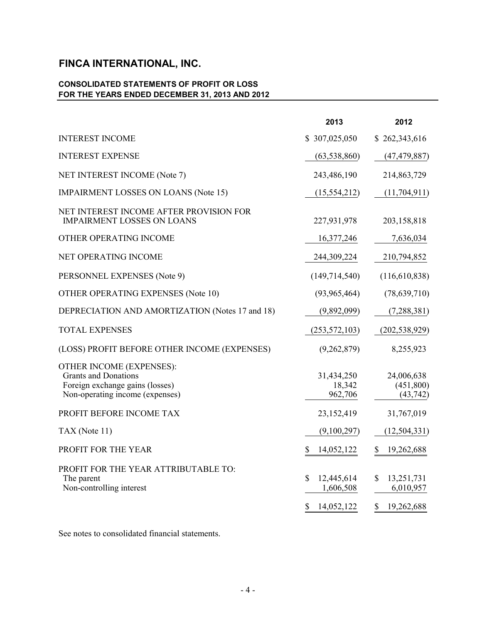# **CONSOLIDATED STATEMENTS OF PROFIT OR LOSS FOR THE YEARS ENDED DECEMBER 31, 2013 AND 2012**

|                                                                                                                                      | 2013                                        | 2012                                              |
|--------------------------------------------------------------------------------------------------------------------------------------|---------------------------------------------|---------------------------------------------------|
| <b>INTEREST INCOME</b>                                                                                                               | \$307,025,050                               | \$262,343,616                                     |
| <b>INTEREST EXPENSE</b>                                                                                                              | (63, 538, 860)                              | (47, 479, 887)                                    |
| NET INTEREST INCOME (Note 7)                                                                                                         | 243,486,190                                 | 214,863,729                                       |
| <b>IMPAIRMENT LOSSES ON LOANS (Note 15)</b>                                                                                          | (15, 554, 212)                              | (11,704,911)                                      |
| NET INTEREST INCOME AFTER PROVISION FOR<br><b>IMPAIRMENT LOSSES ON LOANS</b>                                                         | 227,931,978                                 | 203,158,818                                       |
| OTHER OPERATING INCOME                                                                                                               | 16,377,246                                  | 7,636,034                                         |
| NET OPERATING INCOME                                                                                                                 | 244,309,224                                 | 210,794,852                                       |
| PERSONNEL EXPENSES (Note 9)                                                                                                          | (149, 714, 540)                             | (116,610,838)                                     |
| <b>OTHER OPERATING EXPENSES (Note 10)</b>                                                                                            | (93, 965, 464)                              | (78, 639, 710)                                    |
| DEPRECIATION AND AMORTIZATION (Notes 17 and 18)                                                                                      | (9,892,099)                                 | (7, 288, 381)                                     |
| <b>TOTAL EXPENSES</b>                                                                                                                | (253, 572, 103)                             | (202, 538, 929)                                   |
| (LOSS) PROFIT BEFORE OTHER INCOME (EXPENSES)                                                                                         | (9,262,879)                                 | 8,255,923                                         |
| <b>OTHER INCOME (EXPENSES):</b><br><b>Grants and Donations</b><br>Foreign exchange gains (losses)<br>Non-operating income (expenses) | 31,434,250<br>18,342<br>962,706             | 24,006,638<br>(451,800)<br>(43, 742)              |
| PROFIT BEFORE INCOME TAX                                                                                                             | 23,152,419                                  | 31,767,019                                        |
| TAX (Note 11)                                                                                                                        | (9,100,297)                                 | (12, 504, 331)                                    |
| PROFIT FOR THE YEAR                                                                                                                  | 14,052,122                                  | 19,262,688                                        |
| PROFIT FOR THE YEAR ATTRIBUTABLE TO:<br>The parent<br>Non-controlling interest                                                       | 12,445,614<br>1,606,508<br>\$<br>14,052,122 | \$<br>13,251,731<br>6,010,957<br>\$<br>19,262,688 |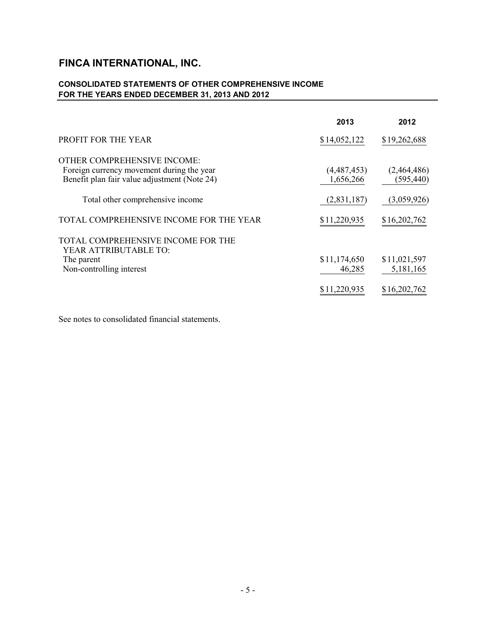# **CONSOLIDATED STATEMENTS OF OTHER COMPREHENSIVE INCOME FOR THE YEARS ENDED DECEMBER 31, 2013 AND 2012**

|                                                                                                                          | 2013                     | 2012                      |
|--------------------------------------------------------------------------------------------------------------------------|--------------------------|---------------------------|
| <b>PROFIT FOR THE YEAR</b>                                                                                               | \$14,052,122             | \$19,262,688              |
| OTHER COMPREHENSIVE INCOME:<br>Foreign currency movement during the year<br>Benefit plan fair value adjustment (Note 24) | (4,487,453)<br>1,656,266 | (2,464,486)<br>(595, 440) |
| Total other comprehensive income                                                                                         | (2,831,187)              | (3,059,926)               |
| TOTAL COMPREHENSIVE INCOME FOR THE YEAR                                                                                  | \$11,220,935             | \$16,202,762              |
| TOTAL COMPREHENSIVE INCOME FOR THE<br>YEAR ATTRIBUTABLE TO:<br>The parent<br>Non-controlling interest                    | \$11,174,650<br>46,285   | \$11,021,597<br>5,181,165 |
|                                                                                                                          | \$11,220,935             | \$16,202,762              |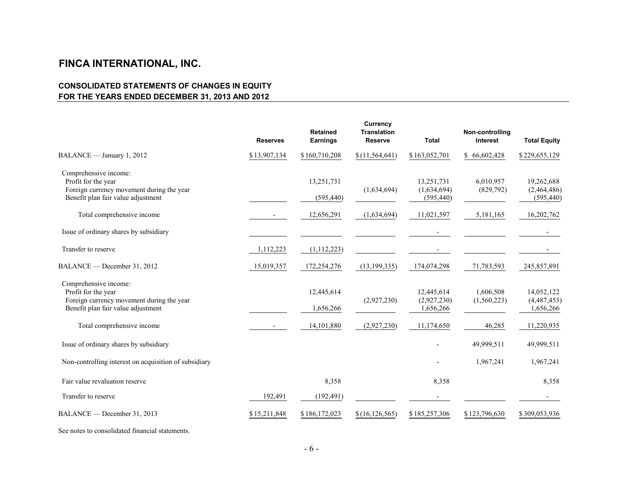# **CONSOLIDATED STATEMENTS OF CHANGES IN EQUITY FOR THE YEARS ENDED DECEMBER 31, 2013 AND 2012**

|                                                                                                                                 | <b>Reserves</b>          | <b>Retained</b><br><b>Earnings</b> | <b>Currency</b><br><b>Translation</b><br><b>Reserve</b> | <b>Total</b>                            | Non-controlling<br><b>Interest</b> | <b>Total Equity</b>                     |
|---------------------------------------------------------------------------------------------------------------------------------|--------------------------|------------------------------------|---------------------------------------------------------|-----------------------------------------|------------------------------------|-----------------------------------------|
| BALANCE - January 1, 2012                                                                                                       | \$13,907,134             | \$160,710,208                      | \$(11, 564, 641)                                        | \$163,052,701                           | \$66,602,428                       | \$229,655,129                           |
| Comprehensive income:<br>Profit for the year<br>Foreign currency movement during the year<br>Benefit plan fair value adjustment |                          | 13,251,731<br>(595, 440)           | (1,634,694)                                             | 13,251,731<br>(1,634,694)<br>(595, 440) | 6,010,957<br>(829,792)             | 19,262,688<br>(2,464,486)<br>(595, 440) |
| Total comprehensive income                                                                                                      |                          | 12,656,291                         | (1,634,694)                                             | 11,021,597                              | 5,181,165                          | 16,202,762                              |
| Issue of ordinary shares by subsidiary                                                                                          |                          |                                    |                                                         |                                         |                                    |                                         |
| Transfer to reserve                                                                                                             | 1,112,223                | (1, 112, 223)                      |                                                         |                                         |                                    |                                         |
| BALANCE — December 31, 2012                                                                                                     | 15,019,357               | 172,254,276                        | (13, 199, 335)                                          | 174,074,298                             | 71,783,593                         | 245,857,891                             |
| Comprehensive income:<br>Profit for the year<br>Foreign currency movement during the year<br>Benefit plan fair value adjustment |                          | 12,445,614<br>1,656,266            | (2,927,230)                                             | 12,445,614<br>(2,927,230)<br>1,656,266  | 1,606,508<br>(1,560,223)           | 14,052,122<br>(4,487,453)<br>1,656,266  |
| Total comprehensive income                                                                                                      | $\overline{\phantom{a}}$ | 14, 101, 880                       | (2,927,230)                                             | 11,174,650                              | 46,285                             | 11,220,935                              |
| Issue of ordinary shares by subsidiary                                                                                          |                          |                                    |                                                         |                                         | 49,999,511                         | 49,999,511                              |
| Non-controlling interest on acquisition of subsidiary                                                                           |                          |                                    |                                                         |                                         | 1,967,241                          | 1,967,241                               |
| Fair value revaluation reserve                                                                                                  |                          | 8,358                              |                                                         | 8,358                                   |                                    | 8,358                                   |
| Transfer to reserve                                                                                                             | 192,491                  | (192, 491)                         |                                                         |                                         |                                    | $\overline{\phantom{a}}$                |
| BALANCE — December 31, 2013                                                                                                     | \$15,211,848             | \$186,172,023                      | \$(16, 126, 565)                                        | \$185,257,306                           | \$123,796,630                      | \$309,053,936                           |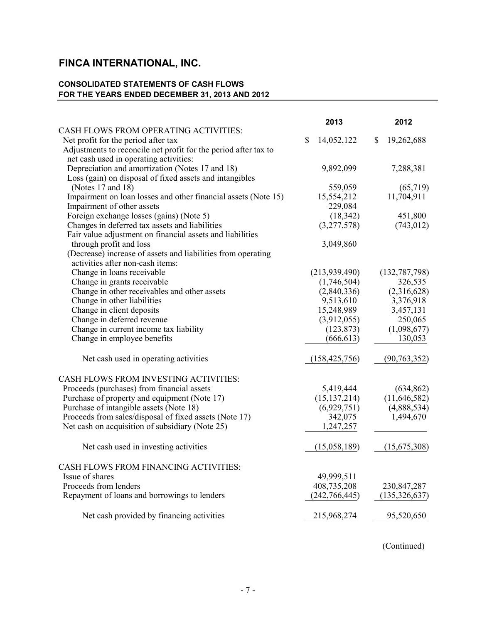# **CONSOLIDATED STATEMENTS OF CASH FLOWS FOR THE YEARS ENDED DECEMBER 31, 2013 AND 2012**

|                                                                 | 2013             | 2012             |
|-----------------------------------------------------------------|------------------|------------------|
| CASH FLOWS FROM OPERATING ACTIVITIES:                           |                  |                  |
| Net profit for the period after tax                             | \$<br>14,052,122 | 19,262,688<br>\$ |
| Adjustments to reconcile net profit for the period after tax to |                  |                  |
| net cash used in operating activities:                          |                  |                  |
| Depreciation and amortization (Notes 17 and 18)                 | 9,892,099        | 7,288,381        |
| Loss (gain) on disposal of fixed assets and intangibles         |                  |                  |
| (Notes 17 and 18)                                               | 559,059          | (65,719)         |
| Impairment on loan losses and other financial assets (Note 15)  | 15,554,212       | 11,704,911       |
| Impairment of other assets                                      | 229,084          |                  |
| Foreign exchange losses (gains) (Note 5)                        | (18, 342)        | 451,800          |
| Changes in deferred tax assets and liabilities                  | (3,277,578)      | (743, 012)       |
| Fair value adjustment on financial assets and liabilities       |                  |                  |
| through profit and loss                                         | 3,049,860        |                  |
| (Decrease) increase of assets and liabilities from operating    |                  |                  |
| activities after non-cash items:                                |                  |                  |
| Change in loans receivable                                      | (213, 939, 490)  | (132, 787, 798)  |
| Change in grants receivable                                     | (1,746,504)      | 326,535          |
| Change in other receivables and other assets                    | (2,840,336)      | (2,316,628)      |
| Change in other liabilities                                     | 9,513,610        | 3,376,918        |
| Change in client deposits                                       | 15,248,989       | 3,457,131        |
| Change in deferred revenue                                      | (3,912,055)      | 250,065          |
| Change in current income tax liability                          | (123, 873)       | (1,098,677)      |
| Change in employee benefits                                     | (666, 613)       | 130,053          |
| Net cash used in operating activities                           | (158, 425, 756)  | (90, 763, 352)   |
| CASH FLOWS FROM INVESTING ACTIVITIES:                           |                  |                  |
| Proceeds (purchases) from financial assets                      | 5,419,444        | (634, 862)       |
| Purchase of property and equipment (Note 17)                    | (15, 137, 214)   | (11,646,582)     |
| Purchase of intangible assets (Note 18)                         | (6,929,751)      | (4,888,534)      |
| Proceeds from sales/disposal of fixed assets (Note 17)          | 342,075          | 1,494,670        |
| Net cash on acquisition of subsidiary (Note 25)                 | 1,247,257        |                  |
| Net cash used in investing activities                           | (15,058,189)     | (15,675,308)     |
| CASH FLOWS FROM FINANCING ACTIVITIES:                           |                  |                  |
| Issue of shares                                                 | 49,999,511       |                  |
| Proceeds from lenders                                           | 408,735,208      | 230, 847, 287    |
| Repayment of loans and borrowings to lenders                    | (242, 766, 445)  | (135, 326, 637)  |
|                                                                 |                  |                  |
| Net cash provided by financing activities                       | 215,968,274      | 95,520,650       |
|                                                                 |                  |                  |

(Continued)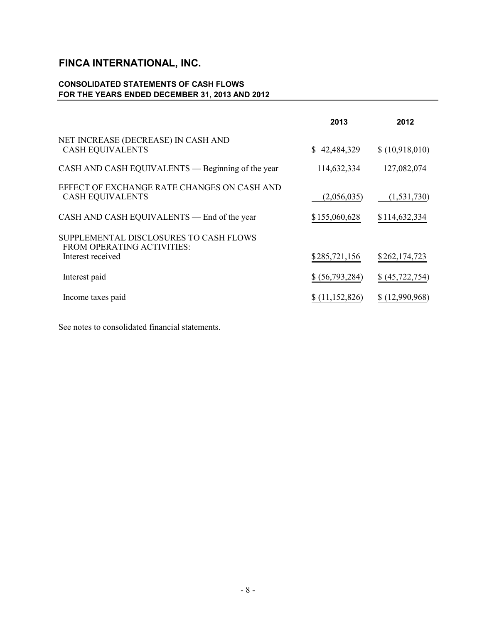# **CONSOLIDATED STATEMENTS OF CASH FLOWS FOR THE YEARS ENDED DECEMBER 31, 2013 AND 2012**

|                                                                        | 2013            | 2012              |
|------------------------------------------------------------------------|-----------------|-------------------|
| NET INCREASE (DECREASE) IN CASH AND<br><b>CASH EQUIVALENTS</b>         | \$42,484,329    | \$(10,918,010)    |
| CASH AND CASH EQUIVALENTS — Beginning of the year                      | 114,632,334     | 127,082,074       |
| EFFECT OF EXCHANGE RATE CHANGES ON CASH AND<br><b>CASH EQUIVALENTS</b> | (2,056,035)     | (1, 531, 730)     |
| CASH AND CASH EQUIVALENTS — End of the year                            | \$155,060,628   | \$114,632,334     |
| SUPPLEMENTAL DISCLOSURES TO CASH FLOWS<br>FROM OPERATING ACTIVITIES:   |                 |                   |
| Interest received                                                      | \$285,721,156   | \$262,174,723     |
| Interest paid                                                          | \$ (56,793,284) | \$ (45, 722, 754) |
| Income taxes paid                                                      | \$(11,152,826)  | \$(12,990,968)    |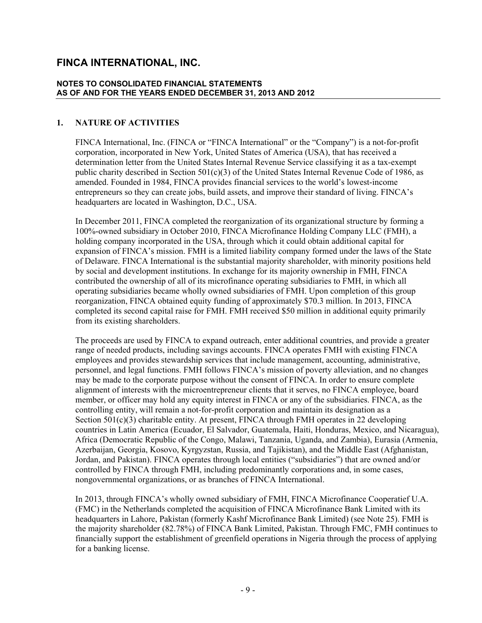#### **NOTES TO CONSOLIDATED FINANCIAL STATEMENTS AS OF AND FOR THE YEARS ENDED DECEMBER 31, 2013 AND 2012**

#### **1. NATURE OF ACTIVITIES**

FINCA International, Inc. (FINCA or "FINCA International" or the "Company") is a not-for-profit corporation, incorporated in New York, United States of America (USA), that has received a determination letter from the United States Internal Revenue Service classifying it as a tax-exempt public charity described in Section 501(c)(3) of the United States Internal Revenue Code of 1986, as amended. Founded in 1984, FINCA provides financial services to the world's lowest-income entrepreneurs so they can create jobs, build assets, and improve their standard of living. FINCA's headquarters are located in Washington, D.C., USA.

In December 2011, FINCA completed the reorganization of its organizational structure by forming a 100%-owned subsidiary in October 2010, FINCA Microfinance Holding Company LLC (FMH), a holding company incorporated in the USA, through which it could obtain additional capital for expansion of FINCA's mission. FMH is a limited liability company formed under the laws of the State of Delaware. FINCA International is the substantial majority shareholder, with minority positions held by social and development institutions. In exchange for its majority ownership in FMH, FINCA contributed the ownership of all of its microfinance operating subsidiaries to FMH, in which all operating subsidiaries became wholly owned subsidiaries of FMH. Upon completion of this group reorganization, FINCA obtained equity funding of approximately \$70.3 million. In 2013, FINCA completed its second capital raise for FMH. FMH received \$50 million in additional equity primarily from its existing shareholders.

The proceeds are used by FINCA to expand outreach, enter additional countries, and provide a greater range of needed products, including savings accounts. FINCA operates FMH with existing FINCA employees and provides stewardship services that include management, accounting, administrative, personnel, and legal functions. FMH follows FINCA's mission of poverty alleviation, and no changes may be made to the corporate purpose without the consent of FINCA. In order to ensure complete alignment of interests with the microentrepreneur clients that it serves, no FINCA employee, board member, or officer may hold any equity interest in FINCA or any of the subsidiaries. FINCA, as the controlling entity, will remain a not-for-profit corporation and maintain its designation as a Section 501(c)(3) charitable entity. At present, FINCA through FMH operates in 22 developing countries in Latin America (Ecuador, El Salvador, Guatemala, Haiti, Honduras, Mexico, and Nicaragua), Africa (Democratic Republic of the Congo, Malawi, Tanzania, Uganda, and Zambia), Eurasia (Armenia, Azerbaijan, Georgia, Kosovo, Kyrgyzstan, Russia, and Tajikistan), and the Middle East (Afghanistan, Jordan, and Pakistan). FINCA operates through local entities ("subsidiaries") that are owned and/or controlled by FINCA through FMH, including predominantly corporations and, in some cases, nongovernmental organizations, or as branches of FINCA International.

In 2013, through FINCA's wholly owned subsidiary of FMH, FINCA Microfinance Cooperatief U.A. (FMC) in the Netherlands completed the acquisition of FINCA Microfinance Bank Limited with its headquarters in Lahore, Pakistan (formerly Kashf Microfinance Bank Limited) (see Note 25). FMH is the majority shareholder (82.78%) of FINCA Bank Limited, Pakistan. Through FMC, FMH continues to financially support the establishment of greenfield operations in Nigeria through the process of applying for a banking license.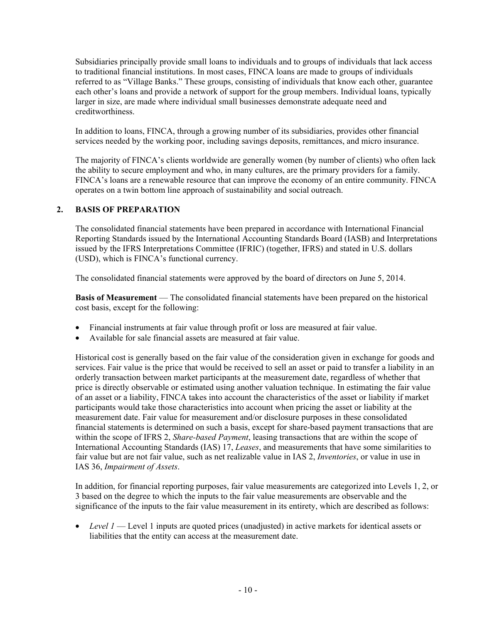Subsidiaries principally provide small loans to individuals and to groups of individuals that lack access to traditional financial institutions. In most cases, FINCA loans are made to groups of individuals referred to as "Village Banks." These groups, consisting of individuals that know each other, guarantee each other's loans and provide a network of support for the group members. Individual loans, typically larger in size, are made where individual small businesses demonstrate adequate need and creditworthiness.

In addition to loans, FINCA, through a growing number of its subsidiaries, provides other financial services needed by the working poor, including savings deposits, remittances, and micro insurance.

The majority of FINCA's clients worldwide are generally women (by number of clients) who often lack the ability to secure employment and who, in many cultures, are the primary providers for a family. FINCA's loans are a renewable resource that can improve the economy of an entire community. FINCA operates on a twin bottom line approach of sustainability and social outreach.

#### **2. BASIS OF PREPARATION**

The consolidated financial statements have been prepared in accordance with International Financial Reporting Standards issued by the International Accounting Standards Board (IASB) and Interpretations issued by the IFRS Interpretations Committee (IFRIC) (together, IFRS) and stated in U.S. dollars (USD), which is FINCA's functional currency.

The consolidated financial statements were approved by the board of directors on June 5, 2014.

**Basis of Measurement** — The consolidated financial statements have been prepared on the historical cost basis, except for the following:

- Financial instruments at fair value through profit or loss are measured at fair value.
- Available for sale financial assets are measured at fair value.

Historical cost is generally based on the fair value of the consideration given in exchange for goods and services. Fair value is the price that would be received to sell an asset or paid to transfer a liability in an orderly transaction between market participants at the measurement date, regardless of whether that price is directly observable or estimated using another valuation technique. In estimating the fair value of an asset or a liability, FINCA takes into account the characteristics of the asset or liability if market participants would take those characteristics into account when pricing the asset or liability at the measurement date. Fair value for measurement and/or disclosure purposes in these consolidated financial statements is determined on such a basis, except for share-based payment transactions that are within the scope of IFRS 2, *Share-based Payment*, leasing transactions that are within the scope of International Accounting Standards (IAS) 17, *Leases*, and measurements that have some similarities to fair value but are not fair value, such as net realizable value in IAS 2, *Inventories*, or value in use in IAS 36, *Impairment of Assets*.

In addition, for financial reporting purposes, fair value measurements are categorized into Levels 1, 2, or 3 based on the degree to which the inputs to the fair value measurements are observable and the significance of the inputs to the fair value measurement in its entirety, which are described as follows:

• *Level 1* — Level 1 inputs are quoted prices (unadjusted) in active markets for identical assets or liabilities that the entity can access at the measurement date.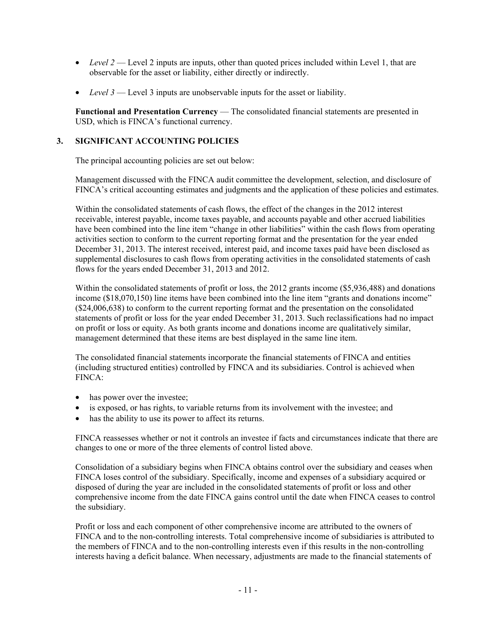- *Level 2* Level 2 inputs are inputs, other than quoted prices included within Level 1, that are observable for the asset or liability, either directly or indirectly.
- *Level* 3 Level 3 inputs are unobservable inputs for the asset or liability.

**Functional and Presentation Currency** — The consolidated financial statements are presented in USD, which is FINCA's functional currency.

# **3. SIGNIFICANT ACCOUNTING POLICIES**

The principal accounting policies are set out below:

Management discussed with the FINCA audit committee the development, selection, and disclosure of FINCA's critical accounting estimates and judgments and the application of these policies and estimates.

Within the consolidated statements of cash flows, the effect of the changes in the 2012 interest receivable, interest payable, income taxes payable, and accounts payable and other accrued liabilities have been combined into the line item "change in other liabilities" within the cash flows from operating activities section to conform to the current reporting format and the presentation for the year ended December 31, 2013. The interest received, interest paid, and income taxes paid have been disclosed as supplemental disclosures to cash flows from operating activities in the consolidated statements of cash flows for the years ended December 31, 2013 and 2012.

Within the consolidated statements of profit or loss, the 2012 grants income (\$5,936,488) and donations income (\$18,070,150) line items have been combined into the line item "grants and donations income" (\$24,006,638) to conform to the current reporting format and the presentation on the consolidated statements of profit or loss for the year ended December 31, 2013. Such reclassifications had no impact on profit or loss or equity. As both grants income and donations income are qualitatively similar, management determined that these items are best displayed in the same line item.

The consolidated financial statements incorporate the financial statements of FINCA and entities (including structured entities) controlled by FINCA and its subsidiaries. Control is achieved when FINCA:

- has power over the investee;
- is exposed, or has rights, to variable returns from its involvement with the investee; and
- has the ability to use its power to affect its returns.

FINCA reassesses whether or not it controls an investee if facts and circumstances indicate that there are changes to one or more of the three elements of control listed above.

Consolidation of a subsidiary begins when FINCA obtains control over the subsidiary and ceases when FINCA loses control of the subsidiary. Specifically, income and expenses of a subsidiary acquired or disposed of during the year are included in the consolidated statements of profit or loss and other comprehensive income from the date FINCA gains control until the date when FINCA ceases to control the subsidiary.

Profit or loss and each component of other comprehensive income are attributed to the owners of FINCA and to the non-controlling interests. Total comprehensive income of subsidiaries is attributed to the members of FINCA and to the non-controlling interests even if this results in the non-controlling interests having a deficit balance. When necessary, adjustments are made to the financial statements of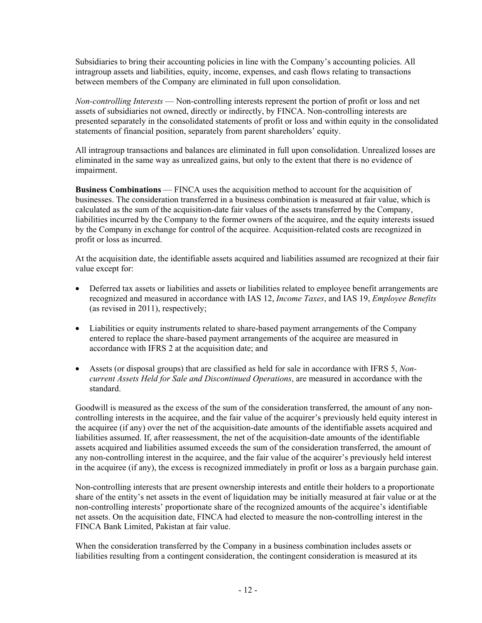Subsidiaries to bring their accounting policies in line with the Company's accounting policies. All intragroup assets and liabilities, equity, income, expenses, and cash flows relating to transactions between members of the Company are eliminated in full upon consolidation.

*Non-controlling Interests* — Non-controlling interests represent the portion of profit or loss and net assets of subsidiaries not owned, directly or indirectly, by FINCA. Non-controlling interests are presented separately in the consolidated statements of profit or loss and within equity in the consolidated statements of financial position, separately from parent shareholders' equity.

All intragroup transactions and balances are eliminated in full upon consolidation. Unrealized losses are eliminated in the same way as unrealized gains, but only to the extent that there is no evidence of impairment.

**Business Combinations** — FINCA uses the acquisition method to account for the acquisition of businesses. The consideration transferred in a business combination is measured at fair value, which is calculated as the sum of the acquisition-date fair values of the assets transferred by the Company, liabilities incurred by the Company to the former owners of the acquiree, and the equity interests issued by the Company in exchange for control of the acquiree. Acquisition-related costs are recognized in profit or loss as incurred.

At the acquisition date, the identifiable assets acquired and liabilities assumed are recognized at their fair value except for:

- Deferred tax assets or liabilities and assets or liabilities related to employee benefit arrangements are recognized and measured in accordance with IAS 12, *Income Taxes*, and IAS 19, *Employee Benefits*  (as revised in 2011), respectively;
- Liabilities or equity instruments related to share-based payment arrangements of the Company entered to replace the share-based payment arrangements of the acquiree are measured in accordance with IFRS 2 at the acquisition date; and
- Assets (or disposal groups) that are classified as held for sale in accordance with IFRS 5, *Noncurrent Assets Held for Sale and Discontinued Operations*, are measured in accordance with the standard.

Goodwill is measured as the excess of the sum of the consideration transferred, the amount of any noncontrolling interests in the acquiree, and the fair value of the acquirer's previously held equity interest in the acquiree (if any) over the net of the acquisition-date amounts of the identifiable assets acquired and liabilities assumed. If, after reassessment, the net of the acquisition-date amounts of the identifiable assets acquired and liabilities assumed exceeds the sum of the consideration transferred, the amount of any non-controlling interest in the acquiree, and the fair value of the acquirer's previously held interest in the acquiree (if any), the excess is recognized immediately in profit or loss as a bargain purchase gain.

Non-controlling interests that are present ownership interests and entitle their holders to a proportionate share of the entity's net assets in the event of liquidation may be initially measured at fair value or at the non-controlling interests' proportionate share of the recognized amounts of the acquiree's identifiable net assets. On the acquisition date, FINCA had elected to measure the non-controlling interest in the FINCA Bank Limited, Pakistan at fair value.

When the consideration transferred by the Company in a business combination includes assets or liabilities resulting from a contingent consideration, the contingent consideration is measured at its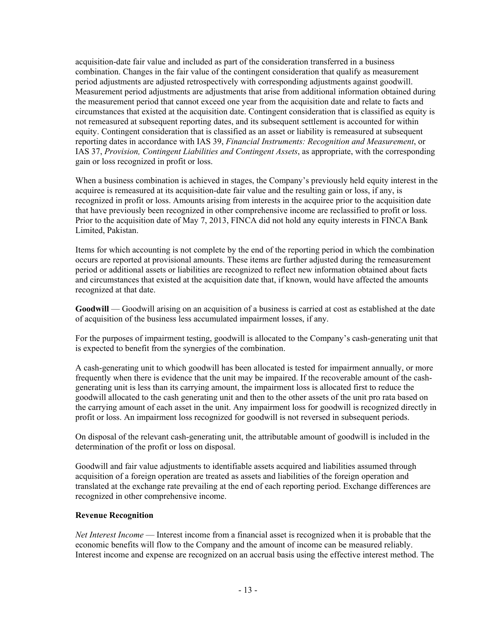acquisition-date fair value and included as part of the consideration transferred in a business combination. Changes in the fair value of the contingent consideration that qualify as measurement period adjustments are adjusted retrospectively with corresponding adjustments against goodwill. Measurement period adjustments are adjustments that arise from additional information obtained during the measurement period that cannot exceed one year from the acquisition date and relate to facts and circumstances that existed at the acquisition date. Contingent consideration that is classified as equity is not remeasured at subsequent reporting dates, and its subsequent settlement is accounted for within equity. Contingent consideration that is classified as an asset or liability is remeasured at subsequent reporting dates in accordance with IAS 39, *Financial Instruments: Recognition and Measurement*, or IAS 37, *Provision, Contingent Liabilities and Contingent Assets*, as appropriate, with the corresponding gain or loss recognized in profit or loss.

When a business combination is achieved in stages, the Company's previously held equity interest in the acquiree is remeasured at its acquisition-date fair value and the resulting gain or loss, if any, is recognized in profit or loss. Amounts arising from interests in the acquiree prior to the acquisition date that have previously been recognized in other comprehensive income are reclassified to profit or loss. Prior to the acquisition date of May 7, 2013, FINCA did not hold any equity interests in FINCA Bank Limited, Pakistan.

Items for which accounting is not complete by the end of the reporting period in which the combination occurs are reported at provisional amounts. These items are further adjusted during the remeasurement period or additional assets or liabilities are recognized to reflect new information obtained about facts and circumstances that existed at the acquisition date that, if known, would have affected the amounts recognized at that date.

**Goodwill** — Goodwill arising on an acquisition of a business is carried at cost as established at the date of acquisition of the business less accumulated impairment losses, if any.

For the purposes of impairment testing, goodwill is allocated to the Company's cash-generating unit that is expected to benefit from the synergies of the combination.

A cash-generating unit to which goodwill has been allocated is tested for impairment annually, or more frequently when there is evidence that the unit may be impaired. If the recoverable amount of the cashgenerating unit is less than its carrying amount, the impairment loss is allocated first to reduce the goodwill allocated to the cash generating unit and then to the other assets of the unit pro rata based on the carrying amount of each asset in the unit. Any impairment loss for goodwill is recognized directly in profit or loss. An impairment loss recognized for goodwill is not reversed in subsequent periods.

On disposal of the relevant cash-generating unit, the attributable amount of goodwill is included in the determination of the profit or loss on disposal.

Goodwill and fair value adjustments to identifiable assets acquired and liabilities assumed through acquisition of a foreign operation are treated as assets and liabilities of the foreign operation and translated at the exchange rate prevailing at the end of each reporting period. Exchange differences are recognized in other comprehensive income.

#### **Revenue Recognition**

*Net Interest Income* — Interest income from a financial asset is recognized when it is probable that the economic benefits will flow to the Company and the amount of income can be measured reliably. Interest income and expense are recognized on an accrual basis using the effective interest method. The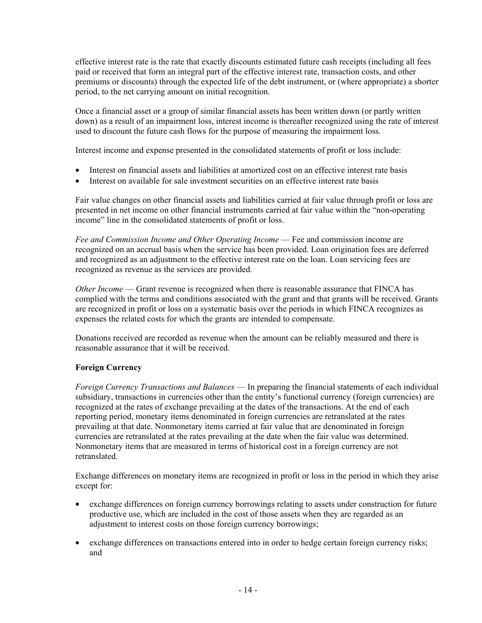effective interest rate is the rate that exactly discounts estimated future cash receipts (including all fees paid or received that form an integral part of the effective interest rate, transaction costs, and other premiums or discounts) through the expected life of the debt instrument, or (where appropriate) a shorter period, to the net carrying amount on initial recognition.

Once a financial asset or a group of similar financial assets has been written down (or partly written down) as a result of an impairment loss, interest income is thereafter recognized using the rate of interest used to discount the future cash flows for the purpose of measuring the impairment loss.

Interest income and expense presented in the consolidated statements of profit or loss include:

- Interest on financial assets and liabilities at amortized cost on an effective interest rate basis
- Interest on available for sale investment securities on an effective interest rate basis

Fair value changes on other financial assets and liabilities carried at fair value through profit or loss are presented in net income on other financial instruments carried at fair value within the "non-operating income" line in the consolidated statements of profit or loss.

*Fee and Commission Income and Other Operating Income* — Fee and commission income are recognized on an accrual basis when the service has been provided. Loan origination fees are deferred and recognized as an adjustment to the effective interest rate on the loan. Loan servicing fees are recognized as revenue as the services are provided.

*Other Income* — Grant revenue is recognized when there is reasonable assurance that FINCA has complied with the terms and conditions associated with the grant and that grants will be received. Grants are recognized in profit or loss on a systematic basis over the periods in which FINCA recognizes as expenses the related costs for which the grants are intended to compensate.

Donations received are recorded as revenue when the amount can be reliably measured and there is reasonable assurance that it will be received.

# **Foreign Currency**

*Foreign Currency Transactions and Balances* — In preparing the financial statements of each individual subsidiary, transactions in currencies other than the entity's functional currency (foreign currencies) are recognized at the rates of exchange prevailing at the dates of the transactions. At the end of each reporting period, monetary items denominated in foreign currencies are retranslated at the rates prevailing at that date. Nonmonetary items carried at fair value that are denominated in foreign currencies are retranslated at the rates prevailing at the date when the fair value was determined. Nonmonetary items that are measured in terms of historical cost in a foreign currency are not retranslated.

Exchange differences on monetary items are recognized in profit or loss in the period in which they arise except for:

- exchange differences on foreign currency borrowings relating to assets under construction for future productive use, which are included in the cost of those assets when they are regarded as an adjustment to interest costs on those foreign currency borrowings;
- exchange differences on transactions entered into in order to hedge certain foreign currency risks; and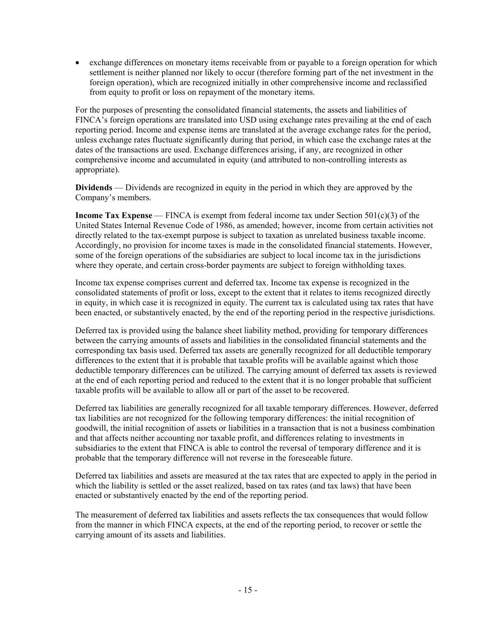• exchange differences on monetary items receivable from or payable to a foreign operation for which settlement is neither planned nor likely to occur (therefore forming part of the net investment in the foreign operation), which are recognized initially in other comprehensive income and reclassified from equity to profit or loss on repayment of the monetary items.

For the purposes of presenting the consolidated financial statements, the assets and liabilities of FINCA's foreign operations are translated into USD using exchange rates prevailing at the end of each reporting period. Income and expense items are translated at the average exchange rates for the period, unless exchange rates fluctuate significantly during that period, in which case the exchange rates at the dates of the transactions are used. Exchange differences arising, if any, are recognized in other comprehensive income and accumulated in equity (and attributed to non-controlling interests as appropriate).

**Dividends** — Dividends are recognized in equity in the period in which they are approved by the Company's members.

**Income Tax Expense** — FINCA is exempt from federal income tax under Section 501(c)(3) of the United States Internal Revenue Code of 1986, as amended; however, income from certain activities not directly related to the tax-exempt purpose is subject to taxation as unrelated business taxable income. Accordingly, no provision for income taxes is made in the consolidated financial statements. However, some of the foreign operations of the subsidiaries are subject to local income tax in the jurisdictions where they operate, and certain cross-border payments are subject to foreign withholding taxes.

Income tax expense comprises current and deferred tax. Income tax expense is recognized in the consolidated statements of profit or loss, except to the extent that it relates to items recognized directly in equity, in which case it is recognized in equity. The current tax is calculated using tax rates that have been enacted, or substantively enacted, by the end of the reporting period in the respective jurisdictions.

Deferred tax is provided using the balance sheet liability method, providing for temporary differences between the carrying amounts of assets and liabilities in the consolidated financial statements and the corresponding tax basis used. Deferred tax assets are generally recognized for all deductible temporary differences to the extent that it is probable that taxable profits will be available against which those deductible temporary differences can be utilized. The carrying amount of deferred tax assets is reviewed at the end of each reporting period and reduced to the extent that it is no longer probable that sufficient taxable profits will be available to allow all or part of the asset to be recovered.

Deferred tax liabilities are generally recognized for all taxable temporary differences. However, deferred tax liabilities are not recognized for the following temporary differences: the initial recognition of goodwill, the initial recognition of assets or liabilities in a transaction that is not a business combination and that affects neither accounting nor taxable profit, and differences relating to investments in subsidiaries to the extent that FINCA is able to control the reversal of temporary difference and it is probable that the temporary difference will not reverse in the foreseeable future.

Deferred tax liabilities and assets are measured at the tax rates that are expected to apply in the period in which the liability is settled or the asset realized, based on tax rates (and tax laws) that have been enacted or substantively enacted by the end of the reporting period.

The measurement of deferred tax liabilities and assets reflects the tax consequences that would follow from the manner in which FINCA expects, at the end of the reporting period, to recover or settle the carrying amount of its assets and liabilities.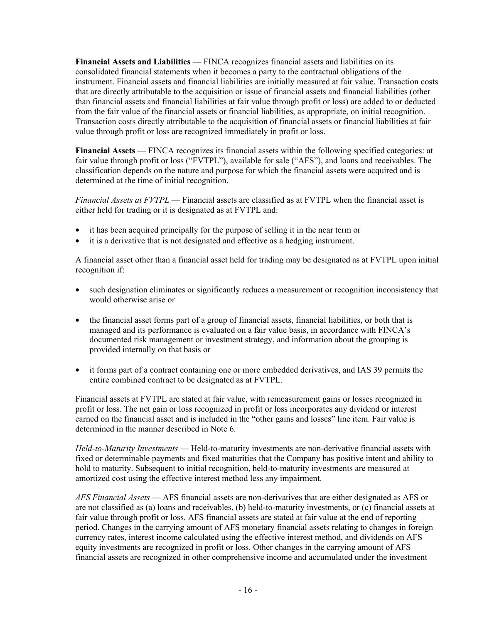**Financial Assets and Liabilities** — FINCA recognizes financial assets and liabilities on its consolidated financial statements when it becomes a party to the contractual obligations of the instrument. Financial assets and financial liabilities are initially measured at fair value. Transaction costs that are directly attributable to the acquisition or issue of financial assets and financial liabilities (other than financial assets and financial liabilities at fair value through profit or loss) are added to or deducted from the fair value of the financial assets or financial liabilities, as appropriate, on initial recognition. Transaction costs directly attributable to the acquisition of financial assets or financial liabilities at fair value through profit or loss are recognized immediately in profit or loss.

**Financial Assets** — FINCA recognizes its financial assets within the following specified categories: at fair value through profit or loss ("FVTPL"), available for sale ("AFS"), and loans and receivables. The classification depends on the nature and purpose for which the financial assets were acquired and is determined at the time of initial recognition.

*Financial Assets at FVTPL* — Financial assets are classified as at FVTPL when the financial asset is either held for trading or it is designated as at FVTPL and:

- it has been acquired principally for the purpose of selling it in the near term or
- it is a derivative that is not designated and effective as a hedging instrument.

A financial asset other than a financial asset held for trading may be designated as at FVTPL upon initial recognition if:

- such designation eliminates or significantly reduces a measurement or recognition inconsistency that would otherwise arise or
- the financial asset forms part of a group of financial assets, financial liabilities, or both that is managed and its performance is evaluated on a fair value basis, in accordance with FINCA's documented risk management or investment strategy, and information about the grouping is provided internally on that basis or
- it forms part of a contract containing one or more embedded derivatives, and IAS 39 permits the entire combined contract to be designated as at FVTPL.

Financial assets at FVTPL are stated at fair value, with remeasurement gains or losses recognized in profit or loss. The net gain or loss recognized in profit or loss incorporates any dividend or interest earned on the financial asset and is included in the "other gains and losses" line item. Fair value is determined in the manner described in Note 6.

*Held-to-Maturity Investments* — Held-to-maturity investments are non-derivative financial assets with fixed or determinable payments and fixed maturities that the Company has positive intent and ability to hold to maturity. Subsequent to initial recognition, held-to-maturity investments are measured at amortized cost using the effective interest method less any impairment.

*AFS Financial Assets* — AFS financial assets are non-derivatives that are either designated as AFS or are not classified as (a) loans and receivables, (b) held-to-maturity investments, or (c) financial assets at fair value through profit or loss. AFS financial assets are stated at fair value at the end of reporting period. Changes in the carrying amount of AFS monetary financial assets relating to changes in foreign currency rates, interest income calculated using the effective interest method, and dividends on AFS equity investments are recognized in profit or loss. Other changes in the carrying amount of AFS financial assets are recognized in other comprehensive income and accumulated under the investment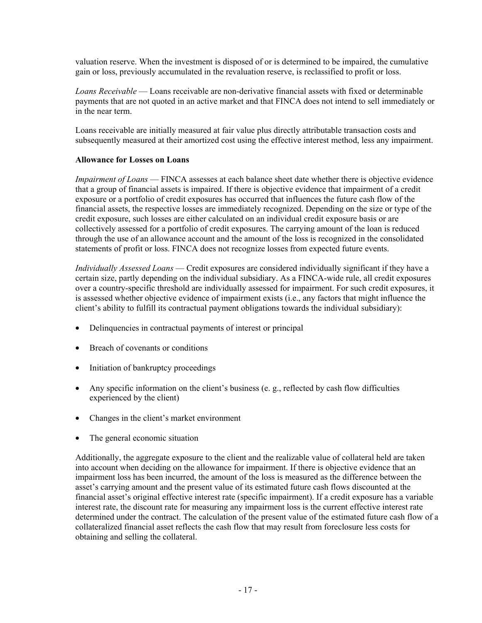valuation reserve. When the investment is disposed of or is determined to be impaired, the cumulative gain or loss, previously accumulated in the revaluation reserve, is reclassified to profit or loss.

*Loans Receivable* — Loans receivable are non-derivative financial assets with fixed or determinable payments that are not quoted in an active market and that FINCA does not intend to sell immediately or in the near term.

Loans receivable are initially measured at fair value plus directly attributable transaction costs and subsequently measured at their amortized cost using the effective interest method, less any impairment.

#### **Allowance for Losses on Loans**

*Impairment of Loans* — FINCA assesses at each balance sheet date whether there is objective evidence that a group of financial assets is impaired. If there is objective evidence that impairment of a credit exposure or a portfolio of credit exposures has occurred that influences the future cash flow of the financial assets, the respective losses are immediately recognized. Depending on the size or type of the credit exposure, such losses are either calculated on an individual credit exposure basis or are collectively assessed for a portfolio of credit exposures. The carrying amount of the loan is reduced through the use of an allowance account and the amount of the loss is recognized in the consolidated statements of profit or loss. FINCA does not recognize losses from expected future events.

*Individually Assessed Loans* — Credit exposures are considered individually significant if they have a certain size, partly depending on the individual subsidiary. As a FINCA-wide rule, all credit exposures over a country-specific threshold are individually assessed for impairment. For such credit exposures, it is assessed whether objective evidence of impairment exists (i.e., any factors that might influence the client's ability to fulfill its contractual payment obligations towards the individual subsidiary):

- Delinquencies in contractual payments of interest or principal
- Breach of covenants or conditions
- Initiation of bankruptcy proceedings
- Any specific information on the client's business (e. g., reflected by cash flow difficulties experienced by the client)
- Changes in the client's market environment
- The general economic situation

Additionally, the aggregate exposure to the client and the realizable value of collateral held are taken into account when deciding on the allowance for impairment. If there is objective evidence that an impairment loss has been incurred, the amount of the loss is measured as the difference between the asset's carrying amount and the present value of its estimated future cash flows discounted at the financial asset's original effective interest rate (specific impairment). If a credit exposure has a variable interest rate, the discount rate for measuring any impairment loss is the current effective interest rate determined under the contract. The calculation of the present value of the estimated future cash flow of a collateralized financial asset reflects the cash flow that may result from foreclosure less costs for obtaining and selling the collateral.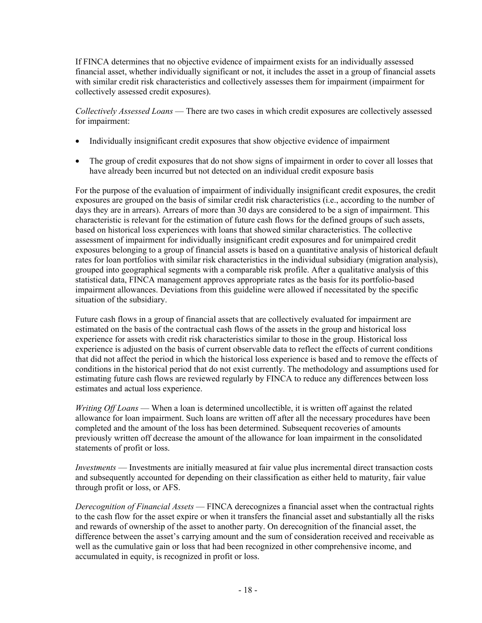If FINCA determines that no objective evidence of impairment exists for an individually assessed financial asset, whether individually significant or not, it includes the asset in a group of financial assets with similar credit risk characteristics and collectively assesses them for impairment (impairment for collectively assessed credit exposures).

*Collectively Assessed Loans* — There are two cases in which credit exposures are collectively assessed for impairment:

- Individually insignificant credit exposures that show objective evidence of impairment
- The group of credit exposures that do not show signs of impairment in order to cover all losses that have already been incurred but not detected on an individual credit exposure basis

For the purpose of the evaluation of impairment of individually insignificant credit exposures, the credit exposures are grouped on the basis of similar credit risk characteristics (i.e., according to the number of days they are in arrears). Arrears of more than 30 days are considered to be a sign of impairment. This characteristic is relevant for the estimation of future cash flows for the defined groups of such assets, based on historical loss experiences with loans that showed similar characteristics. The collective assessment of impairment for individually insignificant credit exposures and for unimpaired credit exposures belonging to a group of financial assets is based on a quantitative analysis of historical default rates for loan portfolios with similar risk characteristics in the individual subsidiary (migration analysis), grouped into geographical segments with a comparable risk profile. After a qualitative analysis of this statistical data, FINCA management approves appropriate rates as the basis for its portfolio-based impairment allowances. Deviations from this guideline were allowed if necessitated by the specific situation of the subsidiary.

Future cash flows in a group of financial assets that are collectively evaluated for impairment are estimated on the basis of the contractual cash flows of the assets in the group and historical loss experience for assets with credit risk characteristics similar to those in the group. Historical loss experience is adjusted on the basis of current observable data to reflect the effects of current conditions that did not affect the period in which the historical loss experience is based and to remove the effects of conditions in the historical period that do not exist currently. The methodology and assumptions used for estimating future cash flows are reviewed regularly by FINCA to reduce any differences between loss estimates and actual loss experience.

*Writing Off Loans* — When a loan is determined uncollectible, it is written off against the related allowance for loan impairment. Such loans are written off after all the necessary procedures have been completed and the amount of the loss has been determined. Subsequent recoveries of amounts previously written off decrease the amount of the allowance for loan impairment in the consolidated statements of profit or loss.

*Investments* — Investments are initially measured at fair value plus incremental direct transaction costs and subsequently accounted for depending on their classification as either held to maturity, fair value through profit or loss, or AFS.

*Derecognition of Financial Assets* — FINCA derecognizes a financial asset when the contractual rights to the cash flow for the asset expire or when it transfers the financial asset and substantially all the risks and rewards of ownership of the asset to another party. On derecognition of the financial asset, the difference between the asset's carrying amount and the sum of consideration received and receivable as well as the cumulative gain or loss that had been recognized in other comprehensive income, and accumulated in equity, is recognized in profit or loss.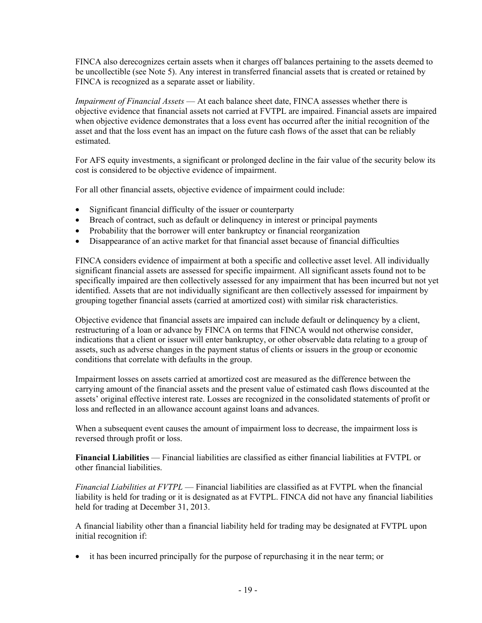FINCA also derecognizes certain assets when it charges off balances pertaining to the assets deemed to be uncollectible (see Note 5). Any interest in transferred financial assets that is created or retained by FINCA is recognized as a separate asset or liability.

*Impairment of Financial Assets* — At each balance sheet date, FINCA assesses whether there is objective evidence that financial assets not carried at FVTPL are impaired. Financial assets are impaired when objective evidence demonstrates that a loss event has occurred after the initial recognition of the asset and that the loss event has an impact on the future cash flows of the asset that can be reliably estimated.

For AFS equity investments, a significant or prolonged decline in the fair value of the security below its cost is considered to be objective evidence of impairment.

For all other financial assets, objective evidence of impairment could include:

- Significant financial difficulty of the issuer or counterparty
- Breach of contract, such as default or delinquency in interest or principal payments
- Probability that the borrower will enter bankruptcy or financial reorganization
- Disappearance of an active market for that financial asset because of financial difficulties

FINCA considers evidence of impairment at both a specific and collective asset level. All individually significant financial assets are assessed for specific impairment. All significant assets found not to be specifically impaired are then collectively assessed for any impairment that has been incurred but not yet identified. Assets that are not individually significant are then collectively assessed for impairment by grouping together financial assets (carried at amortized cost) with similar risk characteristics.

Objective evidence that financial assets are impaired can include default or delinquency by a client, restructuring of a loan or advance by FINCA on terms that FINCA would not otherwise consider, indications that a client or issuer will enter bankruptcy, or other observable data relating to a group of assets, such as adverse changes in the payment status of clients or issuers in the group or economic conditions that correlate with defaults in the group.

Impairment losses on assets carried at amortized cost are measured as the difference between the carrying amount of the financial assets and the present value of estimated cash flows discounted at the assets' original effective interest rate. Losses are recognized in the consolidated statements of profit or loss and reflected in an allowance account against loans and advances.

When a subsequent event causes the amount of impairment loss to decrease, the impairment loss is reversed through profit or loss.

**Financial Liabilities** — Financial liabilities are classified as either financial liabilities at FVTPL or other financial liabilities.

*Financial Liabilities at FVTPL* — Financial liabilities are classified as at FVTPL when the financial liability is held for trading or it is designated as at FVTPL. FINCA did not have any financial liabilities held for trading at December 31, 2013.

A financial liability other than a financial liability held for trading may be designated at FVTPL upon initial recognition if:

• it has been incurred principally for the purpose of repurchasing it in the near term; or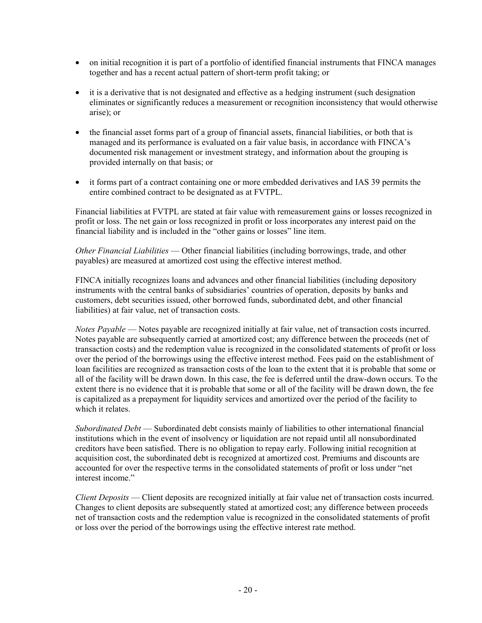- on initial recognition it is part of a portfolio of identified financial instruments that FINCA manages together and has a recent actual pattern of short-term profit taking; or
- it is a derivative that is not designated and effective as a hedging instrument (such designation eliminates or significantly reduces a measurement or recognition inconsistency that would otherwise arise); or
- the financial asset forms part of a group of financial assets, financial liabilities, or both that is managed and its performance is evaluated on a fair value basis, in accordance with FINCA's documented risk management or investment strategy, and information about the grouping is provided internally on that basis; or
- it forms part of a contract containing one or more embedded derivatives and IAS 39 permits the entire combined contract to be designated as at FVTPL.

Financial liabilities at FVTPL are stated at fair value with remeasurement gains or losses recognized in profit or loss. The net gain or loss recognized in profit or loss incorporates any interest paid on the financial liability and is included in the "other gains or losses" line item.

*Other Financial Liabilities* — Other financial liabilities (including borrowings, trade, and other payables) are measured at amortized cost using the effective interest method.

FINCA initially recognizes loans and advances and other financial liabilities (including depository instruments with the central banks of subsidiaries' countries of operation, deposits by banks and customers, debt securities issued, other borrowed funds, subordinated debt, and other financial liabilities) at fair value, net of transaction costs.

*Notes Payable* — Notes payable are recognized initially at fair value, net of transaction costs incurred. Notes payable are subsequently carried at amortized cost; any difference between the proceeds (net of transaction costs) and the redemption value is recognized in the consolidated statements of profit or loss over the period of the borrowings using the effective interest method. Fees paid on the establishment of loan facilities are recognized as transaction costs of the loan to the extent that it is probable that some or all of the facility will be drawn down. In this case, the fee is deferred until the draw-down occurs. To the extent there is no evidence that it is probable that some or all of the facility will be drawn down, the fee is capitalized as a prepayment for liquidity services and amortized over the period of the facility to which it relates

*Subordinated Debt* — Subordinated debt consists mainly of liabilities to other international financial institutions which in the event of insolvency or liquidation are not repaid until all nonsubordinated creditors have been satisfied. There is no obligation to repay early. Following initial recognition at acquisition cost, the subordinated debt is recognized at amortized cost. Premiums and discounts are accounted for over the respective terms in the consolidated statements of profit or loss under "net interest income"

*Client Deposits* — Client deposits are recognized initially at fair value net of transaction costs incurred. Changes to client deposits are subsequently stated at amortized cost; any difference between proceeds net of transaction costs and the redemption value is recognized in the consolidated statements of profit or loss over the period of the borrowings using the effective interest rate method.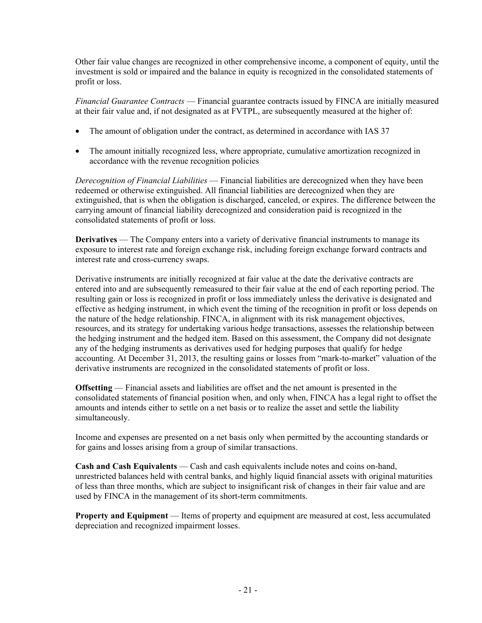Other fair value changes are recognized in other comprehensive income, a component of equity, until the investment is sold or impaired and the balance in equity is recognized in the consolidated statements of profit or loss.

*Financial Guarantee Contracts* — Financial guarantee contracts issued by FINCA are initially measured at their fair value and, if not designated as at FVTPL, are subsequently measured at the higher of:

- The amount of obligation under the contract, as determined in accordance with IAS 37
- The amount initially recognized less, where appropriate, cumulative amortization recognized in accordance with the revenue recognition policies

*Derecognition of Financial Liabilities* — Financial liabilities are derecognized when they have been redeemed or otherwise extinguished. All financial liabilities are derecognized when they are extinguished, that is when the obligation is discharged, canceled, or expires. The difference between the carrying amount of financial liability derecognized and consideration paid is recognized in the consolidated statements of profit or loss.

**Derivatives** — The Company enters into a variety of derivative financial instruments to manage its exposure to interest rate and foreign exchange risk, including foreign exchange forward contracts and interest rate and cross-currency swaps.

Derivative instruments are initially recognized at fair value at the date the derivative contracts are entered into and are subsequently remeasured to their fair value at the end of each reporting period. The resulting gain or loss is recognized in profit or loss immediately unless the derivative is designated and effective as hedging instrument, in which event the timing of the recognition in profit or loss depends on the nature of the hedge relationship. FINCA, in alignment with its risk management objectives, resources, and its strategy for undertaking various hedge transactions, assesses the relationship between the hedging instrument and the hedged item. Based on this assessment, the Company did not designate any of the hedging instruments as derivatives used for hedging purposes that qualify for hedge accounting. At December 31, 2013, the resulting gains or losses from "mark-to-market" valuation of the derivative instruments are recognized in the consolidated statements of profit or loss.

**Offsetting** — Financial assets and liabilities are offset and the net amount is presented in the consolidated statements of financial position when, and only when, FINCA has a legal right to offset the amounts and intends either to settle on a net basis or to realize the asset and settle the liability simultaneously.

Income and expenses are presented on a net basis only when permitted by the accounting standards or for gains and losses arising from a group of similar transactions.

**Cash and Cash Equivalents** — Cash and cash equivalents include notes and coins on-hand, unrestricted balances held with central banks, and highly liquid financial assets with original maturities of less than three months, which are subject to insignificant risk of changes in their fair value and are used by FINCA in the management of its short-term commitments.

**Property and Equipment** — Items of property and equipment are measured at cost, less accumulated depreciation and recognized impairment losses.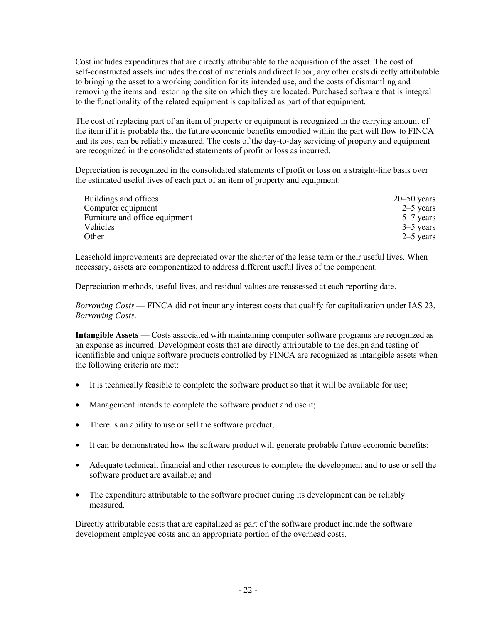Cost includes expenditures that are directly attributable to the acquisition of the asset. The cost of self-constructed assets includes the cost of materials and direct labor, any other costs directly attributable to bringing the asset to a working condition for its intended use, and the costs of dismantling and removing the items and restoring the site on which they are located. Purchased software that is integral to the functionality of the related equipment is capitalized as part of that equipment.

The cost of replacing part of an item of property or equipment is recognized in the carrying amount of the item if it is probable that the future economic benefits embodied within the part will flow to FINCA and its cost can be reliably measured. The costs of the day-to-day servicing of property and equipment are recognized in the consolidated statements of profit or loss as incurred.

Depreciation is recognized in the consolidated statements of profit or loss on a straight-line basis over the estimated useful lives of each part of an item of property and equipment:

| Buildings and offices          | $20 - 50$ years |
|--------------------------------|-----------------|
| Computer equipment             | $2-5$ years     |
| Furniture and office equipment | $5-7$ years     |
| Vehicles                       | $3 - 5$ years   |
| Other                          | $2-5$ years     |

Leasehold improvements are depreciated over the shorter of the lease term or their useful lives. When necessary, assets are componentized to address different useful lives of the component.

Depreciation methods, useful lives, and residual values are reassessed at each reporting date.

*Borrowing Costs* — FINCA did not incur any interest costs that qualify for capitalization under IAS 23, *Borrowing Costs*.

**Intangible Assets** — Costs associated with maintaining computer software programs are recognized as an expense as incurred. Development costs that are directly attributable to the design and testing of identifiable and unique software products controlled by FINCA are recognized as intangible assets when the following criteria are met:

- It is technically feasible to complete the software product so that it will be available for use;
- Management intends to complete the software product and use it;
- There is an ability to use or sell the software product;
- It can be demonstrated how the software product will generate probable future economic benefits;
- Adequate technical, financial and other resources to complete the development and to use or sell the software product are available; and
- The expenditure attributable to the software product during its development can be reliably measured.

Directly attributable costs that are capitalized as part of the software product include the software development employee costs and an appropriate portion of the overhead costs.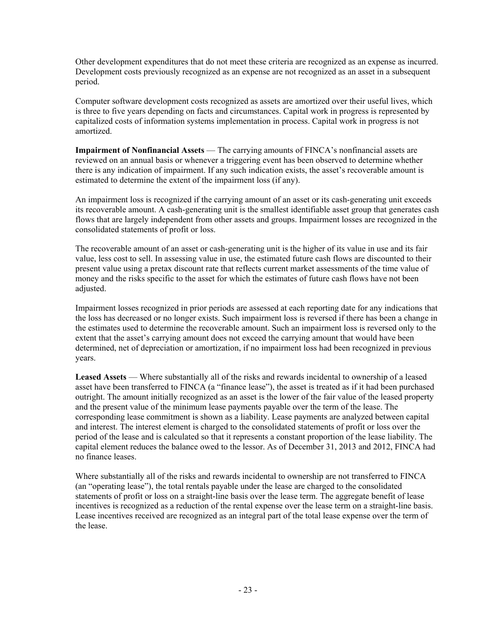Other development expenditures that do not meet these criteria are recognized as an expense as incurred. Development costs previously recognized as an expense are not recognized as an asset in a subsequent period.

Computer software development costs recognized as assets are amortized over their useful lives, which is three to five years depending on facts and circumstances. Capital work in progress is represented by capitalized costs of information systems implementation in process. Capital work in progress is not amortized.

**Impairment of Nonfinancial Assets** — The carrying amounts of FINCA's nonfinancial assets are reviewed on an annual basis or whenever a triggering event has been observed to determine whether there is any indication of impairment. If any such indication exists, the asset's recoverable amount is estimated to determine the extent of the impairment loss (if any).

An impairment loss is recognized if the carrying amount of an asset or its cash-generating unit exceeds its recoverable amount. A cash-generating unit is the smallest identifiable asset group that generates cash flows that are largely independent from other assets and groups. Impairment losses are recognized in the consolidated statements of profit or loss.

The recoverable amount of an asset or cash-generating unit is the higher of its value in use and its fair value, less cost to sell. In assessing value in use, the estimated future cash flows are discounted to their present value using a pretax discount rate that reflects current market assessments of the time value of money and the risks specific to the asset for which the estimates of future cash flows have not been adjusted.

Impairment losses recognized in prior periods are assessed at each reporting date for any indications that the loss has decreased or no longer exists. Such impairment loss is reversed if there has been a change in the estimates used to determine the recoverable amount. Such an impairment loss is reversed only to the extent that the asset's carrying amount does not exceed the carrying amount that would have been determined, net of depreciation or amortization, if no impairment loss had been recognized in previous years.

**Leased Assets** — Where substantially all of the risks and rewards incidental to ownership of a leased asset have been transferred to FINCA (a "finance lease"), the asset is treated as if it had been purchased outright. The amount initially recognized as an asset is the lower of the fair value of the leased property and the present value of the minimum lease payments payable over the term of the lease. The corresponding lease commitment is shown as a liability. Lease payments are analyzed between capital and interest. The interest element is charged to the consolidated statements of profit or loss over the period of the lease and is calculated so that it represents a constant proportion of the lease liability. The capital element reduces the balance owed to the lessor. As of December 31, 2013 and 2012, FINCA had no finance leases.

Where substantially all of the risks and rewards incidental to ownership are not transferred to FINCA (an "operating lease"), the total rentals payable under the lease are charged to the consolidated statements of profit or loss on a straight-line basis over the lease term. The aggregate benefit of lease incentives is recognized as a reduction of the rental expense over the lease term on a straight-line basis. Lease incentives received are recognized as an integral part of the total lease expense over the term of the lease.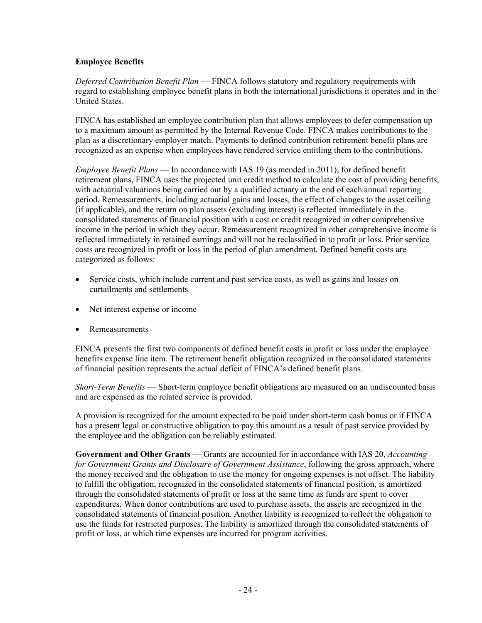### **Employee Benefits**

*Deferred Contribution Benefit Plan* — FINCA follows statutory and regulatory requirements with regard to establishing employee benefit plans in both the international jurisdictions it operates and in the United States.

FINCA has established an employee contribution plan that allows employees to defer compensation up to a maximum amount as permitted by the Internal Revenue Code. FINCA makes contributions to the plan as a discretionary employer match. Payments to defined contribution retirement benefit plans are recognized as an expense when employees have rendered service entitling them to the contributions.

*Employee Benefit Plans* — In accordance with IAS 19 (as mended in 2011), for defined benefit retirement plans, FINCA uses the projected unit credit method to calculate the cost of providing benefits, with actuarial valuations being carried out by a qualified actuary at the end of each annual reporting period. Remeasurements, including actuarial gains and losses, the effect of changes to the asset ceiling (if applicable), and the return on plan assets (excluding interest) is reflected immediately in the consolidated statements of financial position with a cost or credit recognized in other comprehensive income in the period in which they occur. Remeasurement recognized in other comprehensive income is reflected immediately in retained earnings and will not be reclassified in to profit or loss. Prior service costs are recognized in profit or loss in the period of plan amendment. Defined benefit costs are categorized as follows:

- Service costs, which include current and past service costs, as well as gains and losses on curtailments and settlements
- Net interest expense or income
- Remeasurements

FINCA presents the first two components of defined benefit costs in profit or loss under the employee benefits expense line item. The retirement benefit obligation recognized in the consolidated statements of financial position represents the actual deficit of FINCA's defined benefit plans.

*Short-Term Benefits* — Short-term employee benefit obligations are measured on an undiscounted basis and are expensed as the related service is provided.

A provision is recognized for the amount expected to be paid under short-term cash bonus or if FINCA has a present legal or constructive obligation to pay this amount as a result of past service provided by the employee and the obligation can be reliably estimated.

**Government and Other Grants** — Grants are accounted for in accordance with IAS 20, *Accounting for Government Grants and Disclosure of Government Assistance*, following the gross approach, where the money received and the obligation to use the money for ongoing expenses is not offset. The liability to fulfill the obligation, recognized in the consolidated statements of financial position, is amortized through the consolidated statements of profit or loss at the same time as funds are spent to cover expenditures. When donor contributions are used to purchase assets, the assets are recognized in the consolidated statements of financial position. Another liability is recognized to reflect the obligation to use the funds for restricted purposes. The liability is amortized through the consolidated statements of profit or loss, at which time expenses are incurred for program activities.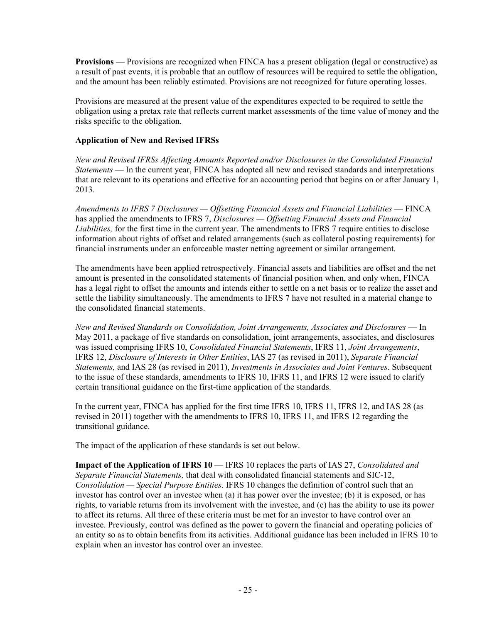**Provisions** — Provisions are recognized when FINCA has a present obligation (legal or constructive) as a result of past events, it is probable that an outflow of resources will be required to settle the obligation, and the amount has been reliably estimated. Provisions are not recognized for future operating losses.

Provisions are measured at the present value of the expenditures expected to be required to settle the obligation using a pretax rate that reflects current market assessments of the time value of money and the risks specific to the obligation.

### **Application of New and Revised IFRSs**

*New and Revised IFRSs Affecting Amounts Reported and/or Disclosures in the Consolidated Financial Statements* — In the current year, FINCA has adopted all new and revised standards and interpretations that are relevant to its operations and effective for an accounting period that begins on or after January 1, 2013.

*Amendments to IFRS 7 Disclosures — Offsetting Financial Assets and Financial Liabilities* — FINCA has applied the amendments to IFRS 7, *Disclosures — Offsetting Financial Assets and Financial Liabilities,* for the first time in the current year. The amendments to IFRS 7 require entities to disclose information about rights of offset and related arrangements (such as collateral posting requirements) for financial instruments under an enforceable master netting agreement or similar arrangement.

The amendments have been applied retrospectively. Financial assets and liabilities are offset and the net amount is presented in the consolidated statements of financial position when, and only when, FINCA has a legal right to offset the amounts and intends either to settle on a net basis or to realize the asset and settle the liability simultaneously. The amendments to IFRS 7 have not resulted in a material change to the consolidated financial statements.

*New and Revised Standards on Consolidation, Joint Arrangements, Associates and Disclosures* — In May 2011, a package of five standards on consolidation, joint arrangements, associates, and disclosures was issued comprising IFRS 10, *Consolidated Financial Statements*, IFRS 11, *Joint Arrangements*, IFRS 12, *Disclosure of Interests in Other Entities*, IAS 27 (as revised in 2011), *Separate Financial Statements,* and IAS 28 (as revised in 2011), *Investments in Associates and Joint Ventures*. Subsequent to the issue of these standards, amendments to IFRS 10, IFRS 11, and IFRS 12 were issued to clarify certain transitional guidance on the first-time application of the standards.

In the current year, FINCA has applied for the first time IFRS 10, IFRS 11, IFRS 12, and IAS 28 (as revised in 2011) together with the amendments to IFRS 10, IFRS 11, and IFRS 12 regarding the transitional guidance.

The impact of the application of these standards is set out below.

**Impact of the Application of IFRS 10** — IFRS 10 replaces the parts of IAS 27, *Consolidated and Separate Financial Statements,* that deal with consolidated financial statements and SIC-12, *Consolidation — Special Purpose Entities*. IFRS 10 changes the definition of control such that an investor has control over an investee when (a) it has power over the investee; (b) it is exposed, or has rights, to variable returns from its involvement with the investee, and (c) has the ability to use its power to affect its returns. All three of these criteria must be met for an investor to have control over an investee. Previously, control was defined as the power to govern the financial and operating policies of an entity so as to obtain benefits from its activities. Additional guidance has been included in IFRS 10 to explain when an investor has control over an investee.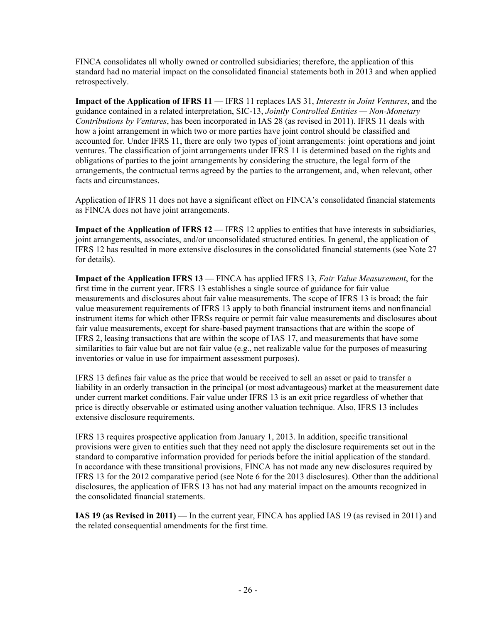FINCA consolidates all wholly owned or controlled subsidiaries; therefore, the application of this standard had no material impact on the consolidated financial statements both in 2013 and when applied retrospectively.

**Impact of the Application of IFRS 11** — IFRS 11 replaces IAS 31, *Interests in Joint Ventures*, and the guidance contained in a related interpretation, SIC-13, *Jointly Controlled Entities — Non-Monetary Contributions by Ventures*, has been incorporated in IAS 28 (as revised in 2011). IFRS 11 deals with how a joint arrangement in which two or more parties have joint control should be classified and accounted for. Under IFRS 11, there are only two types of joint arrangements: joint operations and joint ventures. The classification of joint arrangements under IFRS 11 is determined based on the rights and obligations of parties to the joint arrangements by considering the structure, the legal form of the arrangements, the contractual terms agreed by the parties to the arrangement, and, when relevant, other facts and circumstances.

Application of IFRS 11 does not have a significant effect on FINCA's consolidated financial statements as FINCA does not have joint arrangements.

**Impact of the Application of IFRS 12** — IFRS 12 applies to entities that have interests in subsidiaries, joint arrangements, associates, and/or unconsolidated structured entities. In general, the application of IFRS 12 has resulted in more extensive disclosures in the consolidated financial statements (see Note 27 for details).

**Impact of the Application IFRS 13** — FINCA has applied IFRS 13, *Fair Value Measurement*, for the first time in the current year. IFRS 13 establishes a single source of guidance for fair value measurements and disclosures about fair value measurements. The scope of IFRS 13 is broad; the fair value measurement requirements of IFRS 13 apply to both financial instrument items and nonfinancial instrument items for which other IFRSs require or permit fair value measurements and disclosures about fair value measurements, except for share-based payment transactions that are within the scope of IFRS 2, leasing transactions that are within the scope of IAS 17, and measurements that have some similarities to fair value but are not fair value (e.g., net realizable value for the purposes of measuring inventories or value in use for impairment assessment purposes).

IFRS 13 defines fair value as the price that would be received to sell an asset or paid to transfer a liability in an orderly transaction in the principal (or most advantageous) market at the measurement date under current market conditions. Fair value under IFRS 13 is an exit price regardless of whether that price is directly observable or estimated using another valuation technique. Also, IFRS 13 includes extensive disclosure requirements.

IFRS 13 requires prospective application from January 1, 2013. In addition, specific transitional provisions were given to entities such that they need not apply the disclosure requirements set out in the standard to comparative information provided for periods before the initial application of the standard. In accordance with these transitional provisions, FINCA has not made any new disclosures required by IFRS 13 for the 2012 comparative period (see Note 6 for the 2013 disclosures). Other than the additional disclosures, the application of IFRS 13 has not had any material impact on the amounts recognized in the consolidated financial statements.

**IAS 19 (as Revised in 2011)** — In the current year, FINCA has applied IAS 19 (as revised in 2011) and the related consequential amendments for the first time.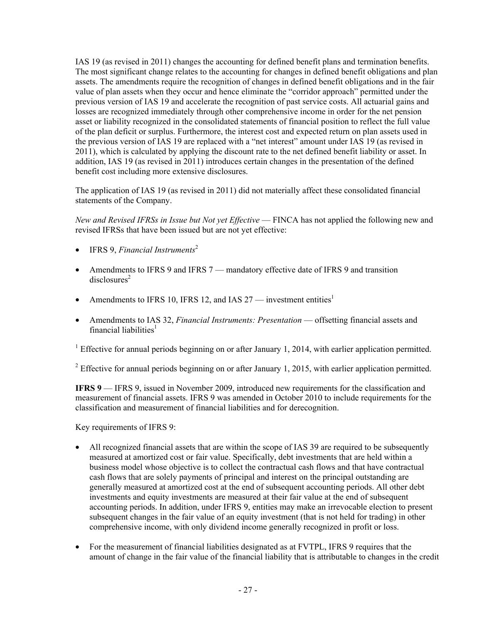IAS 19 (as revised in 2011) changes the accounting for defined benefit plans and termination benefits. The most significant change relates to the accounting for changes in defined benefit obligations and plan assets. The amendments require the recognition of changes in defined benefit obligations and in the fair value of plan assets when they occur and hence eliminate the "corridor approach" permitted under the previous version of IAS 19 and accelerate the recognition of past service costs. All actuarial gains and losses are recognized immediately through other comprehensive income in order for the net pension asset or liability recognized in the consolidated statements of financial position to reflect the full value of the plan deficit or surplus. Furthermore, the interest cost and expected return on plan assets used in the previous version of IAS 19 are replaced with a "net interest" amount under IAS 19 (as revised in 2011), which is calculated by applying the discount rate to the net defined benefit liability or asset. In addition, IAS 19 (as revised in 2011) introduces certain changes in the presentation of the defined benefit cost including more extensive disclosures.

The application of IAS 19 (as revised in 2011) did not materially affect these consolidated financial statements of the Company.

*New and Revised IFRSs in Issue but Not yet Effective* — FINCA has not applied the following new and revised IFRSs that have been issued but are not yet effective:

- **IFRS 9.** *Financial Instruments*<sup>2</sup>
- Amendments to IFRS 9 and IFRS 7 mandatory effective date of IFRS 9 and transition  $disclosures<sup>2</sup>$
- Amendments to IFRS 10, IFRS 12, and IAS  $27$  investment entities<sup>1</sup>
- Amendments to IAS 32, *Financial Instruments: Presentation* offsetting financial assets and financial liabilities $<sup>1</sup>$ </sup>

<sup>1</sup> Effective for annual periods beginning on or after January 1, 2014, with earlier application permitted.

<sup>2</sup> Effective for annual periods beginning on or after January 1, 2015, with earlier application permitted.

**IFRS 9** — IFRS 9, issued in November 2009, introduced new requirements for the classification and measurement of financial assets. IFRS 9 was amended in October 2010 to include requirements for the classification and measurement of financial liabilities and for derecognition.

Key requirements of IFRS 9:

- All recognized financial assets that are within the scope of IAS 39 are required to be subsequently measured at amortized cost or fair value. Specifically, debt investments that are held within a business model whose objective is to collect the contractual cash flows and that have contractual cash flows that are solely payments of principal and interest on the principal outstanding are generally measured at amortized cost at the end of subsequent accounting periods. All other debt investments and equity investments are measured at their fair value at the end of subsequent accounting periods. In addition, under IFRS 9, entities may make an irrevocable election to present subsequent changes in the fair value of an equity investment (that is not held for trading) in other comprehensive income, with only dividend income generally recognized in profit or loss.
- For the measurement of financial liabilities designated as at FVTPL, IFRS 9 requires that the amount of change in the fair value of the financial liability that is attributable to changes in the credit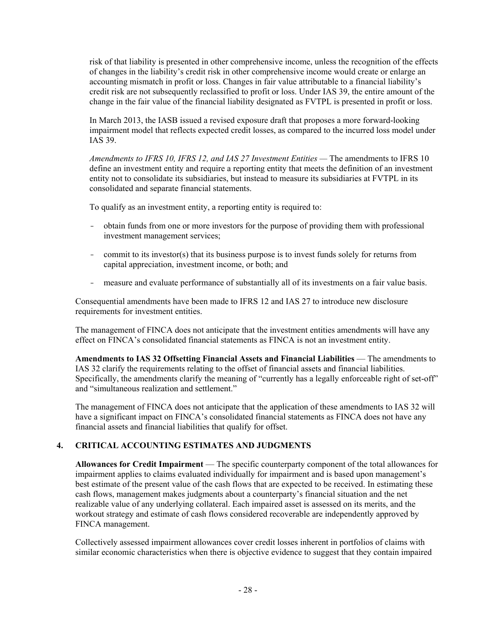risk of that liability is presented in other comprehensive income, unless the recognition of the effects of changes in the liability's credit risk in other comprehensive income would create or enlarge an accounting mismatch in profit or loss. Changes in fair value attributable to a financial liability's credit risk are not subsequently reclassified to profit or loss. Under IAS 39, the entire amount of the change in the fair value of the financial liability designated as FVTPL is presented in profit or loss.

In March 2013, the IASB issued a revised exposure draft that proposes a more forward-looking impairment model that reflects expected credit losses, as compared to the incurred loss model under IAS 39.

*Amendments to IFRS 10, IFRS 12, and IAS 27 Investment Entities —* The amendments to IFRS 10 define an investment entity and require a reporting entity that meets the definition of an investment entity not to consolidate its subsidiaries, but instead to measure its subsidiaries at FVTPL in its consolidated and separate financial statements.

To qualify as an investment entity, a reporting entity is required to:

- obtain funds from one or more investors for the purpose of providing them with professional investment management services;
- commit to its investor(s) that its business purpose is to invest funds solely for returns from capital appreciation, investment income, or both; and
- measure and evaluate performance of substantially all of its investments on a fair value basis.

Consequential amendments have been made to IFRS 12 and IAS 27 to introduce new disclosure requirements for investment entities.

The management of FINCA does not anticipate that the investment entities amendments will have any effect on FINCA's consolidated financial statements as FINCA is not an investment entity.

**Amendments to IAS 32 Offsetting Financial Assets and Financial Liabilities** — The amendments to IAS 32 clarify the requirements relating to the offset of financial assets and financial liabilities. Specifically, the amendments clarify the meaning of "currently has a legally enforceable right of set-off" and "simultaneous realization and settlement."

The management of FINCA does not anticipate that the application of these amendments to IAS 32 will have a significant impact on FINCA's consolidated financial statements as FINCA does not have any financial assets and financial liabilities that qualify for offset.

# **4. CRITICAL ACCOUNTING ESTIMATES AND JUDGMENTS**

**Allowances for Credit Impairment** — The specific counterparty component of the total allowances for impairment applies to claims evaluated individually for impairment and is based upon management's best estimate of the present value of the cash flows that are expected to be received. In estimating these cash flows, management makes judgments about a counterparty's financial situation and the net realizable value of any underlying collateral. Each impaired asset is assessed on its merits, and the workout strategy and estimate of cash flows considered recoverable are independently approved by FINCA management.

Collectively assessed impairment allowances cover credit losses inherent in portfolios of claims with similar economic characteristics when there is objective evidence to suggest that they contain impaired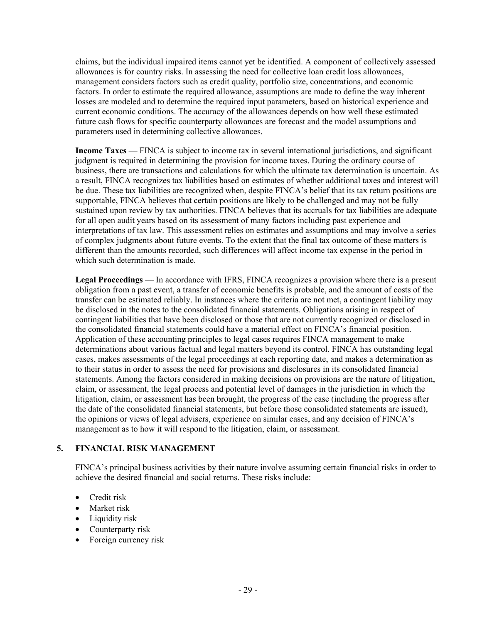claims, but the individual impaired items cannot yet be identified. A component of collectively assessed allowances is for country risks. In assessing the need for collective loan credit loss allowances, management considers factors such as credit quality, portfolio size, concentrations, and economic factors. In order to estimate the required allowance, assumptions are made to define the way inherent losses are modeled and to determine the required input parameters, based on historical experience and current economic conditions. The accuracy of the allowances depends on how well these estimated future cash flows for specific counterparty allowances are forecast and the model assumptions and parameters used in determining collective allowances.

**Income Taxes** — FINCA is subject to income tax in several international jurisdictions, and significant judgment is required in determining the provision for income taxes. During the ordinary course of business, there are transactions and calculations for which the ultimate tax determination is uncertain. As a result, FINCA recognizes tax liabilities based on estimates of whether additional taxes and interest will be due. These tax liabilities are recognized when, despite FINCA's belief that its tax return positions are supportable, FINCA believes that certain positions are likely to be challenged and may not be fully sustained upon review by tax authorities. FINCA believes that its accruals for tax liabilities are adequate for all open audit years based on its assessment of many factors including past experience and interpretations of tax law. This assessment relies on estimates and assumptions and may involve a series of complex judgments about future events. To the extent that the final tax outcome of these matters is different than the amounts recorded, such differences will affect income tax expense in the period in which such determination is made.

**Legal Proceedings** — In accordance with IFRS, FINCA recognizes a provision where there is a present obligation from a past event, a transfer of economic benefits is probable, and the amount of costs of the transfer can be estimated reliably. In instances where the criteria are not met, a contingent liability may be disclosed in the notes to the consolidated financial statements. Obligations arising in respect of contingent liabilities that have been disclosed or those that are not currently recognized or disclosed in the consolidated financial statements could have a material effect on FINCA's financial position. Application of these accounting principles to legal cases requires FINCA management to make determinations about various factual and legal matters beyond its control. FINCA has outstanding legal cases, makes assessments of the legal proceedings at each reporting date, and makes a determination as to their status in order to assess the need for provisions and disclosures in its consolidated financial statements. Among the factors considered in making decisions on provisions are the nature of litigation, claim, or assessment, the legal process and potential level of damages in the jurisdiction in which the litigation, claim, or assessment has been brought, the progress of the case (including the progress after the date of the consolidated financial statements, but before those consolidated statements are issued), the opinions or views of legal advisers, experience on similar cases, and any decision of FINCA's management as to how it will respond to the litigation, claim, or assessment.

# **5. FINANCIAL RISK MANAGEMENT**

FINCA's principal business activities by their nature involve assuming certain financial risks in order to achieve the desired financial and social returns. These risks include:

- Credit risk
- Market risk
- Liquidity risk
- Counterparty risk
- Foreign currency risk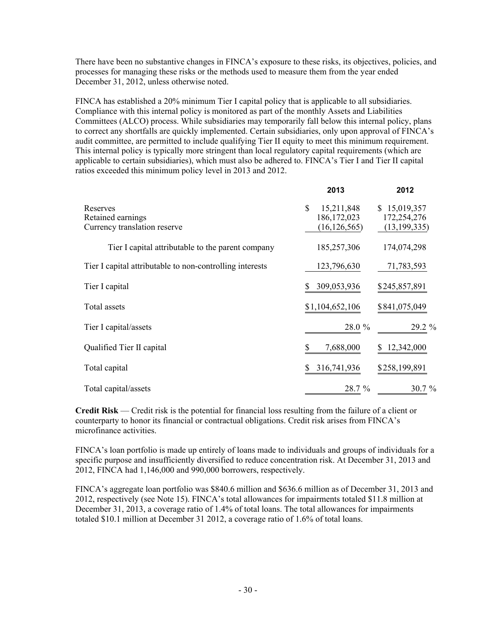There have been no substantive changes in FINCA's exposure to these risks, its objectives, policies, and processes for managing these risks or the methods used to measure them from the year ended December 31, 2012, unless otherwise noted.

FINCA has established a 20% minimum Tier I capital policy that is applicable to all subsidiaries. Compliance with this internal policy is monitored as part of the monthly Assets and Liabilities Committees (ALCO) process. While subsidiaries may temporarily fall below this internal policy, plans to correct any shortfalls are quickly implemented. Certain subsidiaries, only upon approval of FINCA's audit committee, are permitted to include qualifying Tier II equity to meet this minimum requirement. This internal policy is typically more stringent than local regulatory capital requirements (which are applicable to certain subsidiaries), which must also be adhered to. FINCA's Tier I and Tier II capital ratios exceeded this minimum policy level in 2013 and 2012.

|                                                               | 2013                                                          | 2012                                          |
|---------------------------------------------------------------|---------------------------------------------------------------|-----------------------------------------------|
| Reserves<br>Retained earnings<br>Currency translation reserve | $\mathbb{S}$<br>15,211,848<br>186, 172, 023<br>(16, 126, 565) | \$15,019,357<br>172,254,276<br>(13, 199, 335) |
| Tier I capital attributable to the parent company             | 185,257,306                                                   | 174,074,298                                   |
| Tier I capital attributable to non-controlling interests      | 123,796,630                                                   | 71,783,593                                    |
| Tier I capital                                                | 309,053,936<br>S                                              | \$245,857,891                                 |
| Total assets                                                  | \$1,104,652,106                                               | \$841,075,049                                 |
| Tier I capital/assets                                         | 28.0 %                                                        | 29.2 %                                        |
| Qualified Tier II capital                                     | 7,688,000                                                     | 12,342,000                                    |
| Total capital                                                 | 316,741,936<br>S                                              | \$258,199,891                                 |
| Total capital/assets                                          | 28.7 %                                                        | $30.7 \%$                                     |

**Credit Risk** — Credit risk is the potential for financial loss resulting from the failure of a client or counterparty to honor its financial or contractual obligations. Credit risk arises from FINCA's microfinance activities.

FINCA's loan portfolio is made up entirely of loans made to individuals and groups of individuals for a specific purpose and insufficiently diversified to reduce concentration risk. At December 31, 2013 and 2012, FINCA had 1,146,000 and 990,000 borrowers, respectively.

FINCA's aggregate loan portfolio was \$840.6 million and \$636.6 million as of December 31, 2013 and 2012, respectively (see Note 15). FINCA's total allowances for impairments totaled \$11.8 million at December 31, 2013, a coverage ratio of 1.4% of total loans. The total allowances for impairments totaled \$10.1 million at December 31 2012, a coverage ratio of 1.6% of total loans.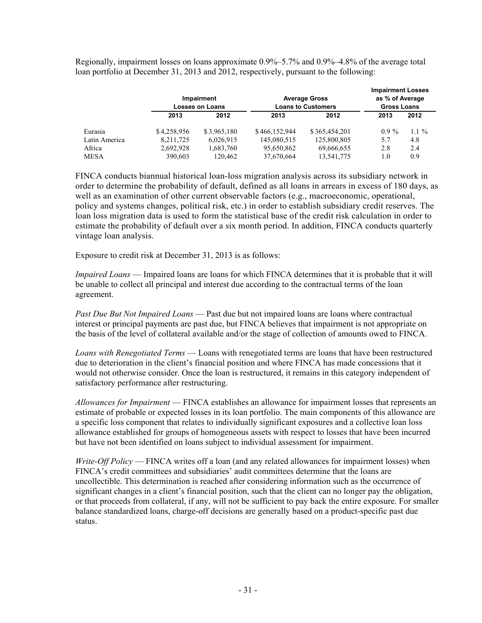Regionally, impairment losses on loans approximate 0.9%–5.7% and 0.9%–4.8% of the average total loan portfolio at December 31, 2013 and 2012, respectively, pursuant to the following:

|               | Impairment<br><b>Losses on Loans</b> |             | <b>Average Gross</b><br><b>Loans to Customers</b> |               |         | <b>Impairment Losses</b><br>as % of Average<br><b>Gross Loans</b> |
|---------------|--------------------------------------|-------------|---------------------------------------------------|---------------|---------|-------------------------------------------------------------------|
|               | 2013                                 | 2012        | 2013                                              | 2012          | 2013    | 2012                                                              |
| Eurasia       | \$4,258,956                          | \$3,965,180 | \$466,152,944                                     | \$365,454,201 | $0.9\%$ | $1.1 \%$                                                          |
| Latin America | 8,211,725                            | 6,026,915   | 145,080,515                                       | 125,800,805   | 5.7     | 4.8                                                               |
| Africa        | 2,692,928                            | 1,683,760   | 95,650,862                                        | 69,666,655    | 2.8     | 2.4                                                               |
| <b>MESA</b>   | 390,603                              | 120,462     | 37,670,664                                        | 13,541,775    | 1.0     | 0.9                                                               |

FINCA conducts biannual historical loan-loss migration analysis across its subsidiary network in order to determine the probability of default, defined as all loans in arrears in excess of 180 days, as well as an examination of other current observable factors (e.g., macroeconomic, operational, policy and systems changes, political risk, etc.) in order to establish subsidiary credit reserves. The loan loss migration data is used to form the statistical base of the credit risk calculation in order to estimate the probability of default over a six month period. In addition, FINCA conducts quarterly vintage loan analysis.

Exposure to credit risk at December 31, 2013 is as follows:

*Impaired Loans* — Impaired loans are loans for which FINCA determines that it is probable that it will be unable to collect all principal and interest due according to the contractual terms of the loan agreement.

*Past Due But Not Impaired Loans* — Past due but not impaired loans are loans where contractual interest or principal payments are past due, but FINCA believes that impairment is not appropriate on the basis of the level of collateral available and/or the stage of collection of amounts owed to FINCA.

*Loans with Renegotiated Terms* — Loans with renegotiated terms are loans that have been restructured due to deterioration in the client's financial position and where FINCA has made concessions that it would not otherwise consider. Once the loan is restructured, it remains in this category independent of satisfactory performance after restructuring.

*Allowances for Impairment* — FINCA establishes an allowance for impairment losses that represents an estimate of probable or expected losses in its loan portfolio. The main components of this allowance are a specific loss component that relates to individually significant exposures and a collective loan loss allowance established for groups of homogeneous assets with respect to losses that have been incurred but have not been identified on loans subject to individual assessment for impairment.

*Write-Off Policy* — FINCA writes off a loan (and any related allowances for impairment losses) when FINCA's credit committees and subsidiaries' audit committees determine that the loans are uncollectible. This determination is reached after considering information such as the occurrence of significant changes in a client's financial position, such that the client can no longer pay the obligation, or that proceeds from collateral, if any, will not be sufficient to pay back the entire exposure. For smaller balance standardized loans, charge-off decisions are generally based on a product-specific past due status.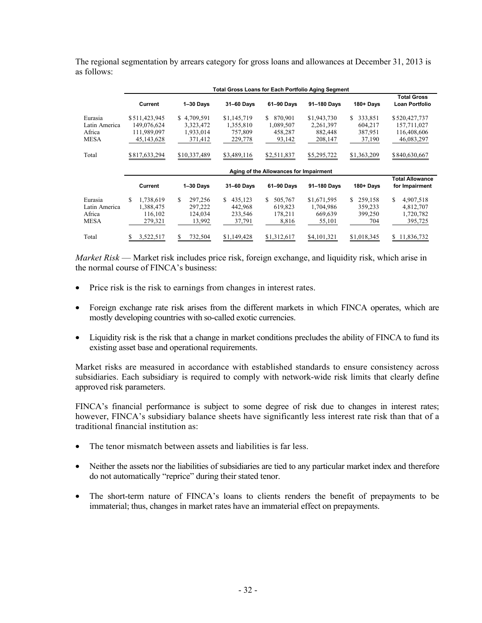|                                                   | <b>Total Gross Loans for Each Portfolio Aging Segment</b> |                                                  |                                                |                                                 |                                                |                                               |                                                           |  |  |
|---------------------------------------------------|-----------------------------------------------------------|--------------------------------------------------|------------------------------------------------|-------------------------------------------------|------------------------------------------------|-----------------------------------------------|-----------------------------------------------------------|--|--|
|                                                   | Current                                                   | $1 - 30$ Days                                    | 31-60 Days                                     | 61-90 Days                                      | 91-180 Days                                    | 180+ Days                                     | <b>Total Gross</b><br><b>Loan Portfolio</b>               |  |  |
| Eurasia<br>Latin America<br>Africa<br><b>MESA</b> | \$511,423,945<br>149,076,624<br>111,989,097<br>45,143,628 | \$4,709,591<br>3,323,472<br>1,933,014<br>371,412 | \$1,145,719<br>1,355,810<br>757,809<br>229,778 | 870.901<br>S.<br>1,089,507<br>458,287<br>93,142 | \$1,943,730<br>2,261,397<br>882,448<br>208,147 | S.<br>333,851<br>604,217<br>387,951<br>37,190 | \$520,427,737<br>157,711,027<br>116,408,606<br>46,083,297 |  |  |
| Total                                             | \$817,633,294                                             | \$10,337,489                                     | \$3,489,116                                    | \$2,511,837                                     | \$5,295,722                                    | \$1,363,209                                   | \$840,630,667                                             |  |  |
|                                                   | Aging of the Allowances for Impairment                    |                                                  |                                                |                                                 |                                                |                                               |                                                           |  |  |
|                                                   |                                                           |                                                  |                                                |                                                 |                                                |                                               |                                                           |  |  |
|                                                   | Current                                                   | $1 - 30$ Days                                    | 31-60 Days                                     | 61-90 Days                                      | 91-180 Days                                    | 180+ Days                                     | Total Allowance<br>for Impairment                         |  |  |
| Eurasia<br>Latin America<br>Africa<br><b>MESA</b> | \$<br>1.738.619<br>1,388,475<br>116,102<br>279,321        | \$.<br>297,256<br>297,222<br>124,034<br>13,992   | S.<br>435,123<br>442,968<br>233,546<br>37,791  | 505,767<br>S.<br>619,823<br>178,211<br>8,816    | \$1,671,595<br>1,704,986<br>669,639<br>55,101  | 259,158<br>S.<br>359,233<br>399,250<br>704    | \$<br>4,907,518<br>4,812,707<br>1,720,782<br>395,725      |  |  |

The regional segmentation by arrears category for gross loans and allowances at December 31, 2013 is as follows:

*Market Risk* — Market risk includes price risk, foreign exchange, and liquidity risk, which arise in the normal course of FINCA's business:

- Price risk is the risk to earnings from changes in interest rates.
- Foreign exchange rate risk arises from the different markets in which FINCA operates, which are mostly developing countries with so-called exotic currencies.
- Liquidity risk is the risk that a change in market conditions precludes the ability of FINCA to fund its existing asset base and operational requirements.

Market risks are measured in accordance with established standards to ensure consistency across subsidiaries. Each subsidiary is required to comply with network-wide risk limits that clearly define approved risk parameters.

FINCA's financial performance is subject to some degree of risk due to changes in interest rates; however, FINCA's subsidiary balance sheets have significantly less interest rate risk than that of a traditional financial institution as:

- The tenor mismatch between assets and liabilities is far less.
- Neither the assets nor the liabilities of subsidiaries are tied to any particular market index and therefore do not automatically "reprice" during their stated tenor.
- The short-term nature of FINCA's loans to clients renders the benefit of prepayments to be immaterial; thus, changes in market rates have an immaterial effect on prepayments.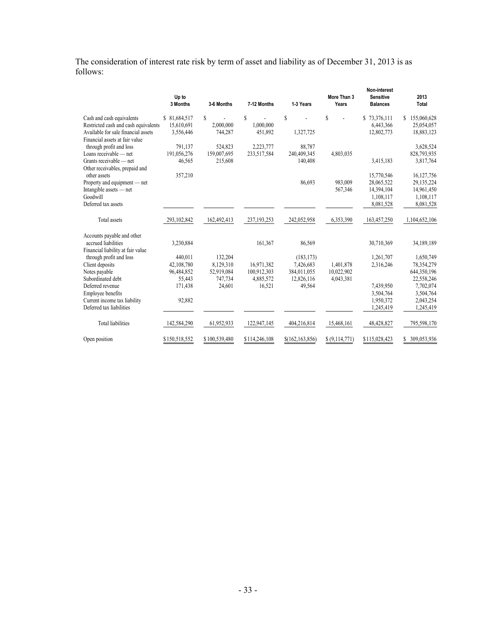The consideration of interest rate risk by term of asset and liability as of December 31, 2013 is as follows:

|                                                                       | Up to<br>3 Months | 3-6 Months    | 7-12 Months   | 1-3 Years         | More Than 3<br>Years | Non-interest<br><b>Sensitive</b><br><b>Balances</b> | 2013<br><b>Total</b> |
|-----------------------------------------------------------------------|-------------------|---------------|---------------|-------------------|----------------------|-----------------------------------------------------|----------------------|
| Cash and cash equivalents                                             | \$81,684,517      | \$            | $\mathbf S$   | S                 | S                    | \$73,376,111                                        | \$155,060,628        |
| Restricted cash and cash equivalents                                  | 15,610,691        | 2,000,000     | 1,000,000     |                   |                      | 6,443,366                                           | 25,054,057           |
| Available for sale financial assets<br>Financial assets at fair value | 3,556,446         | 744,287       | 451,892       | 1,327,725         |                      | 12,802,773                                          | 18,883,123           |
| through profit and loss                                               | 791,137           | 524,823       | 2,223,777     | 88,787            |                      |                                                     | 3,628,524            |
| Loans receivable — net                                                | 191,056,276       | 159,007,695   | 233,517,584   | 240,409,345       | 4,803,035            |                                                     | 828,793,935          |
| Grants receivable — net                                               | 46,565            | 215,608       |               | 140,408           |                      | 3,415,183                                           | 3,817,764            |
| Other receivables, prepaid and                                        |                   |               |               |                   |                      |                                                     |                      |
| other assets                                                          | 357,210           |               |               |                   |                      | 15,770,546                                          | 16,127,756           |
| Property and equipment — net                                          |                   |               |               | 86,693            | 983,009              | 28,065,522                                          | 29,135,224           |
| Intangible assets — net                                               |                   |               |               |                   | 567,346              | 14,394,104                                          | 14,961,450           |
| Goodwill                                                              |                   |               |               |                   |                      | 1,108,117                                           | 1,108,117            |
| Deferred tax assets                                                   |                   |               |               |                   |                      | 8,081,528                                           | 8,081,528            |
| Total assets                                                          | 293,102,842       | 162,492,413   | 237, 193, 253 | 242,052,958       | 6,353,390            | 163,457,250                                         | 1,104,652,106        |
| Accounts payable and other                                            |                   |               |               |                   |                      |                                                     |                      |
| accrued liabilities                                                   | 3,230,884         |               | 161,367       | 86,569            |                      | 30,710,369                                          | 34,189,189           |
| Financial liability at fair value                                     |                   |               |               |                   |                      |                                                     |                      |
| through profit and loss                                               | 440,011           | 132,204       |               | (183, 173)        |                      | 1,261,707                                           | 1,650,749            |
| Client deposits                                                       | 42,108,780        | 8,129,310     | 16,971,382    | 7,426,683         | 1,401,878            | 2,316,246                                           | 78,354,279           |
| Notes payable                                                         | 96,484,852        | 52,919,084    | 100,912,303   | 384,011,055       | 10,022,902           |                                                     | 644,350,196          |
| Subordinated debt                                                     | 55,443            | 747,734       | 4,885,572     | 12,826,116        | 4,043,381            |                                                     | 22,558,246           |
| Deferred revenue                                                      | 171,438           | 24,601        | 16,521        | 49,564            |                      | 7,439,950                                           | 7,702,074            |
| Employee benefits                                                     |                   |               |               |                   |                      | 3,504,764                                           | 3,504,764            |
| Current income tax liability                                          | 92,882            |               |               |                   |                      | 1,950,372                                           | 2,043,254            |
| Deferred tax liabilities                                              |                   |               |               |                   |                      | 1,245,419                                           | 1,245,419            |
| <b>Total liabilities</b>                                              | 142,584,290       | 61,952,933    | 122,947,145   | 404,216,814       | 15,468,161           | 48,428,827                                          | 795,598,170          |
| Open position                                                         | \$150,518,552     | \$100,539,480 | \$114,246,108 | \$(162, 163, 856) | \$ (9,114,771)       | \$115,028,423                                       | \$ 309,053,936       |
|                                                                       |                   |               |               |                   |                      |                                                     |                      |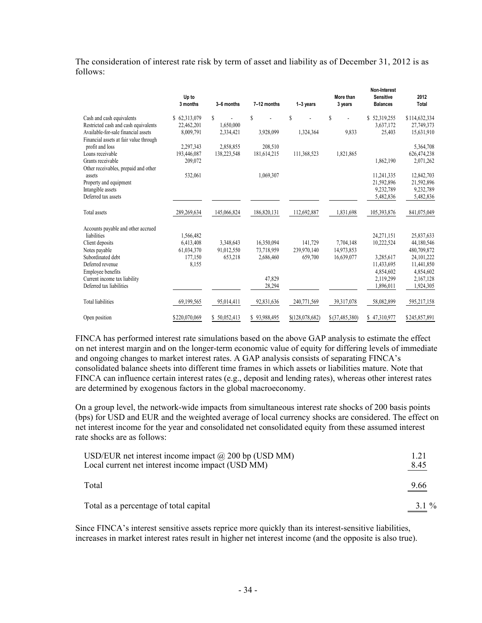The consideration of interest rate risk by term of asset and liability as of December 31, 2012 is as follows:

|                                                                               | Up to<br>3 months | 3-6 months    | 7-12 months  | 1-3 years       | More than<br>3 years | Non-Interest<br><b>Sensitive</b><br><b>Balances</b> | 2012<br><b>Total</b> |
|-------------------------------------------------------------------------------|-------------------|---------------|--------------|-----------------|----------------------|-----------------------------------------------------|----------------------|
| Cash and cash equivalents                                                     | \$62,313,079      | S             | S            | Ŝ               | $\mathbf S$          | \$52,319,255                                        | \$114,632,334        |
| Restricted cash and cash equivalents                                          | 22,462,201        | 1,650,000     |              |                 |                      | 3,637,172                                           | 27,749,373           |
| Available-for-sale financial assets<br>Financial assets at fair value through | 8,009,791         | 2,334,421     | 3,928,099    | 1,324,364       | 9,833                | 25,403                                              | 15,631,910           |
| profit and loss                                                               | 2,297,343         | 2,858,855     | 208,510      |                 |                      |                                                     | 5,364,708            |
| Loans receivable                                                              | 193,446,087       | 138,223,548   | 181,614,215  | 111,368,523     | 1,821,865            |                                                     | 626,474,238          |
| Grants receivable                                                             | 209,072           |               |              |                 |                      | 1,862,190                                           | 2,071,262            |
| Other receivables, prepaid and other                                          |                   |               |              |                 |                      |                                                     |                      |
| assets                                                                        | 532,061           |               | 1,069,307    |                 |                      | 11,241,335                                          | 12,842,703           |
| Property and equipment                                                        |                   |               |              |                 |                      | 21,592,896                                          | 21,592,896           |
| Intangible assets                                                             |                   |               |              |                 |                      | 9,232,789                                           | 9,232,789            |
| Deferred tax assets                                                           |                   |               |              |                 |                      | 5,482,836                                           | 5,482,836            |
|                                                                               |                   |               |              |                 |                      |                                                     |                      |
| Total assets                                                                  | 289,269,634       | 145,066,824   | 186,820,131  | 112,692,887     | 1,831,698            | 105,393,876                                         | 841,075,049          |
| Accounts payable and other accrued                                            |                   |               |              |                 |                      |                                                     |                      |
| liabilities                                                                   | 1,566,482         |               |              |                 |                      | 24,271,151                                          | 25,837,633           |
| Client deposits                                                               | 6,413,408         | 3,348,643     | 16,350,094   | 141,729         | 7,704,148            | 10,222,524                                          | 44,180,546           |
| Notes payable                                                                 | 61,034,370        | 91,012,550    | 73,718,959   | 239,970,140     | 14,973,853           |                                                     | 480,709,872          |
| Subordinated debt                                                             | 177,150           | 653,218       | 2,686,460    | 659,700         | 16,639,077           | 3,285,617                                           | 24, 101, 222         |
| Deferred revenue                                                              | 8,155             |               |              |                 |                      | 11,433,695                                          | 11,441,850           |
| Employee benefits                                                             |                   |               |              |                 |                      | 4,854,602                                           | 4,854,602            |
| Current income tax liability                                                  |                   |               | 47,829       |                 |                      | 2,119,299                                           | 2,167,128            |
| Deferred tax liabilities                                                      |                   |               | 28,294       |                 |                      | 1,896,011                                           | 1,924,305            |
| <b>Total liabilities</b>                                                      | 69,199,565        | 95,014,411    | 92,831,636   | 240,771,569     | 39,317,078           | 58,082,899                                          | 595,217,158          |
| Open position                                                                 | \$220,070,069     | \$ 50,052,413 | \$93,988,495 | \$(128,078,682) | \$(37, 485, 380)     | \$47,310,977                                        | \$245,857,891        |

FINCA has performed interest rate simulations based on the above GAP analysis to estimate the effect on net interest margin and on the longer-term economic value of equity for differing levels of immediate and ongoing changes to market interest rates. A GAP analysis consists of separating FINCA's consolidated balance sheets into different time frames in which assets or liabilities mature. Note that FINCA can influence certain interest rates (e.g., deposit and lending rates), whereas other interest rates are determined by exogenous factors in the global macroeconomy.

On a group level, the network-wide impacts from simultaneous interest rate shocks of 200 basis points (bps) for USD and EUR and the weighted average of local currency shocks are considered. The effect on net interest income for the year and consolidated net consolidated equity from these assumed interest rate shocks are as follows:

| USD/EUR net interest income impact $\omega$ 200 bp (USD MM)<br>Local current net interest income impact (USD MM) | 1.21<br><u>8.45</u> |
|------------------------------------------------------------------------------------------------------------------|---------------------|
| Total                                                                                                            | $\frac{9.66}{2}$    |
| Total as a percentage of total capital                                                                           | $3.1\%$             |

Since FINCA's interest sensitive assets reprice more quickly than its interest-sensitive liabilities, increases in market interest rates result in higher net interest income (and the opposite is also true).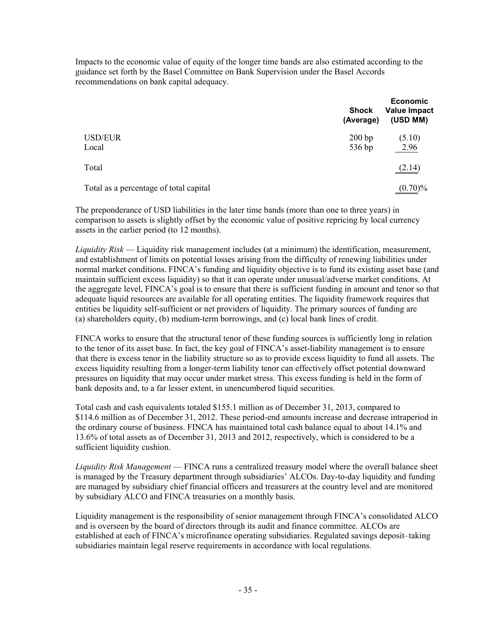Impacts to the economic value of equity of the longer time bands are also estimated according to the guidance set forth by the Basel Committee on Bank Supervision under the Basel Accords recommendations on bank capital adequacy.

|                                        | <b>Shock</b><br>(Average) | <b>Economic</b><br><b>Value Impact</b><br>(USD MM) |
|----------------------------------------|---------------------------|----------------------------------------------------|
| <b>USD/EUR</b><br>Local                | 200 bp<br>536 bp          | (5.10)<br>2.96                                     |
| Total                                  |                           | (2.14)                                             |
| Total as a percentage of total capital |                           | $(0.70)\%$                                         |

The preponderance of USD liabilities in the later time bands (more than one to three years) in comparison to assets is slightly offset by the economic value of positive repricing by local currency assets in the earlier period (to 12 months).

*Liquidity Risk* — Liquidity risk management includes (at a minimum) the identification, measurement, and establishment of limits on potential losses arising from the difficulty of renewing liabilities under normal market conditions. FINCA's funding and liquidity objective is to fund its existing asset base (and maintain sufficient excess liquidity) so that it can operate under unusual/adverse market conditions. At the aggregate level, FINCA's goal is to ensure that there is sufficient funding in amount and tenor so that adequate liquid resources are available for all operating entities. The liquidity framework requires that entities be liquidity self-sufficient or net providers of liquidity. The primary sources of funding are (a) shareholders equity, (b) medium-term borrowings, and (c) local bank lines of credit.

FINCA works to ensure that the structural tenor of these funding sources is sufficiently long in relation to the tenor of its asset base. In fact, the key goal of FINCA's asset-liability management is to ensure that there is excess tenor in the liability structure so as to provide excess liquidity to fund all assets. The excess liquidity resulting from a longer-term liability tenor can effectively offset potential downward pressures on liquidity that may occur under market stress. This excess funding is held in the form of bank deposits and, to a far lesser extent, in unencumbered liquid securities.

Total cash and cash equivalents totaled \$155.1 million as of December 31, 2013, compared to \$114.6 million as of December 31, 2012. These period-end amounts increase and decrease intraperiod in the ordinary course of business. FINCA has maintained total cash balance equal to about 14.1% and 13.6% of total assets as of December 31, 2013 and 2012, respectively, which is considered to be a sufficient liquidity cushion.

*Liquidity Risk Management* — FINCA runs a centralized treasury model where the overall balance sheet is managed by the Treasury department through subsidiaries' ALCOs. Day-to-day liquidity and funding are managed by subsidiary chief financial officers and treasurers at the country level and are monitored by subsidiary ALCO and FINCA treasuries on a monthly basis.

Liquidity management is the responsibility of senior management through FINCA's consolidated ALCO and is overseen by the board of directors through its audit and finance committee. ALCOs are established at each of FINCA's microfinance operating subsidiaries. Regulated savings deposit–taking subsidiaries maintain legal reserve requirements in accordance with local regulations.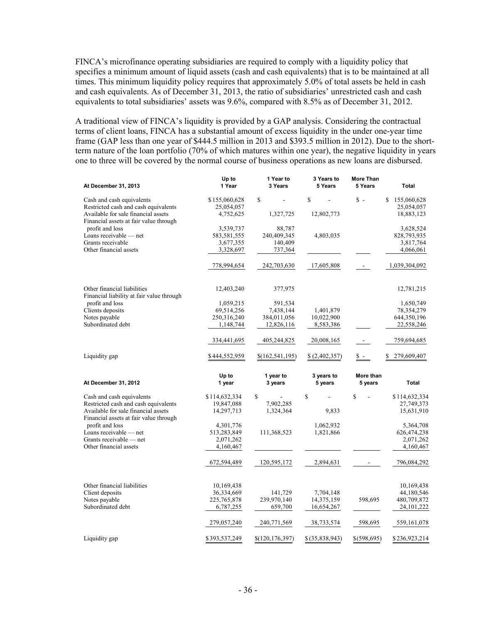FINCA's microfinance operating subsidiaries are required to comply with a liquidity policy that specifies a minimum amount of liquid assets (cash and cash equivalents) that is to be maintained at all times. This minimum liquidity policy requires that approximately 5.0% of total assets be held in cash and cash equivalents. As of December 31, 2013, the ratio of subsidiaries' unrestricted cash and cash equivalents to total subsidiaries' assets was 9.6%, compared with 8.5% as of December 31, 2012.

A traditional view of FINCA's liquidity is provided by a GAP analysis. Considering the contractual terms of client loans, FINCA has a substantial amount of excess liquidity in the under one-year time frame (GAP less than one year of \$444.5 million in 2013 and \$393.5 million in 2012). Due to the shortterm nature of the loan portfolio (70% of which matures within one year), the negative liquidity in years one to three will be covered by the normal course of business operations as new loans are disbursed.

|                                                                               | Up to         | 1 Year to       | 3 Years to    | <b>More Than</b> |                   |
|-------------------------------------------------------------------------------|---------------|-----------------|---------------|------------------|-------------------|
| At December 31, 2013                                                          | 1 Year        | 3 Years         | 5 Years       | 5 Years          | <b>Total</b>      |
| Cash and cash equivalents                                                     | \$155,060,628 | S               | \$            | $\hat{s}$ -      | 155,060,628<br>S. |
| Restricted cash and cash equivalents                                          | 25,054,057    |                 |               |                  | 25,054,057        |
| Available for sale financial assets                                           | 4,752,625     | 1,327,725       | 12,802,773    |                  | 18,883,123        |
| Financial assets at fair value through                                        |               |                 |               |                  |                   |
| profit and loss                                                               | 3,539,737     | 88,787          |               |                  | 3,628,524         |
| Loans receivable $-$ net                                                      | 583,581,555   | 240,409,345     | 4,803,035     |                  | 828,793,935       |
| Grants receivable                                                             | 3,677,355     | 140,409         |               |                  | 3,817,764         |
| Other financial assets                                                        | 3,328,697     | 737,364         |               |                  | 4,066,061         |
|                                                                               |               |                 |               |                  |                   |
|                                                                               | 778,994,654   | 242,703,630     | 17,605,808    | $\sim$           | 1,039,304,092     |
|                                                                               |               |                 |               |                  |                   |
| Other financial liabilities                                                   | 12,403,240    | 377,975         |               |                  | 12,781,215        |
| Financial liability at fair value through                                     |               |                 |               |                  |                   |
| profit and loss                                                               | 1,059,215     | 591,534         |               |                  | 1,650,749         |
| Clients deposits                                                              | 69,514,256    | 7,438,144       | 1,401,879     |                  | 78, 354, 279      |
| Notes payable                                                                 | 250,316,240   | 384,011,056     | 10,022,900    |                  | 644,350,196       |
| Subordinated debt                                                             | 1,148,744     | 12,826,116      | 8,583,386     |                  | 22,558,246        |
|                                                                               |               |                 |               |                  |                   |
|                                                                               | 334,441,695   | 405,244,825     | 20,008,165    |                  | 759,694,685       |
| Liquidity gap                                                                 | \$444,552,959 | \$(162,541,195) | \$(2,402,357) | $\mathbb S$ -    | 279,609,407<br>S  |
|                                                                               | Up to         | 1 year to       | 3 years to    | More than        |                   |
| At December 31, 2012                                                          | 1 year        | 3 years         | 5 years       | 5 years          | <b>Total</b>      |
| Cash and cash equivalents                                                     | \$114,632,334 | $\mathbf S$     | \$<br>÷,      | \$               | \$114,632,334     |
| Restricted cash and cash equivalents                                          | 19,847,088    | 7,902,285       |               |                  | 27,749,373        |
| Available for sale financial assets<br>Financial assets at fair value through | 14,297,713    | 1,324,364       | 9,833         |                  | 15,631,910        |
| profit and loss                                                               | 4,301,776     |                 | 1,062,932     |                  | 5,364,708         |
| Loans receivable — net                                                        | 513,283,849   | 111,368,523     | 1,821,866     |                  | 626,474,238       |
| Grants receivable — net                                                       |               |                 |               |                  |                   |
|                                                                               |               |                 |               |                  |                   |
|                                                                               | 2,071,262     |                 |               |                  | 2,071,262         |
| Other financial assets                                                        | 4,160,467     |                 |               |                  | 4,160,467         |
|                                                                               | 672,594,489   | 120,595,172     | 2,894,631     |                  | 796,084,292       |
|                                                                               |               |                 |               |                  |                   |
| Other financial liabilities                                                   | 10,169,438    |                 |               |                  | 10,169,438        |
| Client deposits                                                               | 36,334,669    | 141,729         | 7,704,148     |                  | 44,180,546        |
| Notes payable                                                                 | 225, 765, 878 | 239,970,140     | 14,375,159    | 598,695          | 480,709,872       |
| Subordinated debt                                                             | 6,787,255     | 659,700         | 16,654,267    |                  | 24, 101, 222      |
|                                                                               | 279,057,240   | 240,771,569     | 38,733,574    | 598,695          | 559, 161, 078     |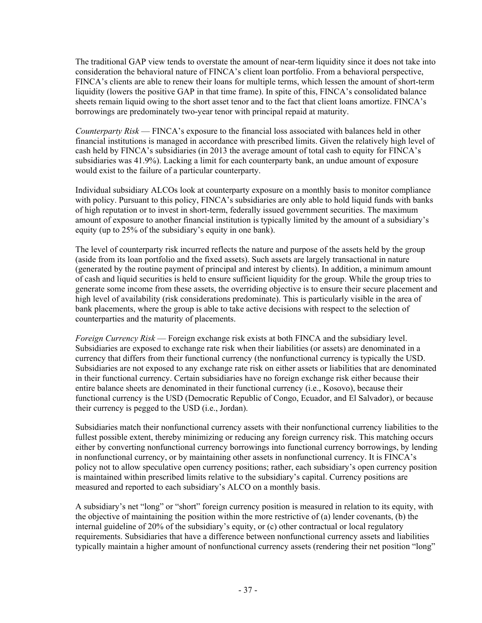The traditional GAP view tends to overstate the amount of near-term liquidity since it does not take into consideration the behavioral nature of FINCA's client loan portfolio. From a behavioral perspective, FINCA's clients are able to renew their loans for multiple terms, which lessen the amount of short-term liquidity (lowers the positive GAP in that time frame). In spite of this, FINCA's consolidated balance sheets remain liquid owing to the short asset tenor and to the fact that client loans amortize. FINCA's borrowings are predominately two-year tenor with principal repaid at maturity.

*Counterparty Risk* — FINCA's exposure to the financial loss associated with balances held in other financial institutions is managed in accordance with prescribed limits. Given the relatively high level of cash held by FINCA's subsidiaries (in 2013 the average amount of total cash to equity for FINCA's subsidiaries was 41.9%). Lacking a limit for each counterparty bank, an undue amount of exposure would exist to the failure of a particular counterparty.

Individual subsidiary ALCOs look at counterparty exposure on a monthly basis to monitor compliance with policy. Pursuant to this policy, FINCA's subsidiaries are only able to hold liquid funds with banks of high reputation or to invest in short-term, federally issued government securities. The maximum amount of exposure to another financial institution is typically limited by the amount of a subsidiary's equity (up to 25% of the subsidiary's equity in one bank).

The level of counterparty risk incurred reflects the nature and purpose of the assets held by the group (aside from its loan portfolio and the fixed assets). Such assets are largely transactional in nature (generated by the routine payment of principal and interest by clients). In addition, a minimum amount of cash and liquid securities is held to ensure sufficient liquidity for the group. While the group tries to generate some income from these assets, the overriding objective is to ensure their secure placement and high level of availability (risk considerations predominate). This is particularly visible in the area of bank placements, where the group is able to take active decisions with respect to the selection of counterparties and the maturity of placements.

*Foreign Currency Risk* — Foreign exchange risk exists at both FINCA and the subsidiary level. Subsidiaries are exposed to exchange rate risk when their liabilities (or assets) are denominated in a currency that differs from their functional currency (the nonfunctional currency is typically the USD. Subsidiaries are not exposed to any exchange rate risk on either assets or liabilities that are denominated in their functional currency. Certain subsidiaries have no foreign exchange risk either because their entire balance sheets are denominated in their functional currency (i.e., Kosovo), because their functional currency is the USD (Democratic Republic of Congo, Ecuador, and El Salvador), or because their currency is pegged to the USD (i.e., Jordan).

Subsidiaries match their nonfunctional currency assets with their nonfunctional currency liabilities to the fullest possible extent, thereby minimizing or reducing any foreign currency risk. This matching occurs either by converting nonfunctional currency borrowings into functional currency borrowings, by lending in nonfunctional currency, or by maintaining other assets in nonfunctional currency. It is FINCA's policy not to allow speculative open currency positions; rather, each subsidiary's open currency position is maintained within prescribed limits relative to the subsidiary's capital. Currency positions are measured and reported to each subsidiary's ALCO on a monthly basis.

A subsidiary's net "long" or "short" foreign currency position is measured in relation to its equity, with the objective of maintaining the position within the more restrictive of (a) lender covenants, (b) the internal guideline of 20% of the subsidiary's equity, or (c) other contractual or local regulatory requirements. Subsidiaries that have a difference between nonfunctional currency assets and liabilities typically maintain a higher amount of nonfunctional currency assets (rendering their net position "long"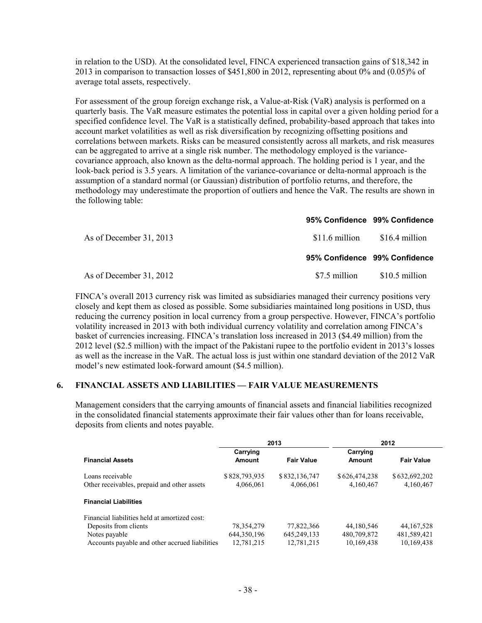in relation to the USD). At the consolidated level, FINCA experienced transaction gains of \$18,342 in 2013 in comparison to transaction losses of \$451,800 in 2012, representing about 0% and (0.05)% of average total assets, respectively.

For assessment of the group foreign exchange risk, a Value-at-Risk (VaR) analysis is performed on a quarterly basis. The VaR measure estimates the potential loss in capital over a given holding period for a specified confidence level. The VaR is a statistically defined, probability-based approach that takes into account market volatilities as well as risk diversification by recognizing offsetting positions and correlations between markets. Risks can be measured consistently across all markets, and risk measures can be aggregated to arrive at a single risk number. The methodology employed is the variancecovariance approach, also known as the delta-normal approach. The holding period is 1 year, and the look-back period is 3.5 years. A limitation of the variance-covariance or delta-normal approach is the assumption of a standard normal (or Gaussian) distribution of portfolio returns, and therefore, the methodology may underestimate the proportion of outliers and hence the VaR. The results are shown in the following table:

|                         | 95% Confidence 99% Confidence |                |
|-------------------------|-------------------------------|----------------|
| As of December 31, 2013 | \$11.6 million                | \$16.4 million |
|                         | 95% Confidence 99% Confidence |                |
| As of December 31, 2012 | \$7.5 million                 | \$10.5 million |

FINCA's overall 2013 currency risk was limited as subsidiaries managed their currency positions very closely and kept them as closed as possible. Some subsidiaries maintained long positions in USD, thus reducing the currency position in local currency from a group perspective. However, FINCA's portfolio volatility increased in 2013 with both individual currency volatility and correlation among FINCA's basket of currencies increasing. FINCA's translation loss increased in 2013 (\$4.49 million) from the 2012 level (\$2.5 million) with the impact of the Pakistani rupee to the portfolio evident in 2013's losses as well as the increase in the VaR. The actual loss is just within one standard deviation of the 2012 VaR model's new estimated look-forward amount (\$4.5 million).

#### **6. FINANCIAL ASSETS AND LIABILITIES — FAIR VALUE MEASUREMENTS**

Management considers that the carrying amounts of financial assets and financial liabilities recognized in the consolidated financial statements approximate their fair values other than for loans receivable, deposits from clients and notes payable.

|                                                |               | 2013              | 2012          |                   |
|------------------------------------------------|---------------|-------------------|---------------|-------------------|
|                                                | Carrying      |                   | Carrying      |                   |
| <b>Financial Assets</b>                        | Amount        | <b>Fair Value</b> | Amount        | <b>Fair Value</b> |
| Loans receivable                               | \$828,793,935 | \$832,136,747     | \$626,474,238 | \$632,692,202     |
| Other receivables, prepaid and other assets    | 4,066,061     | 4,066,061         | 4,160,467     | 4,160,467         |
| <b>Financial Liabilities</b>                   |               |                   |               |                   |
| Financial liabilities held at amortized cost:  |               |                   |               |                   |
| Deposits from clients                          | 78, 354, 279  | 77,822,366        | 44,180,546    | 44, 167, 528      |
| Notes payable                                  | 644, 350, 196 | 645, 249, 133     | 480,709,872   | 481,589,421       |
| Accounts payable and other accrued liabilities | 12.781.215    | 12.781.215        | 10,169,438    | 10,169,438        |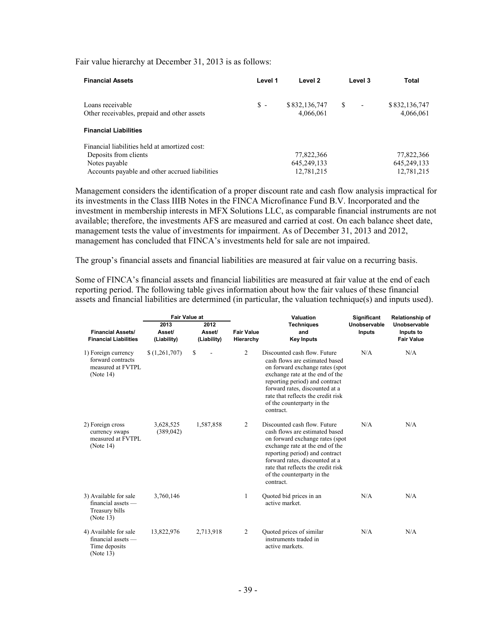Fair value hierarchy at December 31, 2013 is as follows:

| <b>Financial Assets</b>                                         | Level 1 | Level 2                    | Level 3                        | <b>Total</b>               |
|-----------------------------------------------------------------|---------|----------------------------|--------------------------------|----------------------------|
| Loans receivable<br>Other receivables, prepaid and other assets | \$ -    | \$832,136,747<br>4,066,061 | S.<br>$\overline{\phantom{a}}$ | \$832,136,747<br>4,066,061 |
| <b>Financial Liabilities</b>                                    |         |                            |                                |                            |
| Financial liabilities held at amortized cost:                   |         |                            |                                |                            |
| Deposits from clients                                           |         | 77,822,366                 |                                | 77,822,366                 |
| Notes payable                                                   |         | 645, 249, 133              |                                | 645, 249, 133              |
| Accounts payable and other accrued liabilities                  |         | 12,781,215                 |                                | 12,781,215                 |

Management considers the identification of a proper discount rate and cash flow analysis impractical for its investments in the Class IIIB Notes in the FINCA Microfinance Fund B.V. Incorporated and the investment in membership interests in MFX Solutions LLC, as comparable financial instruments are not available; therefore, the investments AFS are measured and carried at cost. On each balance sheet date, management tests the value of investments for impairment. As of December 31, 2013 and 2012, management has concluded that FINCA's investments held for sale are not impaired.

The group's financial assets and financial liabilities are measured at fair value on a recurring basis.

Some of FINCA's financial assets and financial liabilities are measured at fair value at the end of each reporting period. The following table gives information about how the fair values of these financial assets and financial liabilities are determined (in particular, the valuation technique(s) and inputs used).

|                                                                                | <b>Fair Value at</b>          |                               |                                | Valuation                                                                                                                                                                                                                                                                                 |                        | Relationship of                                |
|--------------------------------------------------------------------------------|-------------------------------|-------------------------------|--------------------------------|-------------------------------------------------------------------------------------------------------------------------------------------------------------------------------------------------------------------------------------------------------------------------------------------|------------------------|------------------------------------------------|
| <b>Financial Assets/</b><br><b>Financial Liabilities</b>                       | 2013<br>Asset/<br>(Liability) | 2012<br>Asset/<br>(Liability) | <b>Fair Value</b><br>Hierarchy | <b>Techniques</b><br>and<br><b>Key Inputs</b>                                                                                                                                                                                                                                             | Unobservable<br>Inputs | Unobservable<br>Inputs to<br><b>Fair Value</b> |
| 1) Foreign currency<br>forward contracts<br>measured at FVTPL<br>(Note 14)     | (1,261,707)                   | \$                            | $\overline{2}$                 | Discounted cash flow. Future<br>cash flows are estimated based<br>on forward exchange rates (spot<br>exchange rate at the end of the<br>reporting period) and contract<br>forward rates, discounted at a<br>rate that reflects the credit risk<br>of the counterparty in the<br>contract. | N/A                    | N/A                                            |
| 2) Foreign cross<br>currency swaps<br>measured at FVTPL.<br>(Note 14)          | 3,628,525<br>(389, 042)       | 1,587,858                     | 2                              | Discounted cash flow. Future<br>cash flows are estimated based<br>on forward exchange rates (spot<br>exchange rate at the end of the<br>reporting period) and contract<br>forward rates, discounted at a<br>rate that reflects the credit risk<br>of the counterparty in the<br>contract. | N/A                    | N/A                                            |
| 3) Available for sale<br>$financial$ assets $-$<br>Treasury bills<br>(Note 13) | 3,760,146                     |                               | 1                              | Quoted bid prices in an<br>active market.                                                                                                                                                                                                                                                 | N/A                    | N/A                                            |
| 4) Available for sale<br>$finencial$ assets $-$<br>Time deposits<br>(Note 13)  | 13,822,976                    | 2,713,918                     | 2                              | Quoted prices of similar<br>instruments traded in<br>active markets.                                                                                                                                                                                                                      | N/A                    | N/A                                            |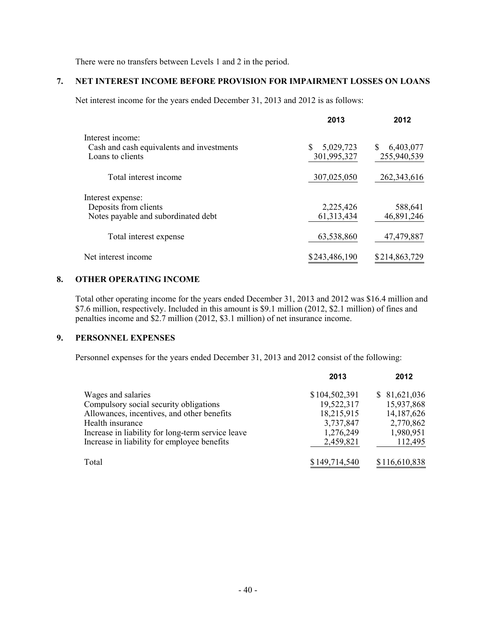There were no transfers between Levels 1 and 2 in the period.

# **7. NET INTEREST INCOME BEFORE PROVISION FOR IMPAIRMENT LOSSES ON LOANS**

Net interest income for the years ended December 31, 2013 and 2012 is as follows:

|                                                                                   | 2013                            | 2012                     |
|-----------------------------------------------------------------------------------|---------------------------------|--------------------------|
| Interest income:<br>Cash and cash equivalents and investments<br>Loans to clients | \$.<br>5,029,723<br>301,995,327 | 6,403,077<br>255,940,539 |
| Total interest income                                                             | 307,025,050                     | 262, 343, 616            |
| Interest expense:<br>Deposits from clients<br>Notes payable and subordinated debt | 2,225,426<br>61, 313, 434       | 588,641<br>46,891,246    |
| Total interest expense                                                            | 63,538,860                      | 47,479,887               |
| Net interest income                                                               | \$243,486,190                   | \$214,863,729            |

#### **8. OTHER OPERATING INCOME**

Total other operating income for the years ended December 31, 2013 and 2012 was \$16.4 million and \$7.6 million, respectively. Included in this amount is \$9.1 million (2012, \$2.1 million) of fines and penalties income and \$2.7 million (2012, \$3.1 million) of net insurance income.

### **9. PERSONNEL EXPENSES**

Personnel expenses for the years ended December 31, 2013 and 2012 consist of the following:

|                                                   | 2013          | 2012          |
|---------------------------------------------------|---------------|---------------|
| Wages and salaries                                | \$104,502,391 | \$81,621,036  |
| Compulsory social security obligations            | 19,522,317    | 15,937,868    |
| Allowances, incentives, and other benefits        | 18,215,915    | 14, 187, 626  |
| Health insurance                                  | 3,737,847     | 2,770,862     |
| Increase in liability for long-term service leave | 1,276,249     | 1,980,951     |
| Increase in liability for employee benefits       | 2,459,821     | 112,495       |
| Total                                             | \$149,714,540 | \$116,610,838 |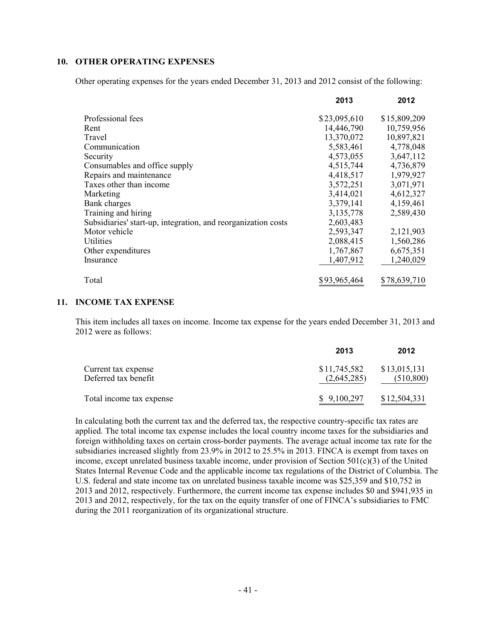#### **10. OTHER OPERATING EXPENSES**

Other operating expenses for the years ended December 31, 2013 and 2012 consist of the following:

|                                                               | 2013         | 2012         |
|---------------------------------------------------------------|--------------|--------------|
| Professional fees                                             | \$23,095,610 | \$15,809,209 |
| Rent                                                          | 14,446,790   | 10,759,956   |
| Travel                                                        | 13,370,072   | 10,897,821   |
| Communication                                                 | 5,583,461    | 4,778,048    |
| Security                                                      | 4,573,055    | 3,647,112    |
| Consumables and office supply                                 | 4,515,744    | 4,736,879    |
| Repairs and maintenance                                       | 4,418,517    | 1,979,927    |
| Taxes other than income                                       | 3,572,251    | 3,071,971    |
| Marketing                                                     | 3,414,021    | 4,612,327    |
| Bank charges                                                  | 3,379,141    | 4,159,461    |
| Training and hiring                                           | 3,135,778    | 2,589,430    |
| Subsidiaries' start-up, integration, and reorganization costs | 2,603,483    |              |
| Motor vehicle                                                 | 2,593,347    | 2,121,903    |
| <b>Utilities</b>                                              | 2,088,415    | 1,560,286    |
| Other expenditures                                            | 1,767,867    | 6,675,351    |
| Insurance                                                     | 1,407,912    | 1,240,029    |
| Total                                                         | \$93,965,464 | \$78,639,710 |

#### **11. INCOME TAX EXPENSE**

This item includes all taxes on income. Income tax expense for the years ended December 31, 2013 and 2012 were as follows:

|                                             | 2013                        | 2012                       |
|---------------------------------------------|-----------------------------|----------------------------|
| Current tax expense<br>Deferred tax benefit | \$11,745,582<br>(2,645,285) | \$13,015,131<br>(510, 800) |
| Total income tax expense                    | \$9,100,297                 | \$12,504,331               |

In calculating both the current tax and the deferred tax, the respective country-specific tax rates are applied. The total income tax expense includes the local country income taxes for the subsidiaries and foreign withholding taxes on certain cross-border payments. The average actual income tax rate for the subsidiaries increased slightly from 23.9% in 2012 to 25.5% in 2013. FINCA is exempt from taxes on income, except unrelated business taxable income, under provision of Section 501(c)(3) of the United States Internal Revenue Code and the applicable income tax regulations of the District of Columbia. The U.S. federal and state income tax on unrelated business taxable income was \$25,359 and \$10,752 in 2013 and 2012, respectively. Furthermore, the current income tax expense includes \$0 and \$941,935 in 2013 and 2012, respectively, for the tax on the equity transfer of one of FINCA's subsidiaries to FMC during the 2011 reorganization of its organizational structure.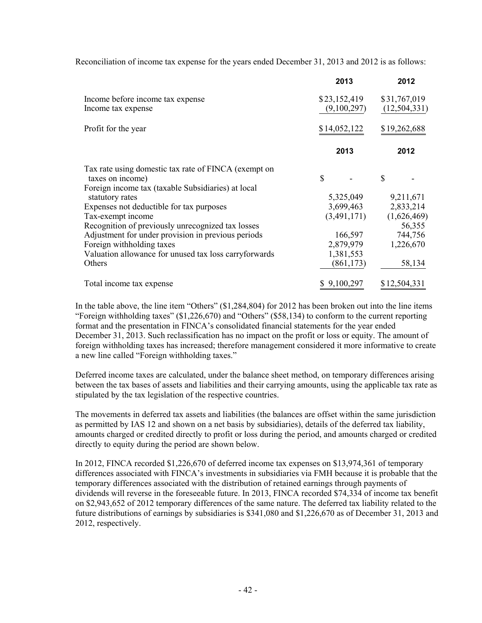Reconciliation of income tax expense for the years ended December 31, 2013 and 2012 is as follows:

|                                                                          | 2013                        | 2012                           |
|--------------------------------------------------------------------------|-----------------------------|--------------------------------|
| Income before income tax expense<br>Income tax expense                   | \$23,152,419<br>(9,100,297) | \$31,767,019<br>(12, 504, 331) |
| Profit for the year                                                      | \$14,052,122                | \$19,262,688                   |
|                                                                          | 2013                        | 2012                           |
| Tax rate using domestic tax rate of FINCA (exempt on<br>taxes on income) | $\mathcal{S}$               | \$                             |
| Foreign income tax (taxable Subsidiaries) at local                       |                             |                                |
| statutory rates                                                          | 5,325,049                   | 9,211,671                      |
| Expenses not deductible for tax purposes                                 | 3,699,463                   | 2,833,214                      |
| Tax-exempt income                                                        | (3,491,171)                 | (1,626,469)                    |
| Recognition of previously unrecognized tax losses                        |                             | 56,355                         |
| Adjustment for under provision in previous periods                       | 166,597                     | 744,756                        |
| Foreign withholding taxes                                                | 2,879,979                   | 1,226,670                      |
| Valuation allowance for unused tax loss carryforwards                    | 1,381,553                   |                                |
| Others                                                                   | (861, 173)                  | 58,134                         |
| Total income tax expense                                                 | \$9,100,297                 | \$12,504,331                   |

In the table above, the line item "Others" (\$1,284,804) for 2012 has been broken out into the line items "Foreign withholding taxes" (\$1,226,670) and "Others" (\$58,134) to conform to the current reporting format and the presentation in FINCA's consolidated financial statements for the year ended December 31, 2013. Such reclassification has no impact on the profit or loss or equity. The amount of foreign withholding taxes has increased; therefore management considered it more informative to create a new line called "Foreign withholding taxes."

Deferred income taxes are calculated, under the balance sheet method, on temporary differences arising between the tax bases of assets and liabilities and their carrying amounts, using the applicable tax rate as stipulated by the tax legislation of the respective countries.

The movements in deferred tax assets and liabilities (the balances are offset within the same jurisdiction as permitted by IAS 12 and shown on a net basis by subsidiaries), details of the deferred tax liability, amounts charged or credited directly to profit or loss during the period, and amounts charged or credited directly to equity during the period are shown below.

In 2012, FINCA recorded \$1,226,670 of deferred income tax expenses on \$13,974,361 of temporary differences associated with FINCA's investments in subsidiaries via FMH because it is probable that the temporary differences associated with the distribution of retained earnings through payments of dividends will reverse in the foreseeable future. In 2013, FINCA recorded \$74,334 of income tax benefit on \$2,943,652 of 2012 temporary differences of the same nature. The deferred tax liability related to the future distributions of earnings by subsidiaries is \$341,080 and \$1,226,670 as of December 31, 2013 and 2012, respectively.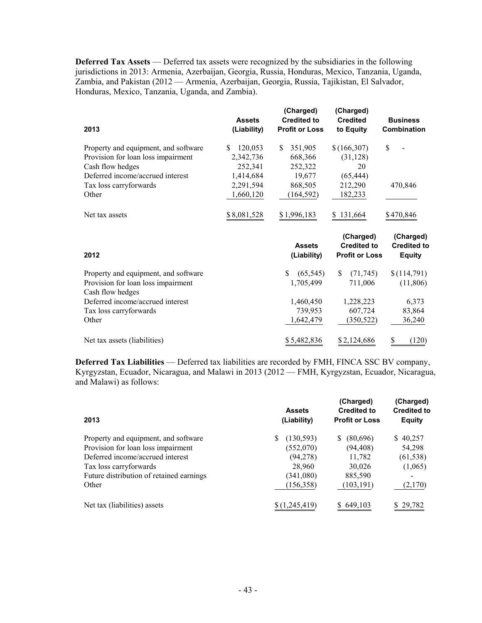**Deferred Tax Assets** — Deferred tax assets were recognized by the subsidiaries in the following jurisdictions in 2013: Armenia, Azerbaijan, Georgia, Russia, Honduras, Mexico, Tanzania, Uganda, Zambia, and Pakistan (2012 — Armenia, Azerbaijan, Georgia, Russia, Tajikistan, El Salvador, Honduras, Mexico, Tanzania, Uganda, and Zambia).

| 2013                                                   | <b>Assets</b><br>(Liability) | (Charged)<br><b>Credited to</b><br><b>Profit or Loss</b> | (Charged)<br><b>Credited</b><br>to Equity                | <b>Business</b><br>Combination                   |
|--------------------------------------------------------|------------------------------|----------------------------------------------------------|----------------------------------------------------------|--------------------------------------------------|
| Property and equipment, and software                   | 120,053<br>S.                | 351,905<br>S.                                            | \$(166,307)                                              | \$                                               |
| Provision for loan loss impairment                     | 2,342,736                    | 668,366                                                  | (31, 128)                                                |                                                  |
| Cash flow hedges                                       | 252,341                      | 252,322                                                  | 20                                                       |                                                  |
| Deferred income/accrued interest                       | 1,414,684                    | 19,677                                                   | (65, 444)                                                |                                                  |
| Tax loss carryforwards                                 | 2,291,594                    | 868,505                                                  | 212,290                                                  | 470,846                                          |
| Other                                                  | 1,660,120                    | (164, 592)                                               | 182,233                                                  |                                                  |
| Net tax assets                                         | \$8,081,528                  | \$1,996,183                                              | \$131,664                                                | \$470,846                                        |
| 2012                                                   |                              | <b>Assets</b><br>(Liability)                             | (Charged)<br><b>Credited to</b><br><b>Profit or Loss</b> | (Charged)<br><b>Credited to</b><br><b>Equity</b> |
| Property and equipment, and software                   |                              | \$.<br>(65, 545)                                         | \$<br>(71, 745)                                          | \$(114,791)                                      |
| Provision for loan loss impairment<br>Cash flow hedges |                              | 1,705,499                                                | 711,006                                                  | (11, 806)                                        |
| Deferred income/accrued interest                       |                              | 1,460,450                                                | 1,228,223                                                | 6,373                                            |
| Tax loss carryforwards                                 |                              | 739,953                                                  | 607,724                                                  | 83,864                                           |
| Other                                                  |                              | 1,642,479                                                | (350, 522)                                               | 36,240                                           |
| Net tax assets (liabilities)                           |                              | \$5,482,836                                              | \$2,124,686                                              | (120)<br>S                                       |
|                                                        |                              |                                                          |                                                          |                                                  |

**Deferred Tax Liabilities** — Deferred tax liabilities are recorded by FMH, FINCA SSC BV company, Kyrgyzstan, Ecuador, Nicaragua, and Malawi in 2013 (2012 — FMH, Kyrgyzstan, Ecuador, Nicaragua, and Malawi) as follows:

| 2013                                     | <b>Assets</b><br>(Liability) | (Charged)<br><b>Credited to</b><br><b>Profit or Loss</b> | (Charged)<br><b>Credited to</b><br><b>Equity</b> |
|------------------------------------------|------------------------------|----------------------------------------------------------|--------------------------------------------------|
| Property and equipment, and software     | (130, 593)<br>S              | (80,696)<br>S.                                           | \$40,257                                         |
| Provision for loan loss impairment       | (552,070)                    | (94, 408)                                                | 54,298                                           |
| Deferred income/accrued interest         | (94, 278)                    | 11,782                                                   | (61, 538)                                        |
| Tax loss carryforwards                   | 28,960                       | 30,026                                                   | (1,065)                                          |
| Future distribution of retained earnings | (341,080)                    | 885,590                                                  |                                                  |
| Other                                    | (156, 358)                   | (103, 191)                                               | (2,170)                                          |
| Net tax (liabilities) assets             | \$(1,245,419)                | \$649,103                                                | \$29,782                                         |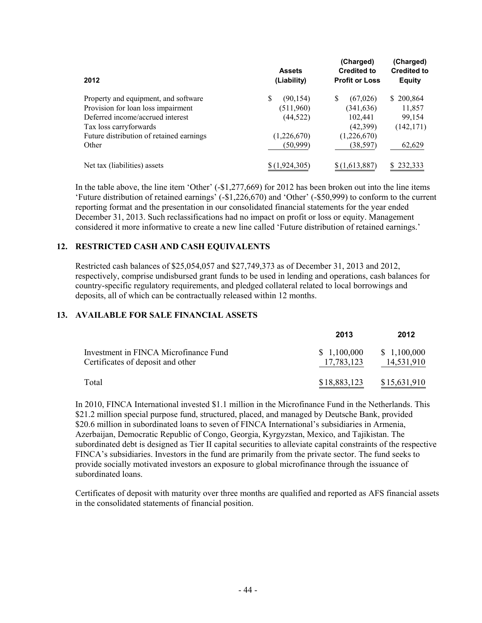| 2012                                     | <b>Assets</b><br>(Liability) | (Charged)<br><b>Credited to</b><br><b>Profit or Loss</b> | (Charged)<br><b>Credited to</b><br><b>Equity</b> |  |
|------------------------------------------|------------------------------|----------------------------------------------------------|--------------------------------------------------|--|
| Property and equipment, and software     | \$<br>(90, 154)              | S<br>(67,026)                                            | \$200,864                                        |  |
| Provision for loan loss impairment       | (511,960)                    | (341, 636)                                               | 11,857                                           |  |
| Deferred income/accrued interest         | (44, 522)                    | 102,441                                                  | 99,154                                           |  |
| Tax loss carryforwards                   |                              | (42,399)                                                 | (142, 171)                                       |  |
| Future distribution of retained earnings | (1,226,670)                  | (1,226,670)                                              |                                                  |  |
| Other                                    | (50,999)                     | (38, 597)                                                | 62,629                                           |  |
| Net tax (liabilities) assets             | \$(1,924,305)                | \$(1,613,887)                                            | \$232,333                                        |  |

In the table above, the line item 'Other' (-\$1,277,669) for 2012 has been broken out into the line items 'Future distribution of retained earnings' (-\$1,226,670) and 'Other' (-\$50,999) to conform to the current reporting format and the presentation in our consolidated financial statements for the year ended December 31, 2013. Such reclassifications had no impact on profit or loss or equity. Management considered it more informative to create a new line called 'Future distribution of retained earnings.'

#### **12. RESTRICTED CASH AND CASH EQUIVALENTS**

Restricted cash balances of \$25,054,057 and \$27,749,373 as of December 31, 2013 and 2012, respectively, comprise undisbursed grant funds to be used in lending and operations, cash balances for country-specific regulatory requirements, and pledged collateral related to local borrowings and deposits, all of which can be contractually released within 12 months.

#### **13. AVAILABLE FOR SALE FINANCIAL ASSETS**

|                                                                            | 2013                      | 2012                      |
|----------------------------------------------------------------------------|---------------------------|---------------------------|
| Investment in FINCA Microfinance Fund<br>Certificates of deposit and other | \$1,100,000<br>17,783,123 | \$1,100,000<br>14,531,910 |
| Total                                                                      | \$18,883,123              | \$15,631,910              |

In 2010, FINCA International invested \$1.1 million in the Microfinance Fund in the Netherlands. This \$21.2 million special purpose fund, structured, placed, and managed by Deutsche Bank, provided \$20.6 million in subordinated loans to seven of FINCA International's subsidiaries in Armenia, Azerbaijan, Democratic Republic of Congo, Georgia, Kyrgyzstan, Mexico, and Tajikistan. The subordinated debt is designed as Tier II capital securities to alleviate capital constraints of the respective FINCA's subsidiaries. Investors in the fund are primarily from the private sector. The fund seeks to provide socially motivated investors an exposure to global microfinance through the issuance of subordinated loans.

Certificates of deposit with maturity over three months are qualified and reported as AFS financial assets in the consolidated statements of financial position.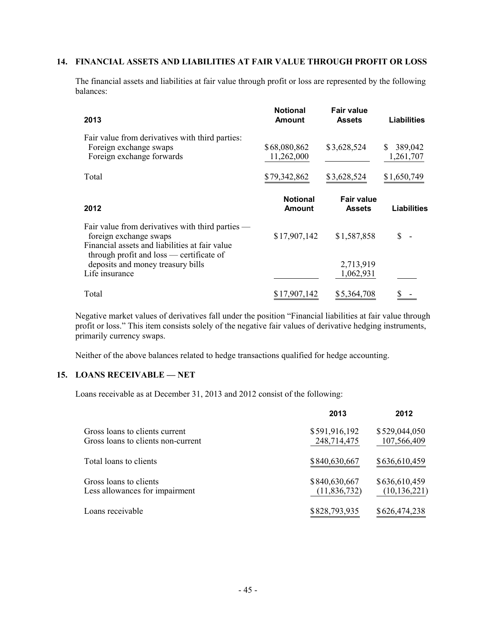#### **14. FINANCIAL ASSETS AND LIABILITIES AT FAIR VALUE THROUGH PROFIT OR LOSS**

The financial assets and liabilities at fair value through profit or loss are represented by the following balances:

| 2013                                                                                                                                                                     | <b>Notional</b><br><b>Amount</b> | <b>Fair value</b><br><b>Assets</b> | <b>Liabilities</b>         |
|--------------------------------------------------------------------------------------------------------------------------------------------------------------------------|----------------------------------|------------------------------------|----------------------------|
| Fair value from derivatives with third parties:<br>Foreign exchange swaps<br>Foreign exchange forwards                                                                   | \$68,080,862<br>11,262,000       | \$3,628,524                        | 389,042<br>\$<br>1,261,707 |
| Total                                                                                                                                                                    | \$79,342,862                     | \$3,628,524                        | \$1,650,749                |
| 2012                                                                                                                                                                     | <b>Notional</b><br>Amount        | <b>Fair value</b><br><b>Assets</b> | <b>Liabilities</b>         |
| Fair value from derivatives with third parties —<br>foreign exchange swaps<br>Financial assets and liabilities at fair value<br>through profit and loss — certificate of | \$17,907,142                     | \$1,587,858                        |                            |
| deposits and money treasury bills<br>Life insurance                                                                                                                      |                                  | 2,713,919<br>1,062,931             |                            |
| Total                                                                                                                                                                    | \$17,907,142                     | \$5,364,708                        |                            |

Negative market values of derivatives fall under the position "Financial liabilities at fair value through profit or loss." This item consists solely of the negative fair values of derivative hedging instruments, primarily currency swaps.

Neither of the above balances related to hedge transactions qualified for hedge accounting.

#### **15. LOANS RECEIVABLE — NET**

Loans receivable as at December 31, 2013 and 2012 consist of the following:

|                                                                      | 2013                          | 2012                            |
|----------------------------------------------------------------------|-------------------------------|---------------------------------|
| Gross loans to clients current<br>Gross loans to clients non-current | \$591,916,192<br>248,714,475  | \$529,044,050<br>107,566,409    |
| Total loans to clients                                               | \$840,630,667                 | \$636,610,459                   |
| Gross loans to clients<br>Less allowances for impairment             | \$840,630,667<br>(11,836,732) | \$636,610,459<br>(10, 136, 221) |
| Loans receivable                                                     | \$828,793,935                 | \$626,474,238                   |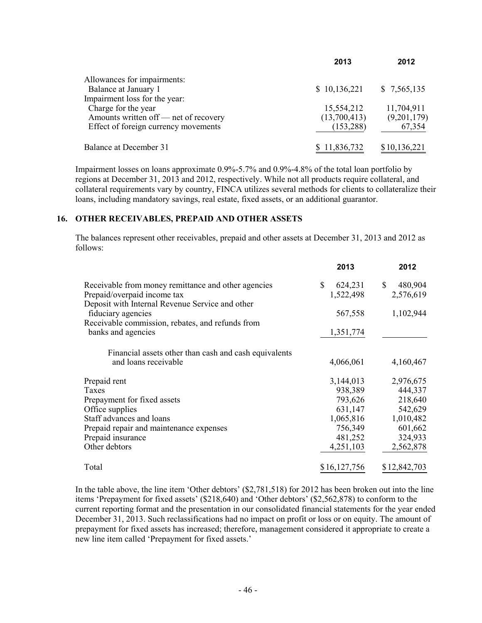|                                       | 2013         | 2012         |
|---------------------------------------|--------------|--------------|
| Allowances for impairments:           |              |              |
| Balance at January 1                  | \$10,136,221 | \$7,565,135  |
| Impairment loss for the year:         |              |              |
| Charge for the year                   | 15,554,212   | 11,704,911   |
| Amounts written of f— net of recovery | (13,700,413) | (9,201,179)  |
| Effect of foreign currency movements  | (153, 288)   | 67,354       |
| Balance at December 31                | \$11,836,732 | \$10,136,221 |

Impairment losses on loans approximate 0.9%-5.7% and 0.9%-4.8% of the total loan portfolio by regions at December 31, 2013 and 2012, respectively. While not all products require collateral, and collateral requirements vary by country, FINCA utilizes several methods for clients to collateralize their loans, including mandatory savings, real estate, fixed assets, or an additional guarantor.

# **16. OTHER RECEIVABLES, PREPAID AND OTHER ASSETS**

The balances represent other receivables, prepaid and other assets at December 31, 2013 and 2012 as follows:

|                                                       | 2013          | 2012          |
|-------------------------------------------------------|---------------|---------------|
| Receivable from money remittance and other agencies   | \$<br>624,231 | \$<br>480,904 |
| Prepaid/overpaid income tax                           | 1,522,498     | 2,576,619     |
| Deposit with Internal Revenue Service and other       |               |               |
| fiduciary agencies                                    | 567,558       | 1,102,944     |
| Receivable commission, rebates, and refunds from      |               |               |
| banks and agencies                                    | 1,351,774     |               |
| Financial assets other than cash and cash equivalents |               |               |
| and loans receivable                                  | 4,066,061     | 4,160,467     |
| Prepaid rent                                          | 3,144,013     | 2,976,675     |
| Taxes                                                 | 938,389       | 444,337       |
| Prepayment for fixed assets                           | 793,626       | 218,640       |
| Office supplies                                       | 631,147       | 542,629       |
| Staff advances and loans                              | 1,065,816     | 1,010,482     |
| Prepaid repair and maintenance expenses               | 756,349       | 601,662       |
| Prepaid insurance                                     | 481,252       | 324,933       |
| Other debtors                                         | 4,251,103     | 2,562,878     |
| Total                                                 | \$16,127,756  | \$12,842,703  |

In the table above, the line item 'Other debtors' (\$2,781,518) for 2012 has been broken out into the line items 'Prepayment for fixed assets' (\$218,640) and 'Other debtors' (\$2,562,878) to conform to the current reporting format and the presentation in our consolidated financial statements for the year ended December 31, 2013. Such reclassifications had no impact on profit or loss or on equity. The amount of prepayment for fixed assets has increased; therefore, management considered it appropriate to create a new line item called 'Prepayment for fixed assets.'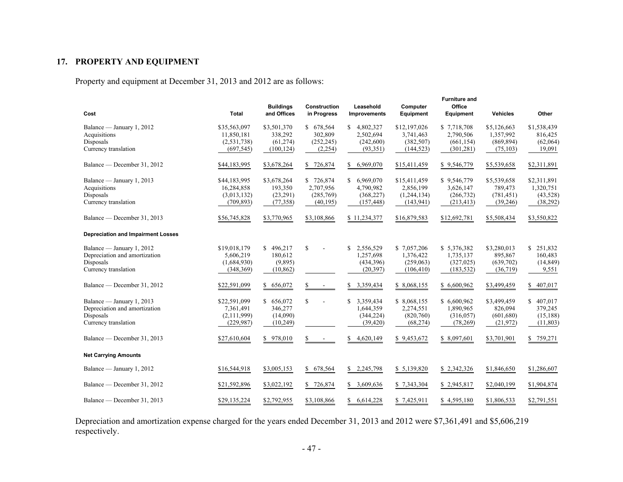# **17. PROPERTY AND EQUIPMENT**

Property and equipment at December 31, 2013 and 2012 are as follows:

| Cost                                                                                            | <b>Total</b>                                              | <b>Buildings</b><br>and Offices                   | <b>Construction</b><br>in Progress               | Leasehold<br><b>Improvements</b>                         | Computer<br>Equipment                                  | <b>Furniture and</b><br>Office<br>Equipment          | <b>Vehicles</b>                                     | Other                                            |
|-------------------------------------------------------------------------------------------------|-----------------------------------------------------------|---------------------------------------------------|--------------------------------------------------|----------------------------------------------------------|--------------------------------------------------------|------------------------------------------------------|-----------------------------------------------------|--------------------------------------------------|
| Balance — January 1, 2012<br>Acquisitions<br>Disposals<br>Currency translation                  | \$35,563,097<br>11,850,181<br>(2, 531, 738)<br>(697, 545) | \$3,501,370<br>338,292<br>(61, 274)<br>(100, 124) | \$678,564<br>302,809<br>(252, 245)<br>(2,254)    | \$4,802,327<br>2,502,694<br>(242,600)<br>(93,351)        | \$12,197,026<br>3,741,463<br>(382, 507)<br>(144, 523)  | \$7,718,708<br>2,790,506<br>(661, 154)<br>(301, 281) | \$5,126,663<br>1,357,992<br>(869, 894)<br>(75, 103) | \$1,538,439<br>816,425<br>(62,064)<br>19,091     |
| Balance — December 31, 2012                                                                     | \$44,183,995                                              | \$3,678,264                                       | \$726,874                                        | \$6,969,070                                              | \$15,411,459                                           | \$9,546,779                                          | \$5,539,658                                         | \$2,311,891                                      |
| Balance — January 1, 2013<br>Acquisitions<br>Disposals<br>Currency translation                  | \$44,183,995<br>16,284,858<br>(3,013,132)<br>(709, 893)   | \$3,678,264<br>193,350<br>(23, 291)<br>(77, 358)  | \$726,874<br>2,707,956<br>(285,769)<br>(40, 195) | \$6,969,070<br>4,790,982<br>(368, 227)<br>(157, 448)     | \$15,411,459<br>2,856,199<br>(1,244,134)<br>(143, 941) | \$9,546,779<br>3,626,147<br>(266, 732)<br>(213, 413) | \$5,539,658<br>789,473<br>(781, 451)<br>(39, 246)   | \$2,311,891<br>1,320,751<br>(43,528)<br>(38,292) |
| Balance — December 31, 2013                                                                     | \$56,745,828                                              | \$3,770,965                                       | \$3,108,866                                      | \$11,234,377                                             | \$16,879,583                                           | \$12,692,781                                         | \$5,508,434                                         | \$3,550,822                                      |
| <b>Depreciation and Impairment Losses</b>                                                       |                                                           |                                                   |                                                  |                                                          |                                                        |                                                      |                                                     |                                                  |
| Balance — January 1, 2012<br>Depreciation and amortization<br>Disposals<br>Currency translation | \$19,018,179<br>5,606,219<br>(1,684,930)<br>(348, 369)    | \$496,217<br>180,612<br>(9,895)<br>(10, 862)      | $\mathbf S$                                      | 2,556,529<br>\$.<br>1,257,698<br>(434, 396)<br>(20, 397) | \$7,057,206<br>1,376,422<br>(259,063)<br>(106, 410)    | \$5,376,382<br>1,735,137<br>(327, 025)<br>(183, 532) | \$3,280,013<br>895,867<br>(639,702)<br>(36,719)     | \$251,832<br>160,483<br>(14, 849)<br>9,551       |
| Balance — December 31, 2012                                                                     | \$22,591,099                                              | \$656,072                                         | \$<br>$\blacksquare$                             | \$<br>3,359,434                                          | \$ 8,068,155                                           | \$6,600,962                                          | \$3,499,459                                         | \$407,017                                        |
| Balance — January 1, 2013<br>Depreciation and amortization<br>Disposals<br>Currency translation | \$22,591,099<br>7,361,491<br>(2,111,999)<br>(229, 987)    | \$656,072<br>346,277<br>(14,090)<br>(10,249)      | $\mathbf S$                                      | \$<br>3,359,434<br>1,644,359<br>(344, 224)<br>(39, 420)  | \$8,068,155<br>2,274,551<br>(820,760)<br>(68, 274)     | \$6,600,962<br>1,890,965<br>(316, 057)<br>(78,269)   | \$3,499,459<br>826,094<br>(601, 680)<br>(21, 972)   | \$407,017<br>379,245<br>(15, 188)<br>(11, 803)   |
| Balance — December 31, 2013                                                                     | \$27,610,604                                              | \$978,010                                         | \$<br>$\blacksquare$                             | 4,620,149<br>\$                                          | \$9,453,672                                            | \$ 8,097,601                                         | \$3,701,901                                         | \$759,271                                        |
| <b>Net Carrying Amounts</b>                                                                     |                                                           |                                                   |                                                  |                                                          |                                                        |                                                      |                                                     |                                                  |
| Balance — January 1, 2012                                                                       | \$16,544,918                                              | \$3,005,153                                       | \$678,564                                        | \$2,245,798                                              | \$5,139,820                                            | \$2,342,326                                          | \$1,846,650                                         | \$1,286,607                                      |
| Balance — December 31, 2012                                                                     | \$21,592,896                                              | \$3,022,192                                       | \$726,874                                        | \$3,609,636                                              | \$7,343,304                                            | \$2,945,817                                          | \$2,040,199                                         | \$1,904,874                                      |
| Balance — December 31, 2013                                                                     | \$29,135,224                                              | \$2,792,955                                       | \$3,108,866                                      | 6,614,228<br>S.                                          | \$7,425,911                                            | \$4,595,180                                          | \$1,806,533                                         | \$2,791,551                                      |

Depreciation and amortization expense charged for the years ended December 31, 2013 and 2012 were \$7,361,491 and \$5,606,219 respectively.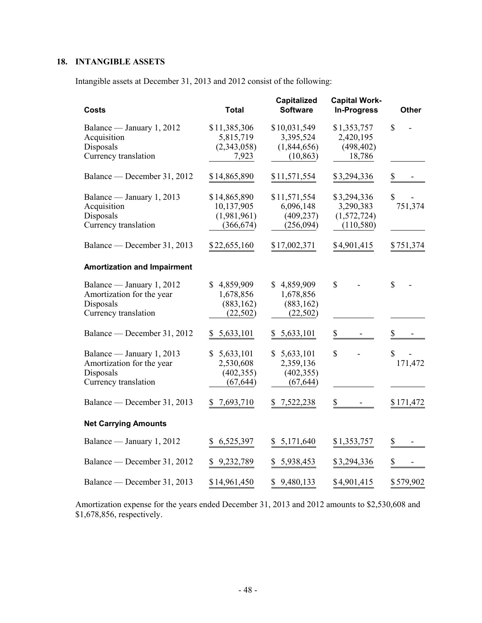# **18. INTANGIBLE ASSETS**

Intangible assets at December 31, 2013 and 2012 consist of the following:

| Costs                                                                                       | Total                                                   | Capitalized<br><b>Software</b>                        | <b>Capital Work-</b><br><b>In-Progress</b>            | <b>Other</b>  |
|---------------------------------------------------------------------------------------------|---------------------------------------------------------|-------------------------------------------------------|-------------------------------------------------------|---------------|
| Balance — January 1, 2012<br>Acquisition<br>Disposals<br>Currency translation               | \$11,385,306<br>5,815,719<br>(2,343,058)<br>7,923       | \$10,031,549<br>3,395,524<br>(1,844,656)<br>(10, 863) | \$1,353,757<br>2,420,195<br>(498, 402)<br>18,786      | \$            |
| Balance — December 31, 2012                                                                 | \$14,865,890                                            | \$11,571,554                                          | \$3,294,336                                           | \$            |
| Balance — January 1, 2013<br>Acquisition<br>Disposals<br>Currency translation               | \$14,865,890<br>10,137,905<br>(1,981,961)<br>(366, 674) | \$11,571,554<br>6,096,148<br>(409, 237)<br>(256,094)  | \$3,294,336<br>3,290,383<br>(1,572,724)<br>(110, 580) | \$<br>751,374 |
| Balance — December 31, 2013                                                                 | \$22,655,160                                            | \$17,002,371                                          | \$4,901,415                                           | \$751,374     |
| <b>Amortization and Impairment</b>                                                          |                                                         |                                                       |                                                       |               |
| Balance — January 1, 2012<br>Amortization for the year<br>Disposals<br>Currency translation | \$4,859,909<br>1,678,856<br>(883, 162)<br>(22, 502)     | \$4,859,909<br>1,678,856<br>(883, 162)<br>(22, 502)   | $\mathcal{S}$                                         | $\mathbf S$   |
| Balance — December 31, 2012                                                                 | \$5,633,101                                             | \$5,633,101                                           | $\underline{\$}$                                      | \$            |
| Balance — January 1, 2013<br>Amortization for the year<br>Disposals<br>Currency translation | \$<br>5,633,101<br>2,530,608<br>(402, 355)<br>(67, 644) | \$5,633,101<br>2,359,136<br>(402, 355)<br>(67, 644)   | \$                                                    | \$<br>171,472 |
| Balance — December 31, 2013                                                                 | 7,693,710<br>S.                                         | \$7,522,238                                           | \$                                                    | \$171,472     |
| <b>Net Carrying Amounts</b>                                                                 |                                                         |                                                       |                                                       |               |
| Balance - January 1, 2012                                                                   | 6,525,397<br>\$                                         | \$5,171,640                                           | \$1,353,757                                           | \$            |
| Balance — December 31, 2012                                                                 | 9,232,789<br>\$                                         | 5,938,453<br>\$                                       | \$3,294,336                                           | \$            |
| Balance — December 31, 2013                                                                 | \$14,961,450                                            | 9,480,133<br>\$                                       | \$4,901,415                                           | \$579,902     |

Amortization expense for the years ended December 31, 2013 and 2012 amounts to \$2,530,608 and \$1,678,856, respectively.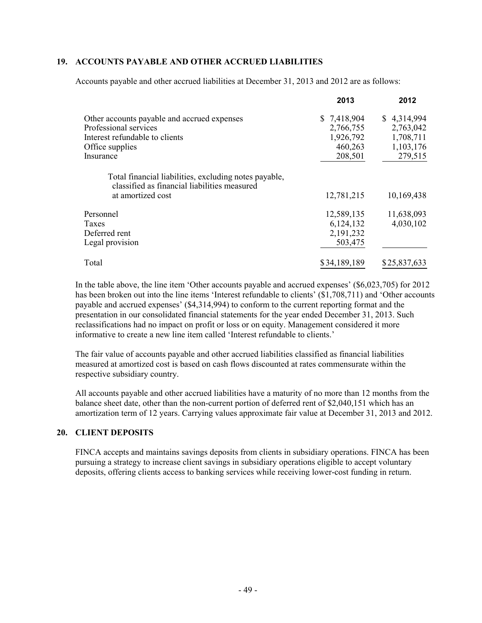#### **19. ACCOUNTS PAYABLE AND OTHER ACCRUED LIABILITIES**

Accounts payable and other accrued liabilities at December 31, 2013 and 2012 are as follows:

|                                                                                                       | 2013         | 2012         |
|-------------------------------------------------------------------------------------------------------|--------------|--------------|
| Other accounts payable and accrued expenses                                                           | \$7,418,904  | \$4,314,994  |
| Professional services                                                                                 | 2,766,755    | 2,763,042    |
| Interest refundable to clients                                                                        | 1,926,792    | 1,708,711    |
| Office supplies                                                                                       | 460,263      | 1,103,176    |
| Insurance                                                                                             | 208,501      | 279,515      |
| Total financial liabilities, excluding notes payable,<br>classified as financial liabilities measured |              |              |
| at amortized cost                                                                                     | 12,781,215   | 10,169,438   |
| Personnel                                                                                             | 12,589,135   | 11,638,093   |
| Taxes                                                                                                 | 6,124,132    | 4,030,102    |
| Deferred rent                                                                                         | 2,191,232    |              |
| Legal provision                                                                                       | 503,475      |              |
| Total                                                                                                 | \$34,189,189 | \$25,837,633 |

In the table above, the line item 'Other accounts payable and accrued expenses' (\$6,023,705) for 2012 has been broken out into the line items 'Interest refundable to clients' (\$1,708,711) and 'Other accounts payable and accrued expenses' (\$4,314,994) to conform to the current reporting format and the presentation in our consolidated financial statements for the year ended December 31, 2013. Such reclassifications had no impact on profit or loss or on equity. Management considered it more informative to create a new line item called 'Interest refundable to clients.'

The fair value of accounts payable and other accrued liabilities classified as financial liabilities measured at amortized cost is based on cash flows discounted at rates commensurate within the respective subsidiary country.

All accounts payable and other accrued liabilities have a maturity of no more than 12 months from the balance sheet date, other than the non-current portion of deferred rent of \$2,040,151 which has an amortization term of 12 years. Carrying values approximate fair value at December 31, 2013 and 2012.

# **20. CLIENT DEPOSITS**

FINCA accepts and maintains savings deposits from clients in subsidiary operations. FINCA has been pursuing a strategy to increase client savings in subsidiary operations eligible to accept voluntary deposits, offering clients access to banking services while receiving lower-cost funding in return.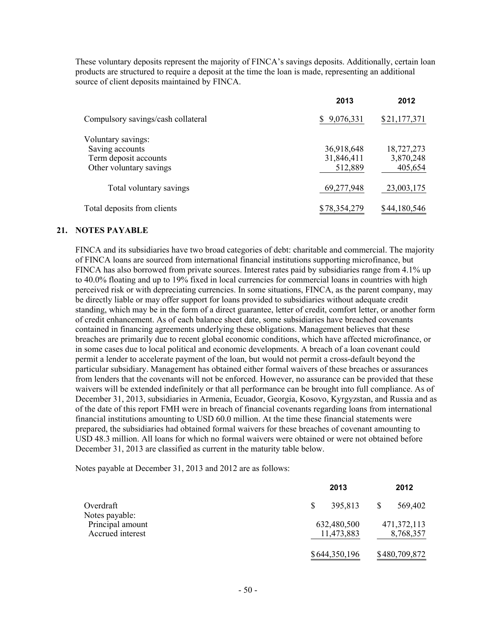These voluntary deposits represent the majority of FINCA's savings deposits. Additionally, certain loan products are structured to require a deposit at the time the loan is made, representing an additional source of client deposits maintained by FINCA.

|                                                                                           | 2013                                | 2012                               |
|-------------------------------------------------------------------------------------------|-------------------------------------|------------------------------------|
| Compulsory savings/cash collateral                                                        | \$9,076,331                         | \$21,177,371                       |
| Voluntary savings:<br>Saving accounts<br>Term deposit accounts<br>Other voluntary savings | 36,918,648<br>31,846,411<br>512,889 | 18,727,273<br>3,870,248<br>405,654 |
| Total voluntary savings                                                                   | 69,277,948                          | 23,003,175                         |
| Total deposits from clients                                                               | \$78,354,279                        | \$44,180,546                       |

#### **21. NOTES PAYABLE**

FINCA and its subsidiaries have two broad categories of debt: charitable and commercial. The majority of FINCA loans are sourced from international financial institutions supporting microfinance, but FINCA has also borrowed from private sources. Interest rates paid by subsidiaries range from 4.1% up to 40.0% floating and up to 19% fixed in local currencies for commercial loans in countries with high perceived risk or with depreciating currencies. In some situations, FINCA, as the parent company, may be directly liable or may offer support for loans provided to subsidiaries without adequate credit standing, which may be in the form of a direct guarantee, letter of credit, comfort letter, or another form of credit enhancement. As of each balance sheet date, some subsidiaries have breached covenants contained in financing agreements underlying these obligations. Management believes that these breaches are primarily due to recent global economic conditions, which have affected microfinance, or in some cases due to local political and economic developments. A breach of a loan covenant could permit a lender to accelerate payment of the loan, but would not permit a cross-default beyond the particular subsidiary. Management has obtained either formal waivers of these breaches or assurances from lenders that the covenants will not be enforced. However, no assurance can be provided that these waivers will be extended indefinitely or that all performance can be brought into full compliance. As of December 31, 2013, subsidiaries in Armenia, Ecuador, Georgia, Kosovo, Kyrgyzstan, and Russia and as of the date of this report FMH were in breach of financial covenants regarding loans from international financial institutions amounting to USD 60.0 million. At the time these financial statements were prepared, the subsidiaries had obtained formal waivers for these breaches of covenant amounting to USD 48.3 million. All loans for which no formal waivers were obtained or were not obtained before December 31, 2013 are classified as current in the maturity table below.

Notes payable at December 31, 2013 and 2012 are as follows:

|                                                        | 2013                      | 2012                       |
|--------------------------------------------------------|---------------------------|----------------------------|
| Overdraft                                              | 395,813<br>S              | 569,402                    |
| Notes payable:<br>Principal amount<br>Accrued interest | 632,480,500<br>11,473,883 | 471, 372, 113<br>8,768,357 |
|                                                        | \$644,350,196             | \$480,709,872              |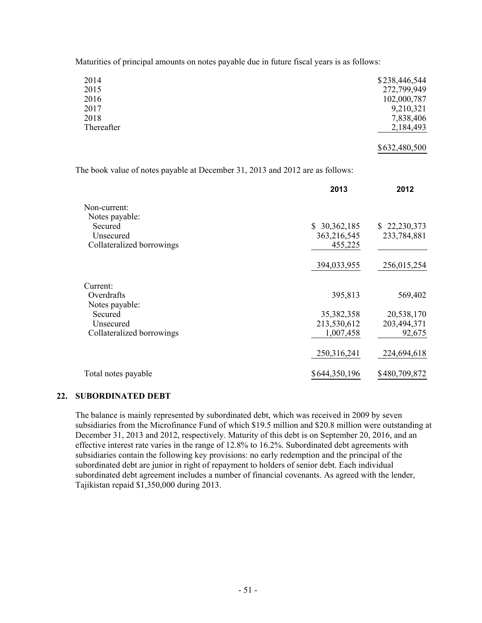Maturities of principal amounts on notes payable due in future fiscal years is as follows:

| 2014       | \$238,446,544 |
|------------|---------------|
| 2015       | 272,799,949   |
| 2016       | 102,000,787   |
| 2017       | 9,210,321     |
| 2018       | 7,838,406     |
| Thereafter | 2,184,493     |
|            | \$632,480,500 |

The book value of notes payable at December 31, 2013 and 2012 are as follows:

|                                                                     | 2013                                   | 2012                                |
|---------------------------------------------------------------------|----------------------------------------|-------------------------------------|
| Non-current:<br>Notes payable:                                      |                                        |                                     |
| Secured<br>Unsecured<br>Collateralized borrowings                   | \$30,362,185<br>363,216,545<br>455,225 | \$22,230,373<br>233,784,881         |
|                                                                     | 394,033,955                            | 256,015,254                         |
| Current:                                                            |                                        |                                     |
| Overdrafts                                                          | 395,813                                | 569,402                             |
| Notes payable:<br>Secured<br>Unsecured<br>Collateralized borrowings | 35,382,358<br>213,530,612<br>1,007,458 | 20,538,170<br>203,494,371<br>92,675 |
|                                                                     | 250,316,241                            | 224,694,618                         |
| Total notes payable                                                 | \$644,350,196                          | \$480,709,872                       |

#### **22. SUBORDINATED DEBT**

The balance is mainly represented by subordinated debt, which was received in 2009 by seven subsidiaries from the Microfinance Fund of which \$19.5 million and \$20.8 million were outstanding at December 31, 2013 and 2012, respectively. Maturity of this debt is on September 20, 2016, and an effective interest rate varies in the range of 12.8% to 16.2%. Subordinated debt agreements with subsidiaries contain the following key provisions: no early redemption and the principal of the subordinated debt are junior in right of repayment to holders of senior debt. Each individual subordinated debt agreement includes a number of financial covenants. As agreed with the lender, Tajikistan repaid \$1,350,000 during 2013.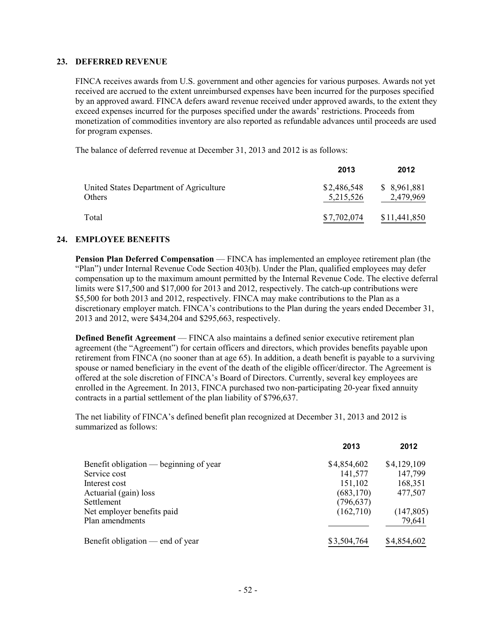#### **23. DEFERRED REVENUE**

FINCA receives awards from U.S. government and other agencies for various purposes. Awards not yet received are accrued to the extent unreimbursed expenses have been incurred for the purposes specified by an approved award. FINCA defers award revenue received under approved awards, to the extent they exceed expenses incurred for the purposes specified under the awards' restrictions. Proceeds from monetization of commodities inventory are also reported as refundable advances until proceeds are used for program expenses.

The balance of deferred revenue at December 31, 2013 and 2012 is as follows:

|                                                   | 2013                     | 2012                      |
|---------------------------------------------------|--------------------------|---------------------------|
| United States Department of Agriculture<br>Others | \$2,486,548<br>5,215,526 | \$ 8,961,881<br>2,479,969 |
| Total                                             | \$7,702,074              | \$11,441,850              |

#### **24. EMPLOYEE BENEFITS**

**Pension Plan Deferred Compensation** — FINCA has implemented an employee retirement plan (the "Plan") under Internal Revenue Code Section 403(b). Under the Plan, qualified employees may defer compensation up to the maximum amount permitted by the Internal Revenue Code. The elective deferral limits were \$17,500 and \$17,000 for 2013 and 2012, respectively. The catch-up contributions were \$5,500 for both 2013 and 2012, respectively. FINCA may make contributions to the Plan as a discretionary employer match. FINCA's contributions to the Plan during the years ended December 31, 2013 and 2012, were \$434,204 and \$295,663, respectively.

**Defined Benefit Agreement** — FINCA also maintains a defined senior executive retirement plan agreement (the "Agreement") for certain officers and directors, which provides benefits payable upon retirement from FINCA (no sooner than at age 65). In addition, a death benefit is payable to a surviving spouse or named beneficiary in the event of the death of the eligible officer/director. The Agreement is offered at the sole discretion of FINCA's Board of Directors. Currently, several key employees are enrolled in the Agreement. In 2013, FINCA purchased two non-participating 20-year fixed annuity contracts in a partial settlement of the plan liability of \$796,637.

The net liability of FINCA's defined benefit plan recognized at December 31, 2013 and 2012 is summarized as follows:

|                                        | 2013        | 2012        |
|----------------------------------------|-------------|-------------|
| Benefit obligation — beginning of year | \$4,854,602 | \$4,129,109 |
| Service cost                           | 141,577     | 147,799     |
| Interest cost                          | 151,102     | 168,351     |
| Actuarial (gain) loss                  | (683, 170)  | 477,507     |
| Settlement                             | (796, 637)  |             |
| Net employer benefits paid             | (162,710)   | (147, 805)  |
| Plan amendments                        |             | 79,641      |
| Benefit obligation — end of year       | \$3,504,764 | \$4,854,602 |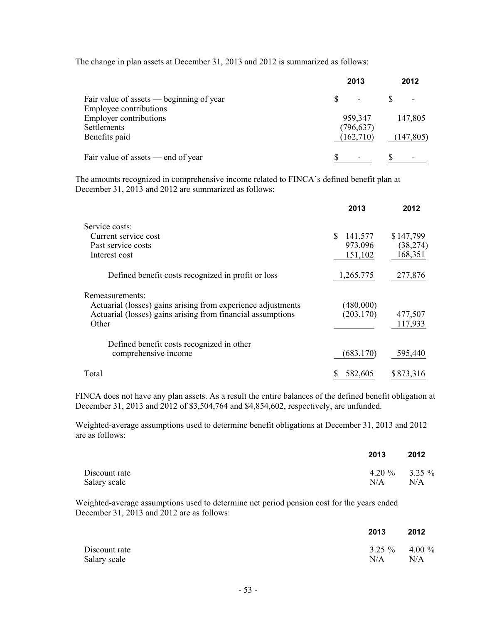The change in plan assets at December 31, 2013 and 2012 is summarized as follows:

|                                          | 2013       | 2012       |
|------------------------------------------|------------|------------|
| Fair value of assets — beginning of year |            |            |
| Employee contributions                   |            |            |
| <b>Employer contributions</b>            | 959,347    | 147,805    |
| Settlements                              | (796, 637) |            |
| Benefits paid                            | (162,710)  | (147, 805) |
| Fair value of assets — end of year       |            |            |

The amounts recognized in comprehensive income related to FINCA's defined benefit plan at December 31, 2013 and 2012 are summarized as follows:

|                                                                                 | 2013                    | 2012      |
|---------------------------------------------------------------------------------|-------------------------|-----------|
| Service costs:                                                                  |                         |           |
| Current service cost                                                            | 141,577<br><sup>S</sup> | \$147,799 |
| Past service costs                                                              | 973,096                 | (38, 274) |
| Interest cost                                                                   | 151,102                 | 168,351   |
| Defined benefit costs recognized in profit or loss                              | 1,265,775               | 277,876   |
| Remeasurements:<br>Actuarial (losses) gains arising from experience adjustments | (480,000)               |           |
| Actuarial (losses) gains arising from financial assumptions                     | (203, 170)              | 477,507   |
| Other                                                                           |                         | 117,933   |
| Defined benefit costs recognized in other                                       |                         |           |
| comprehensive income                                                            | (683, 170)              | 595,440   |
| Total                                                                           | 582,605                 | \$873,316 |

FINCA does not have any plan assets. As a result the entire balances of the defined benefit obligation at December 31, 2013 and 2012 of \$3,504,764 and \$4,854,602, respectively, are unfunded.

Weighted-average assumptions used to determine benefit obligations at December 31, 2013 and 2012 are as follows:

|               | 2013                | 2012 |
|---------------|---------------------|------|
| Discount rate | 4.20 $\%$ 3.25 $\%$ |      |
| Salary scale  | N/A                 | N/A  |

Weighted-average assumptions used to determine net period pension cost for the years ended December 31, 2013 and 2012 are as follows:

|                               | 2013                   | 2012 |
|-------------------------------|------------------------|------|
| Discount rate<br>Salary scale | $3.25\%$ 4.00 %<br>N/A | N/A  |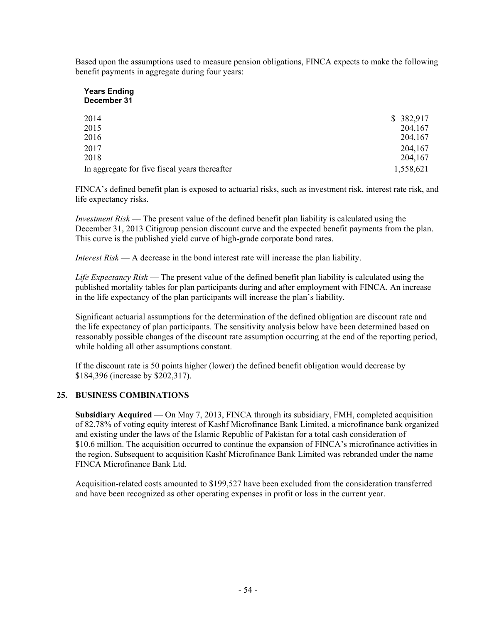Based upon the assumptions used to measure pension obligations, FINCA expects to make the following benefit payments in aggregate during four years:

#### **Years Ending December 31**

| 2014                                          | \$382,917 |
|-----------------------------------------------|-----------|
| 2015                                          | 204,167   |
| 2016                                          | 204,167   |
| 2017                                          | 204,167   |
| 2018                                          | 204,167   |
| In aggregate for five fiscal years thereafter | 1,558,621 |

FINCA's defined benefit plan is exposed to actuarial risks, such as investment risk, interest rate risk, and life expectancy risks.

*Investment Risk* — The present value of the defined benefit plan liability is calculated using the December 31, 2013 Citigroup pension discount curve and the expected benefit payments from the plan. This curve is the published yield curve of high-grade corporate bond rates.

*Interest Risk* — A decrease in the bond interest rate will increase the plan liability.

*Life Expectancy Risk* — The present value of the defined benefit plan liability is calculated using the published mortality tables for plan participants during and after employment with FINCA. An increase in the life expectancy of the plan participants will increase the plan's liability.

Significant actuarial assumptions for the determination of the defined obligation are discount rate and the life expectancy of plan participants. The sensitivity analysis below have been determined based on reasonably possible changes of the discount rate assumption occurring at the end of the reporting period, while holding all other assumptions constant.

If the discount rate is 50 points higher (lower) the defined benefit obligation would decrease by \$184,396 (increase by \$202,317).

# **25. BUSINESS COMBINATIONS**

**Subsidiary Acquired** — On May 7, 2013, FINCA through its subsidiary, FMH, completed acquisition of 82.78% of voting equity interest of Kashf Microfinance Bank Limited, a microfinance bank organized and existing under the laws of the Islamic Republic of Pakistan for a total cash consideration of \$10.6 million. The acquisition occurred to continue the expansion of FINCA's microfinance activities in the region. Subsequent to acquisition Kashf Microfinance Bank Limited was rebranded under the name FINCA Microfinance Bank Ltd.

Acquisition-related costs amounted to \$199,527 have been excluded from the consideration transferred and have been recognized as other operating expenses in profit or loss in the current year.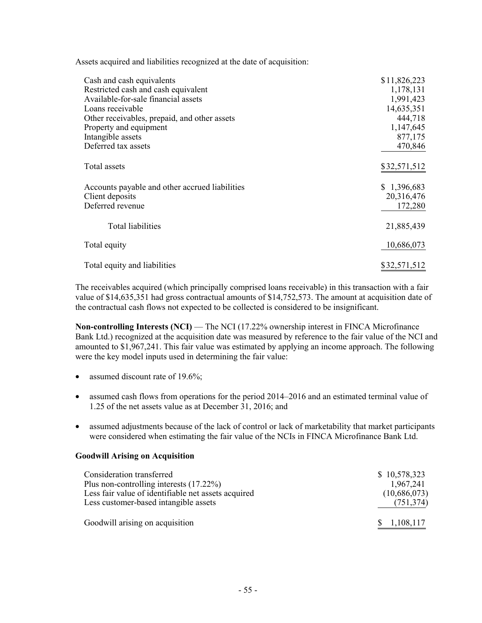Assets acquired and liabilities recognized at the date of acquisition:

| Cash and cash equivalents                      | \$11,826,223 |
|------------------------------------------------|--------------|
| Restricted cash and cash equivalent            | 1,178,131    |
| Available-for-sale financial assets            | 1,991,423    |
| Loans receivable                               | 14,635,351   |
| Other receivables, prepaid, and other assets   | 444,718      |
| Property and equipment                         | 1,147,645    |
| Intangible assets                              | 877,175      |
| Deferred tax assets                            | 470,846      |
|                                                |              |
| Total assets                                   | \$32,571,512 |
|                                                |              |
| Accounts payable and other accrued liabilities | \$1,396,683  |
| Client deposits                                | 20,316,476   |
| Deferred revenue                               | 172,280      |
|                                                |              |
| <b>Total liabilities</b>                       | 21,885,439   |
|                                                |              |
| Total equity                                   | 10,686,073   |
|                                                |              |
| Total equity and liabilities                   | \$32,571,512 |

The receivables acquired (which principally comprised loans receivable) in this transaction with a fair value of \$14,635,351 had gross contractual amounts of \$14,752,573. The amount at acquisition date of the contractual cash flows not expected to be collected is considered to be insignificant.

**Non-controlling Interests (NCI)** — The NCI (17.22% ownership interest in FINCA Microfinance Bank Ltd.) recognized at the acquisition date was measured by reference to the fair value of the NCI and amounted to \$1,967,241. This fair value was estimated by applying an income approach. The following were the key model inputs used in determining the fair value:

- assumed discount rate of 19.6%;
- assumed cash flows from operations for the period 2014–2016 and an estimated terminal value of 1.25 of the net assets value as at December 31, 2016; and
- assumed adjustments because of the lack of control or lack of marketability that market participants were considered when estimating the fair value of the NCIs in FINCA Microfinance Bank Ltd.

#### **Goodwill Arising on Acquisition**

| Consideration transferred                           | \$10,578,323 |
|-----------------------------------------------------|--------------|
| Plus non-controlling interests $(17.22\%)$          | 1,967,241    |
| Less fair value of identifiable net assets acquired | (10,686,073) |
| Less customer-based intangible assets               | (751, 374)   |
| Goodwill arising on acquisition                     | 1,108,117    |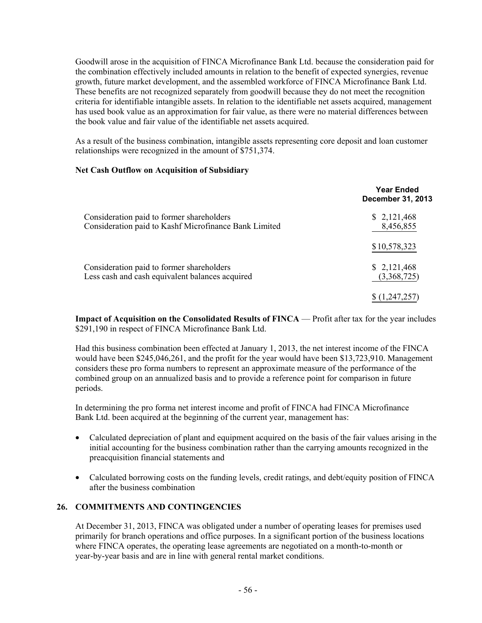Goodwill arose in the acquisition of FINCA Microfinance Bank Ltd. because the consideration paid for the combination effectively included amounts in relation to the benefit of expected synergies, revenue growth, future market development, and the assembled workforce of FINCA Microfinance Bank Ltd. These benefits are not recognized separately from goodwill because they do not meet the recognition criteria for identifiable intangible assets. In relation to the identifiable net assets acquired, management has used book value as an approximation for fair value, as there were no material differences between the book value and fair value of the identifiable net assets acquired.

As a result of the business combination, intangible assets representing core deposit and loan customer relationships were recognized in the amount of \$751,374.

#### **Net Cash Outflow on Acquisition of Subsidiary**

|                                                                                                    | <b>Year Ended</b><br><b>December 31, 2013</b> |
|----------------------------------------------------------------------------------------------------|-----------------------------------------------|
| Consideration paid to former shareholders<br>Consideration paid to Kashf Microfinance Bank Limited | \$2,121,468<br>8,456,855                      |
|                                                                                                    | \$10,578,323                                  |
| Consideration paid to former shareholders<br>Less cash and cash equivalent balances acquired       | \$2,121,468<br>(3,368,725)                    |
|                                                                                                    | 1,247,25                                      |

**Impact of Acquisition on the Consolidated Results of FINCA — Profit after tax for the year includes** \$291,190 in respect of FINCA Microfinance Bank Ltd.

Had this business combination been effected at January 1, 2013, the net interest income of the FINCA would have been \$245,046,261, and the profit for the year would have been \$13,723,910. Management considers these pro forma numbers to represent an approximate measure of the performance of the combined group on an annualized basis and to provide a reference point for comparison in future periods.

In determining the pro forma net interest income and profit of FINCA had FINCA Microfinance Bank Ltd. been acquired at the beginning of the current year, management has:

- Calculated depreciation of plant and equipment acquired on the basis of the fair values arising in the initial accounting for the business combination rather than the carrying amounts recognized in the preacquisition financial statements and
- Calculated borrowing costs on the funding levels, credit ratings, and debt/equity position of FINCA after the business combination

#### **26. COMMITMENTS AND CONTINGENCIES**

At December 31, 2013, FINCA was obligated under a number of operating leases for premises used primarily for branch operations and office purposes. In a significant portion of the business locations where FINCA operates, the operating lease agreements are negotiated on a month-to-month or year-by-year basis and are in line with general rental market conditions.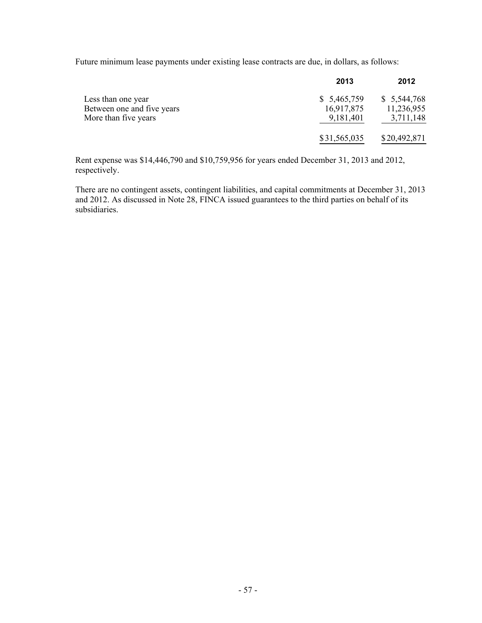Future minimum lease payments under existing lease contracts are due, in dollars, as follows:

|                            | 2013         | 2012         |
|----------------------------|--------------|--------------|
| Less than one year         | \$5,465,759  | \$5,544,768  |
| Between one and five years | 16,917,875   | 11,236,955   |
| More than five years       | 9,181,401    | 3,711,148    |
|                            | \$31,565,035 | \$20,492,871 |

Rent expense was \$14,446,790 and \$10,759,956 for years ended December 31, 2013 and 2012, respectively.

There are no contingent assets, contingent liabilities, and capital commitments at December 31, 2013 and 2012. As discussed in Note 28, FINCA issued guarantees to the third parties on behalf of its subsidiaries.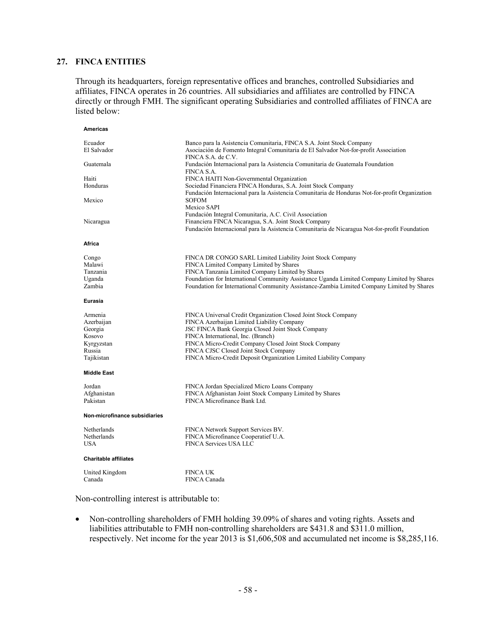#### **27. FINCA ENTITIES**

Through its headquarters, foreign representative offices and branches, controlled Subsidiaries and affiliates, FINCA operates in 26 countries. All subsidiaries and affiliates are controlled by FINCA directly or through FMH. The significant operating Subsidiaries and controlled affiliates of FINCA are listed below:

| Americas                                                                         |                                                                                                                                                                                                                                                                                                                                                                                |
|----------------------------------------------------------------------------------|--------------------------------------------------------------------------------------------------------------------------------------------------------------------------------------------------------------------------------------------------------------------------------------------------------------------------------------------------------------------------------|
| Ecuador<br>El Salvador                                                           | Banco para la Asistencia Comunitaria, FINCA S.A. Joint Stock Company<br>Asociación de Fomento Integral Comunitaria de El Salvador Not-for-profit Association<br>FINCA S.A. de C.V.                                                                                                                                                                                             |
| Guatemala                                                                        | Fundación Internacional para la Asistencia Comunitaria de Guatemala Foundation<br>FINCA S.A.                                                                                                                                                                                                                                                                                   |
| Haiti<br>Honduras                                                                | FINCA HAITI Non-Governmental Organization<br>Sociedad Financiera FINCA Honduras, S.A. Joint Stock Company<br>Fundación Internacional para la Asistencia Comunitaria de Honduras Not-for-profit Organization                                                                                                                                                                    |
| Mexico                                                                           | <b>SOFOM</b><br>Mexico SAPI                                                                                                                                                                                                                                                                                                                                                    |
| Nicaragua                                                                        | Fundación Integral Comunitaria, A.C. Civil Association<br>Financiera FINCA Nicaragua, S.A. Joint Stock Company<br>Fundación Internacional para la Asistencia Comunitaria de Nicaragua Not-for-profit Foundation                                                                                                                                                                |
| Africa                                                                           |                                                                                                                                                                                                                                                                                                                                                                                |
| Congo<br>Malawi<br>Tanzania<br>Uganda<br>Zambia                                  | FINCA DR CONGO SARL Limited Liability Joint Stock Company<br>FINCA Limited Company Limited by Shares<br>FINCA Tanzania Limited Company Limited by Shares<br>Foundation for International Community Assistance Uganda Limited Company Limited by Shares<br>Foundation for International Community Assistance-Zambia Limited Company Limited by Shares                           |
| Eurasia                                                                          |                                                                                                                                                                                                                                                                                                                                                                                |
| Armenia<br>Azerbaijan<br>Georgia<br>Kosovo<br>Kyrgyzstan<br>Russia<br>Tajikistan | FINCA Universal Credit Organization Closed Joint Stock Company<br>FINCA Azerbaijan Limited Liability Company<br>JSC FINCA Bank Georgia Closed Joint Stock Company<br>FINCA International, Inc. (Branch)<br>FINCA Micro-Credit Company Closed Joint Stock Company<br>FINCA CJSC Closed Joint Stock Company<br>FINCA Micro-Credit Deposit Organization Limited Liability Company |
| <b>Middle East</b>                                                               |                                                                                                                                                                                                                                                                                                                                                                                |
| Jordan<br>Afghanistan<br>Pakistan                                                | FINCA Jordan Specialized Micro Loans Company<br>FINCA Afghanistan Joint Stock Company Limited by Shares<br>FINCA Microfinance Bank Ltd.                                                                                                                                                                                                                                        |
| Non-microfinance subsidiaries                                                    |                                                                                                                                                                                                                                                                                                                                                                                |
| Netherlands<br>Netherlands<br><b>USA</b>                                         | FINCA Network Support Services BV.<br>FINCA Microfinance Cooperatief U.A.<br><b>FINCA Services USA LLC</b>                                                                                                                                                                                                                                                                     |
| <b>Charitable affiliates</b>                                                     |                                                                                                                                                                                                                                                                                                                                                                                |
| United Kingdom<br>Canada                                                         | <b>FINCA UK</b><br><b>FINCA Canada</b>                                                                                                                                                                                                                                                                                                                                         |

Non-controlling interest is attributable to:

• Non-controlling shareholders of FMH holding 39.09% of shares and voting rights. Assets and liabilities attributable to FMH non-controlling shareholders are \$431.8 and \$311.0 million, respectively. Net income for the year 2013 is \$1,606,508 and accumulated net income is \$8,285,116.